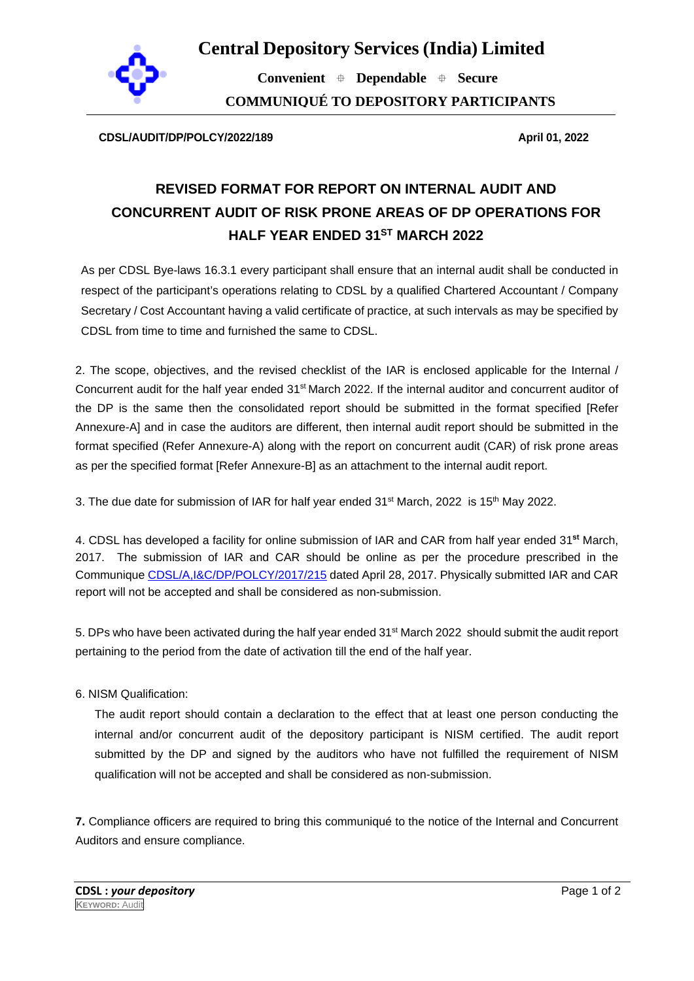

**Convenient Dependable Secure COMMUNIQUÉ TO DEPOSITORY PARTICIPANTS**

**CDSL/AUDIT/DP/POLCY/2022/189 April 01, 2022**

# **REVISED FORMAT FOR REPORT ON INTERNAL AUDIT AND CONCURRENT AUDIT OF RISK PRONE AREAS OF DP OPERATIONS FOR HALF YEAR ENDED 31ST MARCH 2022**

As per CDSL Bye-laws 16.3.1 every participant shall ensure that an internal audit shall be conducted in respect of the participant's operations relating to CDSL by a qualified Chartered Accountant / Company Secretary / Cost Accountant having a valid certificate of practice, at such intervals as may be specified by CDSL from time to time and furnished the same to CDSL.

2. The scope, objectives, and the revised checklist of the IAR is enclosed applicable for the Internal / Concurrent audit for the half year ended 31st March 2022. If the internal auditor and concurrent auditor of the DP is the same then the consolidated report should be submitted in the format specified [Refer Annexure-A] and in case the auditors are different, then internal audit report should be submitted in the format specified (Refer Annexure-A) along with the report on concurrent audit (CAR) of risk prone areas as per the specified format [Refer Annexure-B] as an attachment to the internal audit report.

3. The due date for submission of IAR for half year ended  $31<sup>st</sup>$  March, 2022 is  $15<sup>th</sup>$  May 2022.

4. CDSL has developed a facility for online submission of IAR and CAR from half year ended 31**st** March, 2017. The submission of IAR and CAR should be online as per the procedure prescribed in the Communique [CDSL/A,I&C/DP/POLCY/2017/215](https://www.cdslindia.com/publications/commprocedure.aspx?eventid=DP2017-215) dated April 28, 2017. Physically submitted IAR and CAR report will not be accepted and shall be considered as non-submission.

5. DPs who have been activated during the half year ended 31<sup>st</sup> March 2022 should submit the audit report pertaining to the period from the date of activation till the end of the half year.

6. NISM Qualification:

The audit report should contain a declaration to the effect that at least one person conducting the internal and/or concurrent audit of the depository participant is NISM certified. The audit report submitted by the DP and signed by the auditors who have not fulfilled the requirement of NISM qualification will not be accepted and shall be considered as non-submission.

**7.** Compliance officers are required to bring this communiqué to the notice of the Internal and Concurrent Auditors and ensure compliance.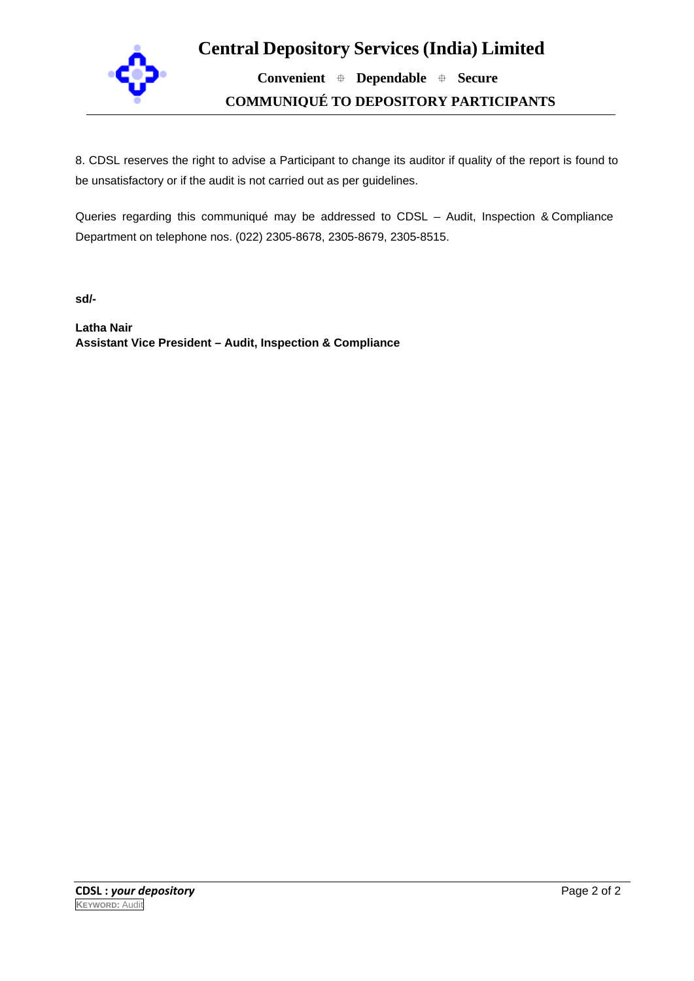

**Convenient Dependable Secure COMMUNIQUÉ TO DEPOSITORY PARTICIPANTS**

8. CDSL reserves the right to advise a Participant to change its auditor if quality of the report is found to be unsatisfactory or if the audit is not carried out as per guidelines.

Queries regarding this communiqué may be addressed to CDSL – Audit, Inspection & Compliance Department on telephone nos. (022) 2305-8678, 2305-8679, 2305-8515.

**sd/-**

**Latha Nair Assistant Vice President – Audit, Inspection & Compliance**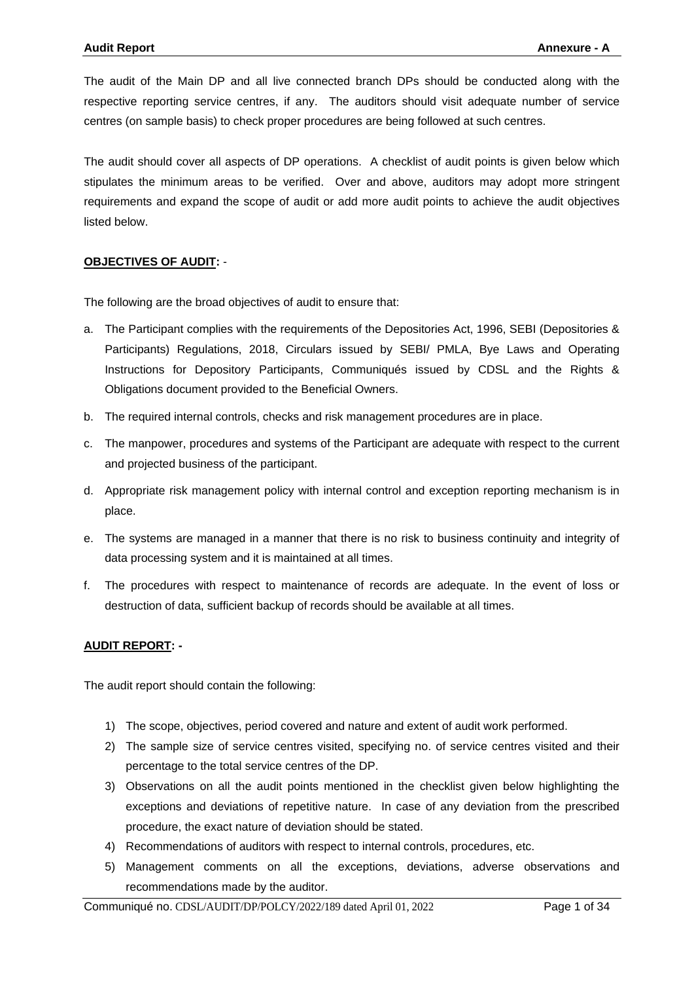The audit of the Main DP and all live connected branch DPs should be conducted along with the respective reporting service centres, if any. The auditors should visit adequate number of service centres (on sample basis) to check proper procedures are being followed at such centres.

The audit should cover all aspects of DP operations. A checklist of audit points is given below which stipulates the minimum areas to be verified. Over and above, auditors may adopt more stringent requirements and expand the scope of audit or add more audit points to achieve the audit objectives listed below.

#### **OBJECTIVES OF AUDIT:** -

The following are the broad objectives of audit to ensure that:

- a. The Participant complies with the requirements of the Depositories Act, 1996, SEBI (Depositories & Participants) Regulations, 2018, Circulars issued by SEBI/ PMLA, Bye Laws and Operating Instructions for Depository Participants, Communiqués issued by CDSL and the Rights & Obligations document provided to the Beneficial Owners.
- b. The required internal controls, checks and risk management procedures are in place.
- c. The manpower, procedures and systems of the Participant are adequate with respect to the current and projected business of the participant.
- d. Appropriate risk management policy with internal control and exception reporting mechanism is in place.
- e. The systems are managed in a manner that there is no risk to business continuity and integrity of data processing system and it is maintained at all times.
- f. The procedures with respect to maintenance of records are adequate. In the event of loss or destruction of data, sufficient backup of records should be available at all times.

#### **AUDIT REPORT: -**

The audit report should contain the following:

- 1) The scope, objectives, period covered and nature and extent of audit work performed.
- 2) The sample size of service centres visited, specifying no. of service centres visited and their percentage to the total service centres of the DP.
- 3) Observations on all the audit points mentioned in the checklist given below highlighting the exceptions and deviations of repetitive nature. In case of any deviation from the prescribed procedure, the exact nature of deviation should be stated.
- 4) Recommendations of auditors with respect to internal controls, procedures, etc.
- 5) Management comments on all the exceptions, deviations, adverse observations and recommendations made by the auditor.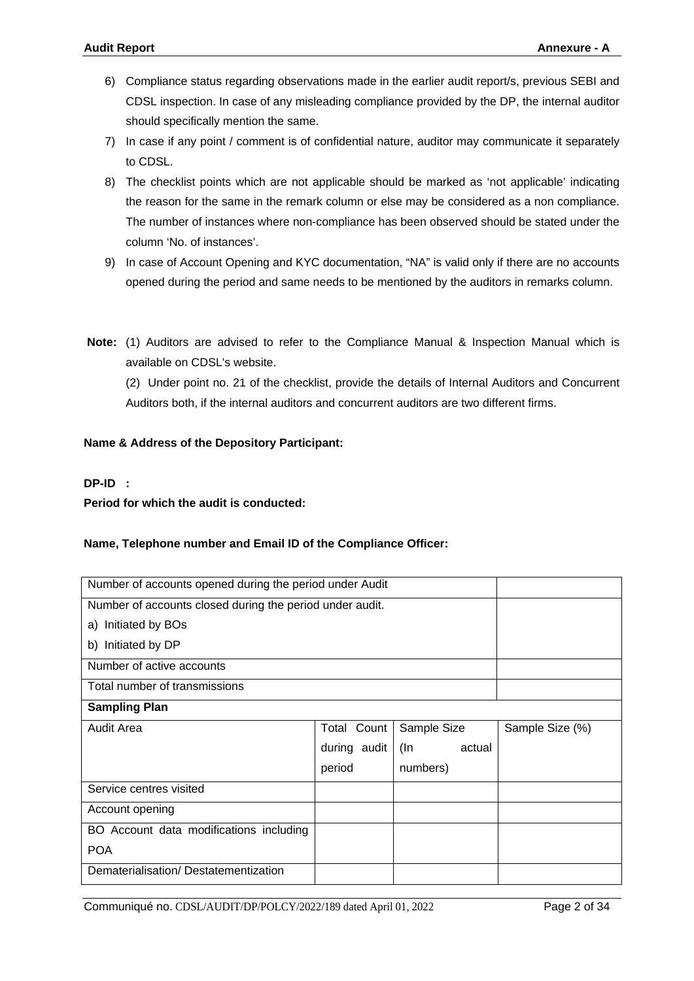- 6) Compliance status regarding observations made in the earlier audit report/s, previous SEBI and CDSL inspection. In case of any misleading compliance provided by the DP, the internal auditor should specifically mention the same.
- 7) In case if any point / comment is of confidential nature, auditor may communicate it separately to CDSL.
- 8) The checklist points which are not applicable should be marked as 'not applicable' indicating the reason for the same in the remark column or else may be considered as a non compliance. The number of instances where non-compliance has been observed should be stated under the column 'No. of instances'.
- 9) In case of Account Opening and KYC documentation, "NA" is valid only if there are no accounts opened during the period and same needs to be mentioned by the auditors in remarks column.
- **Note:** (1) Auditors are advised to refer to the Compliance Manual & Inspection Manual which is available on CDSL's website.

 (2) Under point no. 21 of the checklist, provide the details of Internal Auditors and Concurrent Auditors both, if the internal auditors and concurrent auditors are two different firms.

#### **Name & Address of the Depository Participant:**

#### **DP-ID :**

**Period for which the audit is conducted:**

#### **Name, Telephone number and Email ID of the Compliance Officer:**

| Number of accounts opened during the period under Audit  |              |               |                 |
|----------------------------------------------------------|--------------|---------------|-----------------|
| Number of accounts closed during the period under audit. |              |               |                 |
| a) Initiated by BOs                                      |              |               |                 |
| b) Initiated by DP                                       |              |               |                 |
| Number of active accounts                                |              |               |                 |
| Total number of transmissions                            |              |               |                 |
| <b>Sampling Plan</b>                                     |              |               |                 |
| Audit Area                                               | Total Count  | Sample Size   | Sample Size (%) |
|                                                          | during audit | (In<br>actual |                 |
|                                                          | period       | numbers)      |                 |
| Service centres visited                                  |              |               |                 |
| Account opening                                          |              |               |                 |
| BO Account data modifications including                  |              |               |                 |
| <b>POA</b>                                               |              |               |                 |
| Dematerialisation/Destatementization                     |              |               |                 |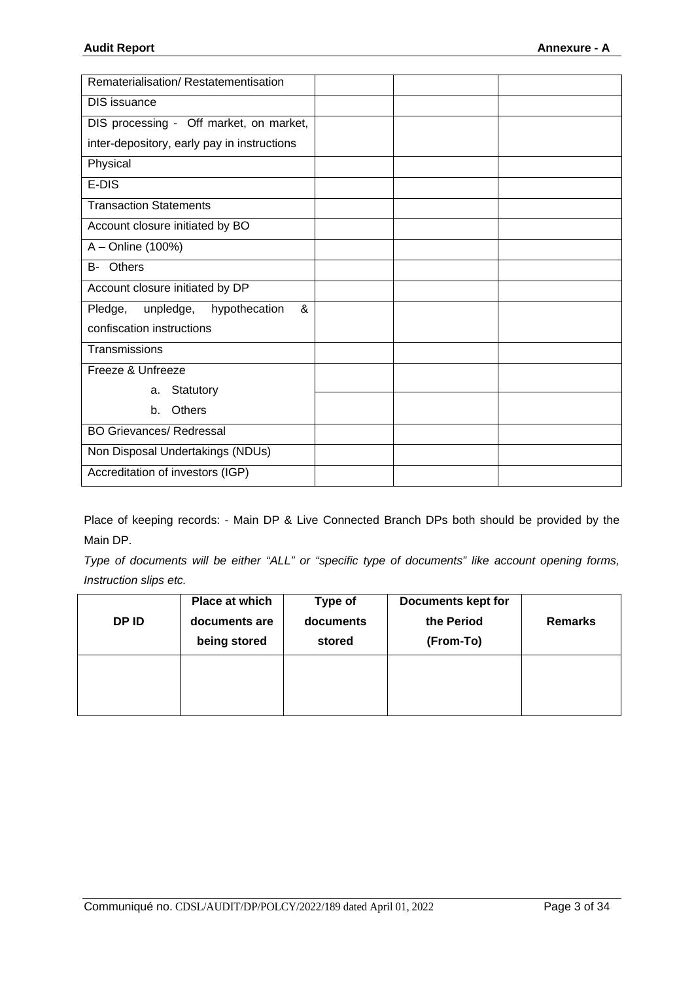| Rematerialisation/Restatementisation        |  |  |
|---------------------------------------------|--|--|
| DIS issuance                                |  |  |
| DIS processing - Off market, on market,     |  |  |
| inter-depository, early pay in instructions |  |  |
| Physical                                    |  |  |
| E-DIS                                       |  |  |
| <b>Transaction Statements</b>               |  |  |
| Account closure initiated by BO             |  |  |
| A - Online (100%)                           |  |  |
| Others<br>B-                                |  |  |
| Account closure initiated by DP             |  |  |
| &<br>hypothecation<br>unpledge,<br>Pledge,  |  |  |
| confiscation instructions                   |  |  |
| Transmissions                               |  |  |
| Freeze & Unfreeze                           |  |  |
| Statutory<br>a.                             |  |  |
| Others<br>$h_{-}$                           |  |  |
| <b>BO Grievances/ Redressal</b>             |  |  |
| Non Disposal Undertakings (NDUs)            |  |  |
| Accreditation of investors (IGP)            |  |  |

Place of keeping records: - Main DP & Live Connected Branch DPs both should be provided by the Main DP.

*Type of documents will be either "ALL" or "specific type of documents" like account opening forms, Instruction slips etc.* 

| DP ID | Place at which<br>documents are<br>being stored | Type of<br>documents<br>stored | <b>Documents kept for</b><br>the Period<br>(From-To) | <b>Remarks</b> |
|-------|-------------------------------------------------|--------------------------------|------------------------------------------------------|----------------|
|       |                                                 |                                |                                                      |                |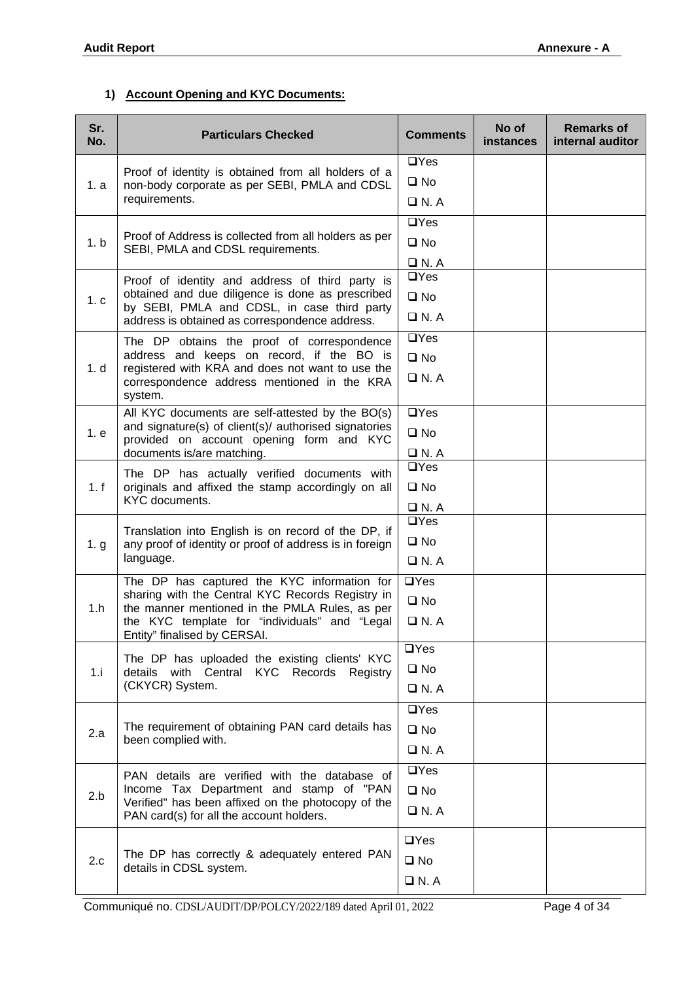### **1) Account Opening and KYC Documents:**

| Sr.<br>No.     | <b>Particulars Checked</b>                                                                        | <b>Comments</b>    | No of<br><i>instances</i> | <b>Remarks of</b><br>internal auditor |
|----------------|---------------------------------------------------------------------------------------------------|--------------------|---------------------------|---------------------------------------|
|                | Proof of identity is obtained from all holders of a                                               | $\Box$ Yes         |                           |                                       |
| 1. a           | non-body corporate as per SEBI, PMLA and CDSL                                                     | $\square$ No       |                           |                                       |
|                | requirements.                                                                                     | $\Box$ N. A        |                           |                                       |
|                |                                                                                                   | $\Box$ Yes         |                           |                                       |
| 1.b            | Proof of Address is collected from all holders as per<br>SEBI, PMLA and CDSL requirements.        | $\square$ No       |                           |                                       |
|                |                                                                                                   | $\Box$ N.A         |                           |                                       |
|                | Proof of identity and address of third party is                                                   | $\Box$ Yes         |                           |                                       |
| 1 <sub>c</sub> | obtained and due diligence is done as prescribed<br>by SEBI, PMLA and CDSL, in case third party   | $\square$ No       |                           |                                       |
|                | address is obtained as correspondence address.                                                    | $\Box$ N. A        |                           |                                       |
|                | The DP obtains the proof of correspondence                                                        | $\Box$ Yes         |                           |                                       |
| 1. d           | address and keeps on record, if the BO is<br>registered with KRA and does not want to use the     | $\square$ No       |                           |                                       |
|                | correspondence address mentioned in the KRA<br>system.                                            | $\Box$ N.A         |                           |                                       |
|                | All KYC documents are self-attested by the BO(s)                                                  | $\Box$ Yes         |                           |                                       |
| 1. e           | and signature(s) of client(s)/ authorised signatories<br>provided on account opening form and KYC | $\square$ No       |                           |                                       |
|                | documents is/are matching.                                                                        | $\Box$ N. A        |                           |                                       |
|                | The DP has actually verified documents with                                                       | $\Box$ Yes         |                           |                                       |
| 1. f           | originals and affixed the stamp accordingly on all<br>KYC documents.                              | $\square$ No       |                           |                                       |
|                |                                                                                                   | $\Box$ N.A         |                           |                                       |
|                | Translation into English is on record of the DP, if                                               | $\Box$ Yes         |                           |                                       |
| 1.9            | any proof of identity or proof of address is in foreign                                           | $\square$ No       |                           |                                       |
|                | language.                                                                                         | $\Box$ N. A        |                           |                                       |
|                | The DP has captured the KYC information for<br>sharing with the Central KYC Records Registry in   | $\overline{UY}$ es |                           |                                       |
| 1.h            | the manner mentioned in the PMLA Rules, as per                                                    | $\square$ No       |                           |                                       |
|                | the KYC template for "individuals" and "Legal<br>Entity" finalised by CERSAI.                     | $\Box$ N. A        |                           |                                       |
|                | The DP has uploaded the existing clients' KYC                                                     | $\Box$ Yes         |                           |                                       |
| 1.i            | details with Central KYC<br>Records Registry                                                      | $\square$ No       |                           |                                       |
|                | (CKYCR) System.                                                                                   | $\Box$ N. A        |                           |                                       |
|                |                                                                                                   | $\Box$ Yes         |                           |                                       |
| 2.a            | The requirement of obtaining PAN card details has                                                 | $\square$ No       |                           |                                       |
|                | been complied with.                                                                               | $\Box$ N. A        |                           |                                       |
|                | PAN details are verified with the database of                                                     | $\overline{UY}$ es |                           |                                       |
| 2.b            | Income Tax Department and stamp of "PAN                                                           | $\square$ No       |                           |                                       |
|                | Verified" has been affixed on the photocopy of the<br>PAN card(s) for all the account holders.    | $\Box$ N. A        |                           |                                       |
|                |                                                                                                   | $\Box$ Yes         |                           |                                       |
| 2.c            | The DP has correctly & adequately entered PAN<br>details in CDSL system.                          | $\square$ No       |                           |                                       |
|                |                                                                                                   | $\Box$ N. A        |                           |                                       |

Communiqué no. CDSL/AUDIT/DP/POLCY/2022/189 dated April 01, 2022 Page 4 of 34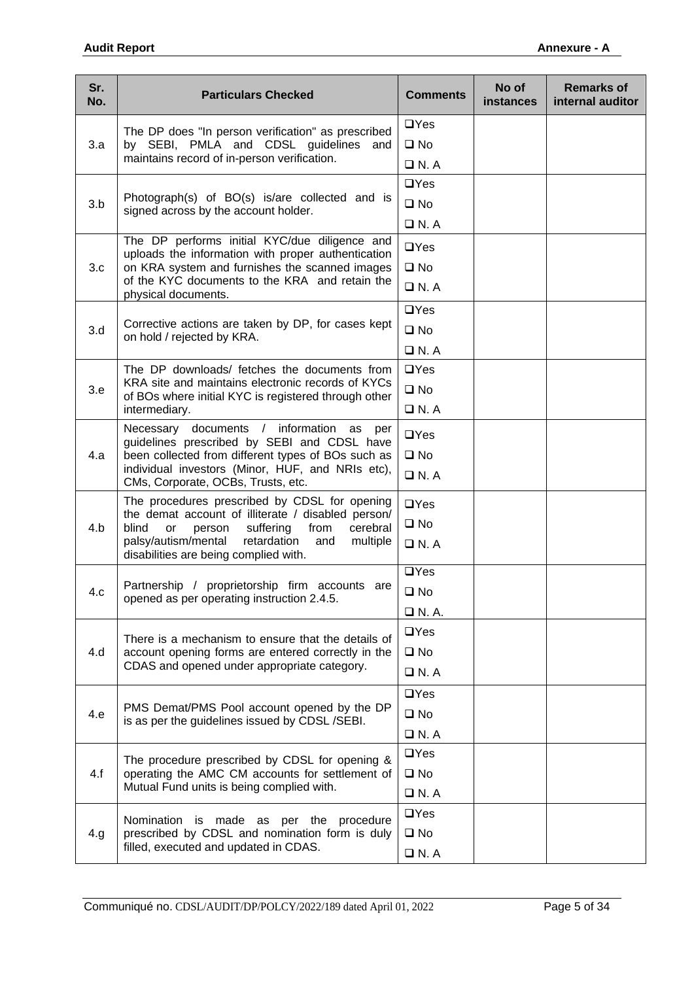| Sr.<br>No. | <b>Particulars Checked</b>                                                                                                                   | <b>Comments</b> | No of<br><b>instances</b> | <b>Remarks of</b><br>internal auditor |
|------------|----------------------------------------------------------------------------------------------------------------------------------------------|-----------------|---------------------------|---------------------------------------|
|            | The DP does "In person verification" as prescribed                                                                                           | $\Box$ Yes      |                           |                                       |
| 3.a        | by SEBI, PMLA and CDSL guidelines and                                                                                                        | $\square$ No    |                           |                                       |
|            | maintains record of in-person verification.                                                                                                  | $\Box$ N.A      |                           |                                       |
|            |                                                                                                                                              | $\Box$ Yes      |                           |                                       |
| 3.b        | Photograph(s) of BO(s) is/are collected and is<br>signed across by the account holder.                                                       | $\square$ No    |                           |                                       |
|            |                                                                                                                                              | $\Box$ N. A     |                           |                                       |
|            | The DP performs initial KYC/due diligence and<br>uploads the information with proper authentication                                          | $\Box$ Yes      |                           |                                       |
| 3.c        | on KRA system and furnishes the scanned images                                                                                               | $\square$ No    |                           |                                       |
|            | of the KYC documents to the KRA and retain the<br>physical documents.                                                                        | $\Box$ N.A      |                           |                                       |
|            |                                                                                                                                              | $\Box$ Yes      |                           |                                       |
| 3.d        | Corrective actions are taken by DP, for cases kept<br>on hold / rejected by KRA.                                                             | $\square$ No    |                           |                                       |
|            |                                                                                                                                              | $\Box$ N.A      |                           |                                       |
|            | The DP downloads/ fetches the documents from                                                                                                 | $\Box$ Yes      |                           |                                       |
| 3.e        | KRA site and maintains electronic records of KYCs<br>of BOs where initial KYC is registered through other                                    | $\square$ No    |                           |                                       |
|            | intermediary.                                                                                                                                | $\Box$ N. A     |                           |                                       |
|            | Necessary documents / information<br>as per<br>guidelines prescribed by SEBI and CDSL have                                                   | $\Box$ Yes      |                           |                                       |
| 4.a        | been collected from different types of BOs such as<br>individual investors (Minor, HUF, and NRIs etc),<br>CMs, Corporate, OCBs, Trusts, etc. | $\square$ No    |                           |                                       |
|            |                                                                                                                                              | $\Box$ N.A      |                           |                                       |
|            | The procedures prescribed by CDSL for opening                                                                                                | $\Box$ Yes      |                           |                                       |
| 4.b        | the demat account of illiterate / disabled person/<br>cerebral<br>blind<br>suffering<br>from<br><b>or</b><br>person                          | $\square$ No    |                           |                                       |
|            | palsy/autism/mental<br>retardation<br>and<br>multiple<br>disabilities are being complied with.                                               | $\Box$ N.A      |                           |                                       |
|            |                                                                                                                                              | $\Box$ Yes      |                           |                                       |
| 4.c        | Partnership / proprietorship firm accounts are<br>opened as per operating instruction 2.4.5.                                                 | $\square$ No    |                           |                                       |
|            |                                                                                                                                              | $\Box$ N. A.    |                           |                                       |
|            | There is a mechanism to ensure that the details of                                                                                           | $\Box$ Yes      |                           |                                       |
| 4.d        | account opening forms are entered correctly in the                                                                                           | $\square$ No    |                           |                                       |
|            | CDAS and opened under appropriate category.                                                                                                  | $\Box$ N.A      |                           |                                       |
|            |                                                                                                                                              | $\Box$ Yes      |                           |                                       |
| 4.e        | PMS Demat/PMS Pool account opened by the DP<br>is as per the guidelines issued by CDSL/SEBI.                                                 | $\square$ No    |                           |                                       |
|            |                                                                                                                                              | $\Box$ N. A     |                           |                                       |
|            | The procedure prescribed by CDSL for opening &                                                                                               | $\Box$ Yes      |                           |                                       |
| 4.f        | operating the AMC CM accounts for settlement of                                                                                              | $\square$ No    |                           |                                       |
|            | Mutual Fund units is being complied with.                                                                                                    | $\Box$ N.A      |                           |                                       |
|            | Nomination is<br>made as per the procedure                                                                                                   | $\Box$ Yes      |                           |                                       |
| 4.g        | prescribed by CDSL and nomination form is duly                                                                                               | $\square$ No    |                           |                                       |
|            | filled, executed and updated in CDAS.                                                                                                        | $\Box$ N. A     |                           |                                       |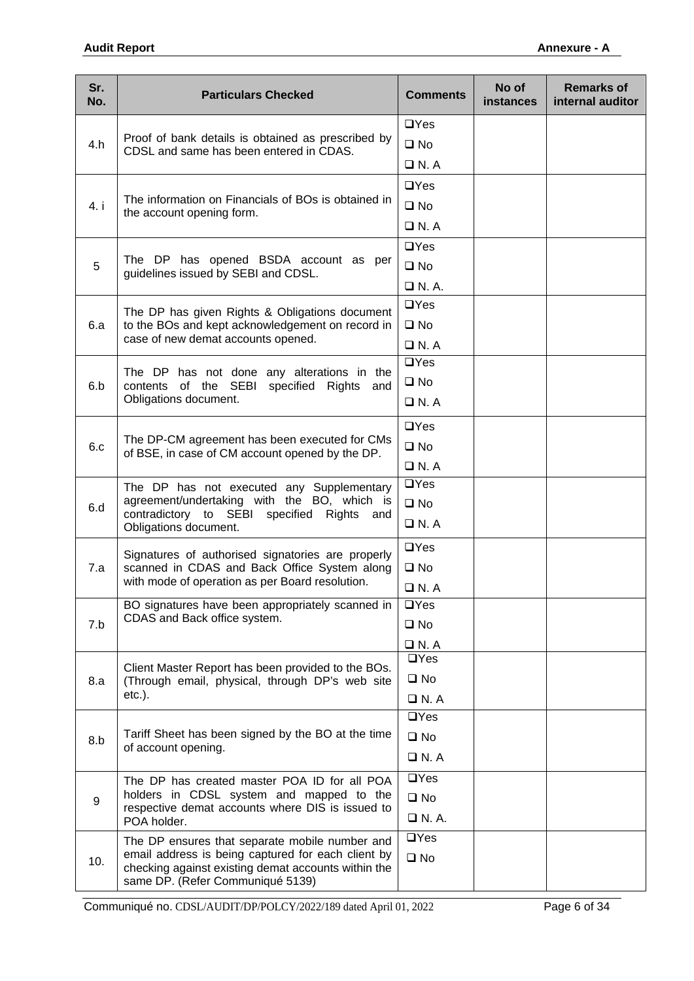| Sr.<br>No. | <b>Particulars Checked</b>                                                                                                                    | <b>Comments</b> | No of<br><b>instances</b> | <b>Remarks of</b><br>internal auditor |
|------------|-----------------------------------------------------------------------------------------------------------------------------------------------|-----------------|---------------------------|---------------------------------------|
|            |                                                                                                                                               | $\Box$ Yes      |                           |                                       |
| 4.h        | Proof of bank details is obtained as prescribed by<br>CDSL and same has been entered in CDAS.                                                 | $\square$ No    |                           |                                       |
|            |                                                                                                                                               | $\Box$ N. A     |                           |                                       |
|            |                                                                                                                                               | $\Box$ Yes      |                           |                                       |
| 4. i       | The information on Financials of BOs is obtained in<br>the account opening form.                                                              | $\square$ No    |                           |                                       |
|            |                                                                                                                                               | $\Box$ N.A      |                           |                                       |
|            |                                                                                                                                               | $\Box$ Yes      |                           |                                       |
| 5          | The DP has opened BSDA account as per<br>guidelines issued by SEBI and CDSL.                                                                  | $\square$ No    |                           |                                       |
|            |                                                                                                                                               | $\Box$ N.A.     |                           |                                       |
|            | The DP has given Rights & Obligations document                                                                                                | $\Box$ Yes      |                           |                                       |
| 6.a        | to the BOs and kept acknowledgement on record in                                                                                              | $\square$ No    |                           |                                       |
|            | case of new demat accounts opened.                                                                                                            | $\Box$ N.A      |                           |                                       |
|            | The DP has not done any alterations in the                                                                                                    | $\Box$ Yes      |                           |                                       |
| 6.b        | contents of the SEBI specified Rights<br>and                                                                                                  | $\square$ No    |                           |                                       |
|            | Obligations document.                                                                                                                         | $\Box$ N.A      |                           |                                       |
|            |                                                                                                                                               | $\Box$ Yes      |                           |                                       |
| 6.c        | The DP-CM agreement has been executed for CMs<br>of BSE, in case of CM account opened by the DP.                                              | $\square$ No    |                           |                                       |
|            |                                                                                                                                               | $\Box$ N.A      |                           |                                       |
|            | The DP has not executed any Supplementary                                                                                                     | $\Box$ Yes      |                           |                                       |
| 6.d        | agreement/undertaking with the BO, which is                                                                                                   | $\square$ No    |                           |                                       |
|            | contradictory to SEBI specified Rights and<br>Obligations document.                                                                           | $\Box$ N. A     |                           |                                       |
|            | Signatures of authorised signatories are properly                                                                                             | $\Box$ Yes      |                           |                                       |
| 7.a        | scanned in CDAS and Back Office System along                                                                                                  | $\square$ No    |                           |                                       |
|            | with mode of operation as per Board resolution.                                                                                               | $\Box$ N. A     |                           |                                       |
|            | BO signatures have been appropriately scanned in                                                                                              | $\Box$ Yes      |                           |                                       |
| 7.b        | CDAS and Back office system.                                                                                                                  | $\square$ No    |                           |                                       |
|            |                                                                                                                                               | $\Box$ N. A     |                           |                                       |
|            | Client Master Report has been provided to the BOs.                                                                                            | $\Box$ Yes      |                           |                                       |
| 8.a        | (Through email, physical, through DP's web site                                                                                               | $\square$ No    |                           |                                       |
|            | $etc.$ ).                                                                                                                                     | $\Box$ N. A     |                           |                                       |
|            |                                                                                                                                               | $\Box$ Yes      |                           |                                       |
| 8.b        | Tariff Sheet has been signed by the BO at the time<br>of account opening.                                                                     | $\square$ No    |                           |                                       |
|            |                                                                                                                                               | $\Box$ N.A      |                           |                                       |
|            | The DP has created master POA ID for all POA                                                                                                  | $\Box$ Yes      |                           |                                       |
| 9          | holders in CDSL system and mapped to the<br>respective demat accounts where DIS is issued to                                                  | $\square$ No    |                           |                                       |
|            | POA holder.                                                                                                                                   | $\Box$ N. A.    |                           |                                       |
|            | The DP ensures that separate mobile number and                                                                                                | $\Box$ Yes      |                           |                                       |
| 10.        | email address is being captured for each client by<br>checking against existing demat accounts within the<br>same DP. (Refer Communiqué 5139) | $\square$ No    |                           |                                       |

Communiqué no. CDSL/AUDIT/DP/POLCY/2022/189 dated April 01, 2022 Page 6 of 34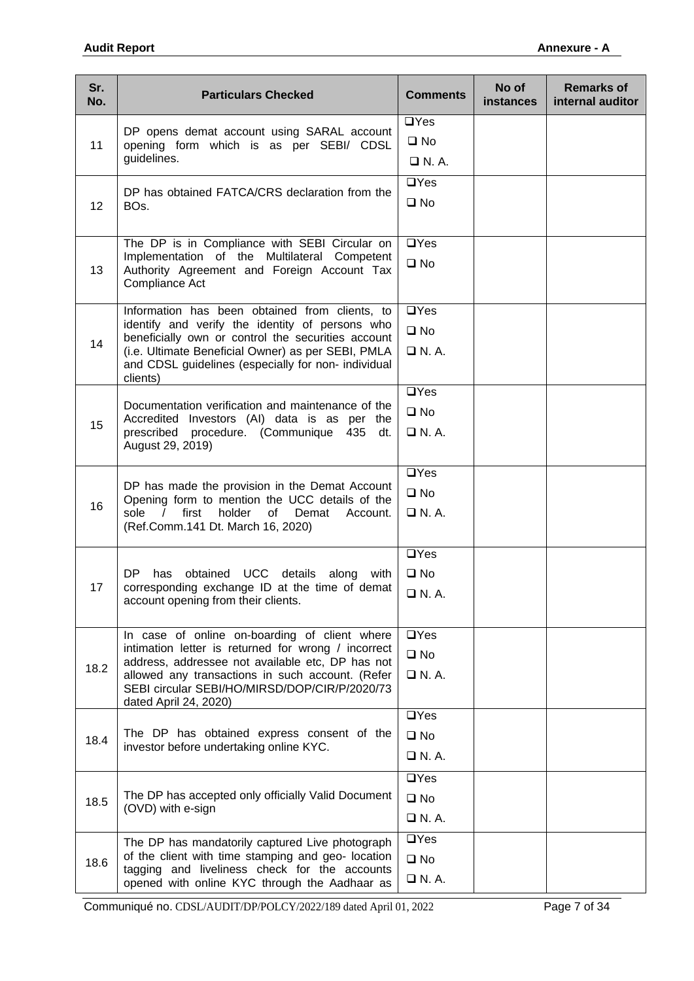| Sr.<br>No. | <b>Particulars Checked</b>                                                                                                                                                 | <b>Comments</b>    | No of<br>instances | <b>Remarks of</b><br>internal auditor |
|------------|----------------------------------------------------------------------------------------------------------------------------------------------------------------------------|--------------------|--------------------|---------------------------------------|
|            |                                                                                                                                                                            | $\Box$ Yes         |                    |                                       |
| 11         | DP opens demat account using SARAL account<br>opening form which is as per SEBI/ CDSL<br>guidelines.                                                                       | $\square$ No       |                    |                                       |
|            |                                                                                                                                                                            | $\Box$ N.A.        |                    |                                       |
|            |                                                                                                                                                                            | $\Box$ Yes         |                    |                                       |
| 12         | DP has obtained FATCA/CRS declaration from the<br>BO <sub>s.</sub>                                                                                                         | $\square$ No       |                    |                                       |
|            |                                                                                                                                                                            |                    |                    |                                       |
|            | The DP is in Compliance with SEBI Circular on                                                                                                                              | $\Box$ Yes         |                    |                                       |
| 13         | Implementation of the Multilateral Competent<br>Authority Agreement and Foreign Account Tax                                                                                | $\square$ No       |                    |                                       |
|            | Compliance Act                                                                                                                                                             |                    |                    |                                       |
|            | Information has been obtained from clients, to                                                                                                                             | $\Box$ Yes         |                    |                                       |
|            | identify and verify the identity of persons who                                                                                                                            | $\square$ No       |                    |                                       |
| 14         | beneficially own or control the securities account<br>(i.e. Ultimate Beneficial Owner) as per SEBI, PMLA                                                                   | $\Box$ N.A.        |                    |                                       |
|            | and CDSL guidelines (especially for non- individual                                                                                                                        |                    |                    |                                       |
|            | clients)                                                                                                                                                                   | $\Box$ Yes         |                    |                                       |
|            | Documentation verification and maintenance of the                                                                                                                          | $\square$ No       |                    |                                       |
| 15         | Accredited Investors (AI) data is as per the<br>prescribed procedure. (Communique<br>435<br>dt.<br>August 29, 2019)                                                        |                    |                    |                                       |
|            |                                                                                                                                                                            | $\Box$ N.A.        |                    |                                       |
|            | DP has made the provision in the Demat Account<br>Opening form to mention the UCC details of the<br>16<br>sole<br>first<br>holder<br>of<br>$\sqrt{2}$<br>Demat<br>Account. | $\Box$ Yes         |                    |                                       |
|            |                                                                                                                                                                            | $\square$ No       |                    |                                       |
|            |                                                                                                                                                                            | $\Box$ N. A.       |                    |                                       |
|            | (Ref.Comm.141 Dt. March 16, 2020)                                                                                                                                          |                    |                    |                                       |
|            |                                                                                                                                                                            | $\overline{UY}$ es |                    |                                       |
|            | DP<br>obtained UCC details along<br>has<br>with                                                                                                                            | $\square$ No       |                    |                                       |
| 17         | corresponding exchange ID at the time of demat<br>account opening from their clients.                                                                                      | □ N. A.            |                    |                                       |
|            |                                                                                                                                                                            |                    |                    |                                       |
|            | In case of online on-boarding of client where                                                                                                                              | $\Box$ Yes         |                    |                                       |
|            | intimation letter is returned for wrong / incorrect<br>address, addressee not available etc, DP has not                                                                    | $\square$ No       |                    |                                       |
| 18.2       | allowed any transactions in such account. (Refer                                                                                                                           | $\Box$ N. A.       |                    |                                       |
|            | SEBI circular SEBI/HO/MIRSD/DOP/CIR/P/2020/73<br>dated April 24, 2020)                                                                                                     |                    |                    |                                       |
|            |                                                                                                                                                                            | $\Box$ Yes         |                    |                                       |
| 18.4       | The DP has obtained express consent of the                                                                                                                                 | $\square$ No       |                    |                                       |
|            | investor before undertaking online KYC.                                                                                                                                    | $\Box$ N. A.       |                    |                                       |
|            |                                                                                                                                                                            | $\Box$ Yes         |                    |                                       |
| 18.5       | The DP has accepted only officially Valid Document                                                                                                                         | $\square$ No       |                    |                                       |
|            | (OVD) with e-sign                                                                                                                                                          | $\Box$ N. A.       |                    |                                       |
|            | The DP has mandatorily captured Live photograph                                                                                                                            | $\Box$ Yes         |                    |                                       |
| 18.6       | of the client with time stamping and geo- location                                                                                                                         | $\square$ No       |                    |                                       |
|            | tagging and liveliness check for the accounts<br>opened with online KYC through the Aadhaar as                                                                             | $\Box$ N. A.       |                    |                                       |

Communiqué no. CDSL/AUDIT/DP/POLCY/2022/189 dated April 01, 2022 Page 7 of 34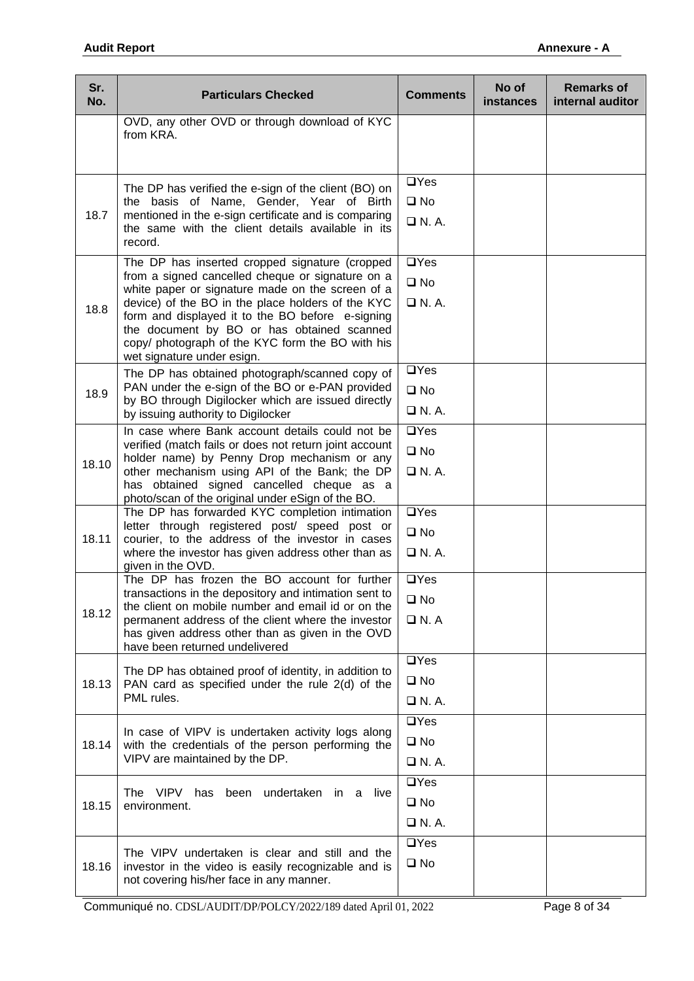| Sr.<br>No. | <b>Particulars Checked</b>                                                                                                                                                                                                                                                                                                                                                                      | <b>Comments</b>                            | No of<br>instances | <b>Remarks of</b><br>internal auditor |
|------------|-------------------------------------------------------------------------------------------------------------------------------------------------------------------------------------------------------------------------------------------------------------------------------------------------------------------------------------------------------------------------------------------------|--------------------------------------------|--------------------|---------------------------------------|
|            | OVD, any other OVD or through download of KYC<br>from KRA.                                                                                                                                                                                                                                                                                                                                      |                                            |                    |                                       |
| 18.7       | The DP has verified the e-sign of the client (BO) on<br>the basis of Name, Gender, Year of Birth<br>mentioned in the e-sign certificate and is comparing<br>the same with the client details available in its<br>record.                                                                                                                                                                        | $\Box$ Yes<br>$\square$ No<br>$\Box$ N.A.  |                    |                                       |
| 18.8       | The DP has inserted cropped signature (cropped<br>from a signed cancelled cheque or signature on a<br>white paper or signature made on the screen of a<br>device) of the BO in the place holders of the KYC<br>form and displayed it to the BO before e-signing<br>the document by BO or has obtained scanned<br>copy/ photograph of the KYC form the BO with his<br>wet signature under esign. | $\Box$ Yes<br>$\square$ No<br>$\Box$ N.A.  |                    |                                       |
| 18.9       | The DP has obtained photograph/scanned copy of<br>PAN under the e-sign of the BO or e-PAN provided<br>by BO through Digilocker which are issued directly<br>by issuing authority to Digilocker                                                                                                                                                                                                  | $\Box$ Yes<br>$\square$ No<br>$\Box$ N.A.  |                    |                                       |
| 18.10      | In case where Bank account details could not be<br>verified (match fails or does not return joint account<br>holder name) by Penny Drop mechanism or any<br>other mechanism using API of the Bank; the DP<br>has obtained signed cancelled cheque as a<br>photo/scan of the original under eSign of the BO.                                                                                     | $\Box$ Yes<br>$\square$ No<br>$\Box$ N.A.  |                    |                                       |
| 18.11      | The DP has forwarded KYC completion intimation<br>letter through registered post/ speed post or<br>courier, to the address of the investor in cases<br>where the investor has given address other than as<br>given in the OVD.                                                                                                                                                                  | $\Box$ Yes<br>$\square$ No<br>$\Box$ N.A.  |                    |                                       |
| 18.12      | The DP has frozen the BO account for further<br>transactions in the depository and intimation sent to<br>the client on mobile number and email id or on the<br>permanent address of the client where the investor<br>has given address other than as given in the OVD<br>have been returned undelivered                                                                                         | $\Box$ Yes<br>$\square$ No<br>$\Box$ N.A   |                    |                                       |
| 18.13      | The DP has obtained proof of identity, in addition to<br>PAN card as specified under the rule 2(d) of the<br>PML rules.                                                                                                                                                                                                                                                                         | $\Box$ Yes<br>$\square$ No<br>$\Box$ N.A.  |                    |                                       |
| 18.14      | In case of VIPV is undertaken activity logs along<br>with the credentials of the person performing the<br>VIPV are maintained by the DP.                                                                                                                                                                                                                                                        | $\Box$ Yes<br>$\square$ No<br>$\Box$ N. A. |                    |                                       |
| 18.15      | The VIPV has been undertaken in a live<br>environment.                                                                                                                                                                                                                                                                                                                                          | $\Box$ Yes<br>$\square$ No<br>$\Box$ N. A. |                    |                                       |
| 18.16      | The VIPV undertaken is clear and still and the<br>investor in the video is easily recognizable and is<br>not covering his/her face in any manner.                                                                                                                                                                                                                                               | $\Box$ Yes<br>$\square$ No                 |                    |                                       |

Communiqué no. CDSL/AUDIT/DP/POLCY/2022/189 dated April 01, 2022 Page 8 of 34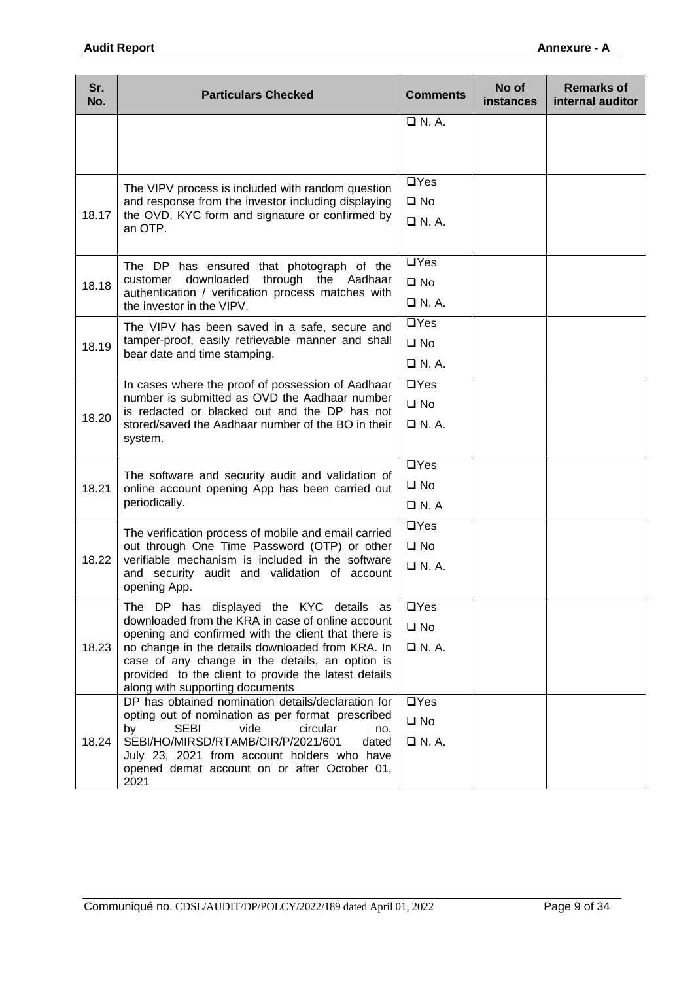| Sr.<br>No. | <b>Particulars Checked</b>                                                                                                                                                                                                                                                                                                                            | <b>Comments</b>                            | No of<br><b>instances</b> | <b>Remarks of</b><br>internal auditor |
|------------|-------------------------------------------------------------------------------------------------------------------------------------------------------------------------------------------------------------------------------------------------------------------------------------------------------------------------------------------------------|--------------------------------------------|---------------------------|---------------------------------------|
|            |                                                                                                                                                                                                                                                                                                                                                       | $\Box$ N.A.                                |                           |                                       |
| 18.17      | The VIPV process is included with random question<br>and response from the investor including displaying<br>the OVD, KYC form and signature or confirmed by<br>an OTP.                                                                                                                                                                                | $\Box$ Yes<br>$\square$ No<br>$\Box$ N. A. |                           |                                       |
| 18.18      | The DP has ensured that photograph of the<br>downloaded<br>through the Aadhaar<br>customer<br>authentication / verification process matches with<br>the investor in the VIPV.                                                                                                                                                                         | $\Box$ Yes<br>$\square$ No<br>$\Box$ N.A.  |                           |                                       |
| 18.19      | The VIPV has been saved in a safe, secure and<br>tamper-proof, easily retrievable manner and shall<br>bear date and time stamping.                                                                                                                                                                                                                    | $\Box$ Yes<br>$\square$ No<br>$\Box$ N.A.  |                           |                                       |
| 18.20      | In cases where the proof of possession of Aadhaar<br>number is submitted as OVD the Aadhaar number<br>is redacted or blacked out and the DP has not<br>stored/saved the Aadhaar number of the BO in their<br>system.                                                                                                                                  | $\Box$ Yes<br>$\square$ No<br>$\Box$ N.A.  |                           |                                       |
| 18.21      | The software and security audit and validation of<br>online account opening App has been carried out<br>periodically.                                                                                                                                                                                                                                 | $\Box$ Yes<br>$\square$ No<br>$\Box$ N. A  |                           |                                       |
| 18.22      | The verification process of mobile and email carried<br>out through One Time Password (OTP) or other<br>verifiable mechanism is included in the software<br>and security audit and validation of account<br>opening App.                                                                                                                              | $\Box$ Yes<br>$\square$ No<br>$\Box$ N.A.  |                           |                                       |
| 18.23      | The DP has displayed the KYC details as<br>downloaded from the KRA in case of online account<br>opening and confirmed with the client that there is<br>no change in the details downloaded from KRA. In<br>case of any change in the details, an option is<br>provided to the client to provide the latest details<br>along with supporting documents | $\Box$ Yes<br>$\square$ No<br>$\Box$ N. A. |                           |                                       |
| 18.24      | DP has obtained nomination details/declaration for<br>opting out of nomination as per format prescribed<br><b>SEBI</b><br>vide<br>circular<br>by<br>no.<br>SEBI/HO/MIRSD/RTAMB/CIR/P/2021/601<br>dated<br>July 23, 2021 from account holders who have<br>opened demat account on or after October 01,<br>2021                                         | $\Box$ Yes<br>$\square$ No<br>$\Box$ N.A.  |                           |                                       |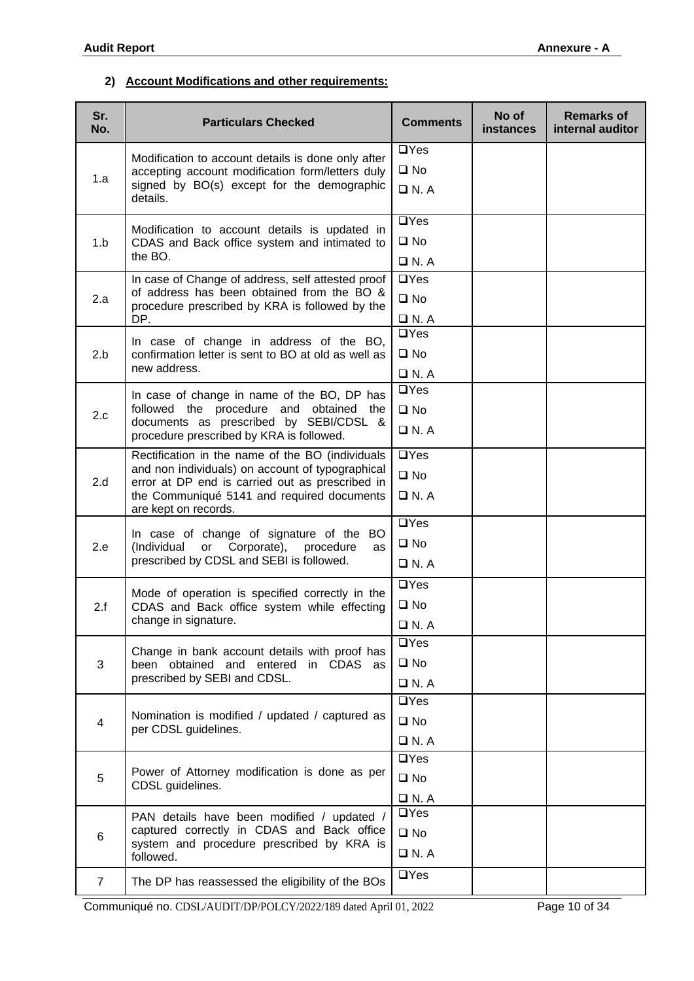### **2) Account Modifications and other requirements:**

| Sr.<br>No.              | <b>Particulars Checked</b>                                                                                                                                                                                                           | <b>Comments</b> | No of<br>instances | <b>Remarks of</b><br>internal auditor |
|-------------------------|--------------------------------------------------------------------------------------------------------------------------------------------------------------------------------------------------------------------------------------|-----------------|--------------------|---------------------------------------|
|                         | Modification to account details is done only after                                                                                                                                                                                   | $\Box$ Yes      |                    |                                       |
| 1.a                     | accepting account modification form/letters duly                                                                                                                                                                                     | $\square$ No    |                    |                                       |
|                         | signed by BO(s) except for the demographic<br>details.                                                                                                                                                                               | $\Box$ N. A     |                    |                                       |
|                         | Modification to account details is updated in                                                                                                                                                                                        | $\Box$ Yes      |                    |                                       |
| 1.b                     | CDAS and Back office system and intimated to                                                                                                                                                                                         | $\square$ No    |                    |                                       |
|                         | the BO.                                                                                                                                                                                                                              | $\Box$ N.A      |                    |                                       |
|                         | In case of Change of address, self attested proof                                                                                                                                                                                    | $\Box$ Yes      |                    |                                       |
| 2.a                     | of address has been obtained from the BO &<br>procedure prescribed by KRA is followed by the                                                                                                                                         | $\square$ No    |                    |                                       |
|                         | DP.                                                                                                                                                                                                                                  | $\Box$ N.A      |                    |                                       |
|                         | In case of change in address of the BO,                                                                                                                                                                                              | $\Box$ Yes      |                    |                                       |
| 2.b                     | confirmation letter is sent to BO at old as well as                                                                                                                                                                                  | $\square$ No    |                    |                                       |
|                         | new address.                                                                                                                                                                                                                         | $\Box$ N.A      |                    |                                       |
|                         | In case of change in name of the BO, DP has                                                                                                                                                                                          | $\Box$ Yes      |                    |                                       |
| 2.c                     | followed the procedure and obtained the<br>documents as prescribed by SEBI/CDSL &                                                                                                                                                    | $\square$ No    |                    |                                       |
|                         | procedure prescribed by KRA is followed.                                                                                                                                                                                             | $\Box$ N.A      |                    |                                       |
|                         | Rectification in the name of the BO (individuals<br>and non individuals) on account of typographical<br>2.d<br>error at DP end is carried out as prescribed in<br>the Communiqué 5141 and required documents<br>are kept on records. | $\Box$ Yes      |                    |                                       |
|                         |                                                                                                                                                                                                                                      | $\square$ No    |                    |                                       |
|                         |                                                                                                                                                                                                                                      | $\Box$ N. A     |                    |                                       |
|                         | In case of change of signature of the BO                                                                                                                                                                                             | $\Box$ Yes      |                    |                                       |
| 2.e                     | or Corporate), procedure<br>(Individual<br>as                                                                                                                                                                                        | $\square$ No    |                    |                                       |
|                         | prescribed by CDSL and SEBI is followed.                                                                                                                                                                                             | $\Box$ N.A      |                    |                                       |
|                         | Mode of operation is specified correctly in the                                                                                                                                                                                      | $\Box$ Yes      |                    |                                       |
| 2.f                     | CDAS and Back office system while effecting                                                                                                                                                                                          | $\square$ No    |                    |                                       |
|                         | change in signature.                                                                                                                                                                                                                 | $\Box$ N. A     |                    |                                       |
|                         | Change in bank account details with proof has                                                                                                                                                                                        | $\Box$ Yes      |                    |                                       |
| 3                       | been obtained and entered in CDAS as                                                                                                                                                                                                 | $\square$ No    |                    |                                       |
|                         | prescribed by SEBI and CDSL.                                                                                                                                                                                                         | $\Box$ N.A      |                    |                                       |
|                         |                                                                                                                                                                                                                                      | $\Box$ Yes      |                    |                                       |
| $\overline{\mathbf{4}}$ | Nomination is modified / updated / captured as<br>per CDSL guidelines.                                                                                                                                                               | $\square$ No    |                    |                                       |
|                         |                                                                                                                                                                                                                                      | $\Box$ N.A      |                    |                                       |
|                         |                                                                                                                                                                                                                                      | $\Box$ Yes      |                    |                                       |
| 5                       | Power of Attorney modification is done as per<br>CDSL guidelines.                                                                                                                                                                    | $\square$ No    |                    |                                       |
|                         |                                                                                                                                                                                                                                      | $\Box$ N.A      |                    |                                       |
|                         | PAN details have been modified / updated /                                                                                                                                                                                           | $\Box$ Yes      |                    |                                       |
| 6                       | captured correctly in CDAS and Back office<br>system and procedure prescribed by KRA is                                                                                                                                              | $\square$ No    |                    |                                       |
|                         | followed.                                                                                                                                                                                                                            | $\Box$ N.A      |                    |                                       |
| 7                       | The DP has reassessed the eligibility of the BOs                                                                                                                                                                                     | $\Box$ Yes      |                    |                                       |

Communiqué no. CDSL/AUDIT/DP/POLCY/2022/189 dated April 01, 2022 Page 10 of 34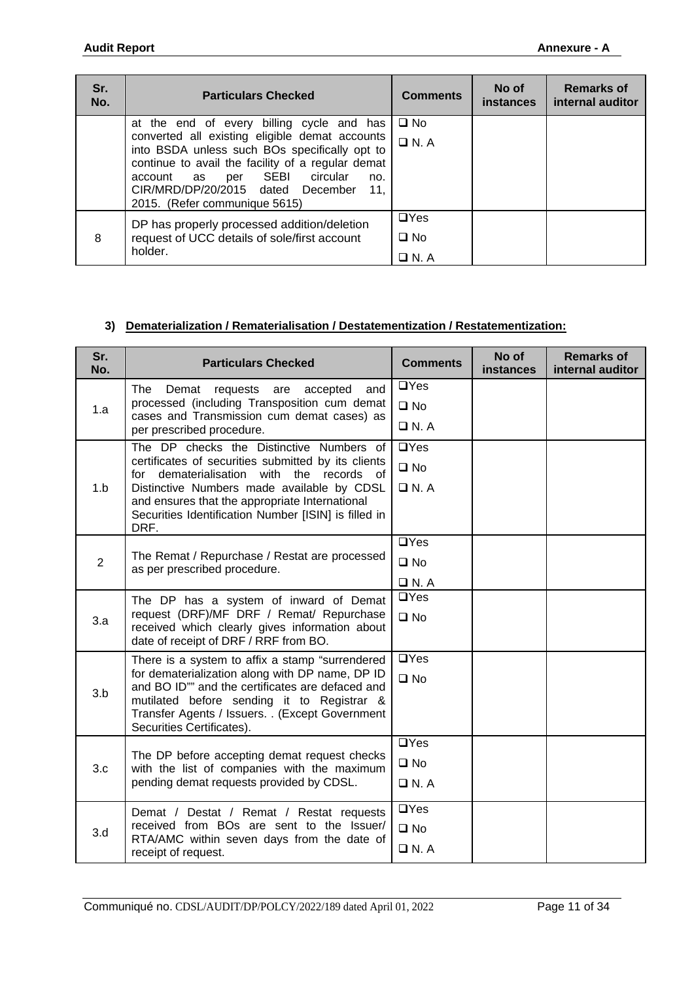| Sr.<br>No. | <b>Particulars Checked</b>                                                                                                                                                                                                                                                                                                  | <b>Comments</b>                           | No of<br>instances | <b>Remarks of</b><br>internal auditor |
|------------|-----------------------------------------------------------------------------------------------------------------------------------------------------------------------------------------------------------------------------------------------------------------------------------------------------------------------------|-------------------------------------------|--------------------|---------------------------------------|
|            | at the end of every billing cycle and has<br>converted all existing eligible demat accounts<br>into BSDA unless such BOs specifically opt to<br>continue to avail the facility of a regular demat<br>per SEBI<br>circular<br>account as<br>no.<br>CIR/MRD/DP/20/2015 dated December<br>11.<br>2015. (Refer communique 5615) | $\square$ No<br>$\Box$ N.A                |                    |                                       |
| 8          | DP has properly processed addition/deletion<br>request of UCC details of sole/first account<br>holder.                                                                                                                                                                                                                      | $\Box$ Yes<br>$\square$ No<br>$\Box$ N. A |                    |                                       |

### **3) Dematerialization / Rematerialisation / Destatementization / Restatementization:**

| Sr.<br>No.     | <b>Particulars Checked</b>                                                                                                           | <b>Comments</b>    | No of<br>instances | <b>Remarks of</b><br>internal auditor |
|----------------|--------------------------------------------------------------------------------------------------------------------------------------|--------------------|--------------------|---------------------------------------|
|                | <b>The</b><br>Demat<br>and<br>requests<br>accepted<br>are                                                                            | $\Box$ Yes         |                    |                                       |
| 1.a            | processed (including Transposition cum demat<br>cases and Transmission cum demat cases) as                                           | $\square$ No       |                    |                                       |
|                | per prescribed procedure.                                                                                                            | $\Box$ N.A         |                    |                                       |
|                | The DP checks the Distinctive Numbers of                                                                                             | $\Box$ Yes         |                    |                                       |
|                | certificates of securities submitted by its clients<br>dematerialisation<br>with the records<br>for<br>of                            | $\square$ No       |                    |                                       |
| 1.b            | Distinctive Numbers made available by CDSL                                                                                           | $\Box$ N.A         |                    |                                       |
|                | and ensures that the appropriate International<br>Securities Identification Number [ISIN] is filled in                               |                    |                    |                                       |
|                | DRF.                                                                                                                                 |                    |                    |                                       |
|                |                                                                                                                                      | $\Box$ Yes         |                    |                                       |
| $\overline{2}$ | The Remat / Repurchase / Restat are processed<br>as per prescribed procedure.                                                        | $\square$ No       |                    |                                       |
|                |                                                                                                                                      | $\Box$ N.A         |                    |                                       |
|                | The DP has a system of inward of Demat<br>request (DRF)/MF DRF / Remat/ Repurchase<br>received which clearly gives information about | $\Box$ Yes         |                    |                                       |
| 3.a            |                                                                                                                                      | $\square$ No       |                    |                                       |
|                | date of receipt of DRF / RRF from BO.                                                                                                |                    |                    |                                       |
|                | There is a system to affix a stamp "surrendered                                                                                      | $\Box$ Yes         |                    |                                       |
|                | for dematerialization along with DP name, DP ID<br>and BO ID"" and the certificates are defaced and                                  | $\square$ No       |                    |                                       |
| 3.b            | mutilated before sending it to Registrar &                                                                                           |                    |                    |                                       |
|                | Transfer Agents / Issuers. . (Except Government<br>Securities Certificates).                                                         |                    |                    |                                       |
|                |                                                                                                                                      | $\Box$ Yes         |                    |                                       |
| 3.c            | The DP before accepting demat request checks<br>with the list of companies with the maximum                                          | $\square$ No       |                    |                                       |
|                | pending demat requests provided by CDSL.                                                                                             | $\Box$ N.A         |                    |                                       |
|                |                                                                                                                                      |                    |                    |                                       |
|                | Demat / Destat / Remat / Restat requests<br>received from BOs are sent to the Issuer/                                                | $\overline{UY}$ es |                    |                                       |
| 3.d            | RTA/AMC within seven days from the date of                                                                                           | $\square$ No       |                    |                                       |
|                | receipt of request.                                                                                                                  | $\Box$ N.A         |                    |                                       |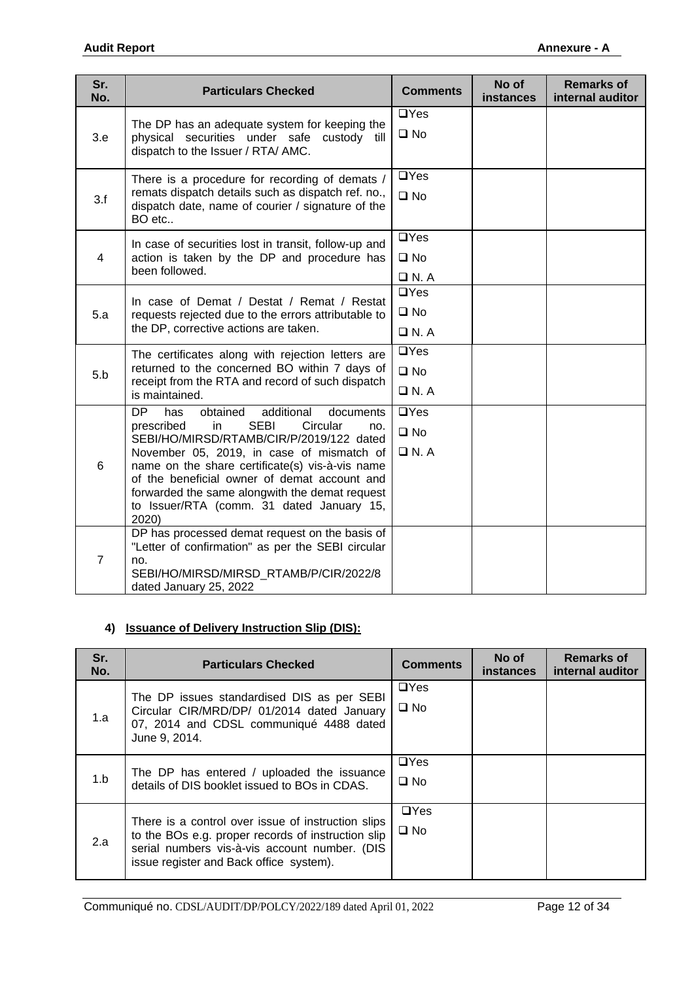| Sr.<br>No.     | <b>Particulars Checked</b>                                                                                                                                                                                                                                                                                                                                                                                        | <b>Comments</b>                           | No of<br>instances | <b>Remarks of</b><br>internal auditor |
|----------------|-------------------------------------------------------------------------------------------------------------------------------------------------------------------------------------------------------------------------------------------------------------------------------------------------------------------------------------------------------------------------------------------------------------------|-------------------------------------------|--------------------|---------------------------------------|
| 3.e            | The DP has an adequate system for keeping the<br>physical securities under safe custody till<br>dispatch to the Issuer / RTA/ AMC.                                                                                                                                                                                                                                                                                | $\Box$ Yes<br>$\square$ No                |                    |                                       |
| 3.f            | There is a procedure for recording of demats /<br>remats dispatch details such as dispatch ref. no.,<br>dispatch date, name of courier / signature of the<br>BO etc                                                                                                                                                                                                                                               | $\Box$ Yes<br>$\square$ No                |                    |                                       |
| $\overline{4}$ | In case of securities lost in transit, follow-up and<br>action is taken by the DP and procedure has<br>been followed.                                                                                                                                                                                                                                                                                             | $\Box$ Yes<br>$\square$ No<br>$\Box$ N. A |                    |                                       |
| 5.a            | In case of Demat / Destat / Remat / Restat<br>requests rejected due to the errors attributable to<br>the DP, corrective actions are taken.                                                                                                                                                                                                                                                                        | $\Box$ Yes<br>$\square$ No<br>$\Box$ N.A  |                    |                                       |
| 5.b            | The certificates along with rejection letters are<br>returned to the concerned BO within 7 days of<br>receipt from the RTA and record of such dispatch<br>is maintained.                                                                                                                                                                                                                                          | $\Box$ Yes<br>$\square$ No<br>$\Box$ N.A  |                    |                                       |
| 6              | <b>DP</b><br>has<br>obtained<br>additional<br>documents<br><b>SEBI</b><br>prescribed<br>in<br>Circular<br>no.<br>SEBI/HO/MIRSD/RTAMB/CIR/P/2019/122 dated<br>November 05, 2019, in case of mismatch of<br>name on the share certificate(s) vis-à-vis name<br>of the beneficial owner of demat account and<br>forwarded the same alongwith the demat request<br>to Issuer/RTA (comm. 31 dated January 15,<br>2020) | $\Box$ Yes<br>$\square$ No<br>$\Box$ N.A  |                    |                                       |
| $\overline{7}$ | DP has processed demat request on the basis of<br>"Letter of confirmation" as per the SEBI circular<br>no.<br>SEBI/HO/MIRSD/MIRSD_RTAMB/P/CIR/2022/8<br>dated January 25, 2022                                                                                                                                                                                                                                    |                                           |                    |                                       |

## **4) Issuance of Delivery Instruction Slip (DIS):**

| Sr.<br>No. | <b>Particulars Checked</b>                                                                                                                                                                           | <b>Comments</b>            | No of<br><b>instances</b> | <b>Remarks of</b><br>internal auditor |
|------------|------------------------------------------------------------------------------------------------------------------------------------------------------------------------------------------------------|----------------------------|---------------------------|---------------------------------------|
| 1.a        | The DP issues standardised DIS as per SEBI<br>Circular CIR/MRD/DP/ 01/2014 dated January<br>07, 2014 and CDSL communiqué 4488 dated<br>June 9, 2014.                                                 | $\Box$ Yes<br>$\square$ No |                           |                                       |
| 1.b        | The DP has entered / uploaded the issuance<br>details of DIS booklet issued to BOs in CDAS.                                                                                                          | $\Box$ Yes<br>$\square$ No |                           |                                       |
| 2.a        | There is a control over issue of instruction slips<br>to the BOs e.g. proper records of instruction slip<br>serial numbers vis-à-vis account number. (DIS<br>issue register and Back office system). | $\Box$ Yes<br>$\square$ No |                           |                                       |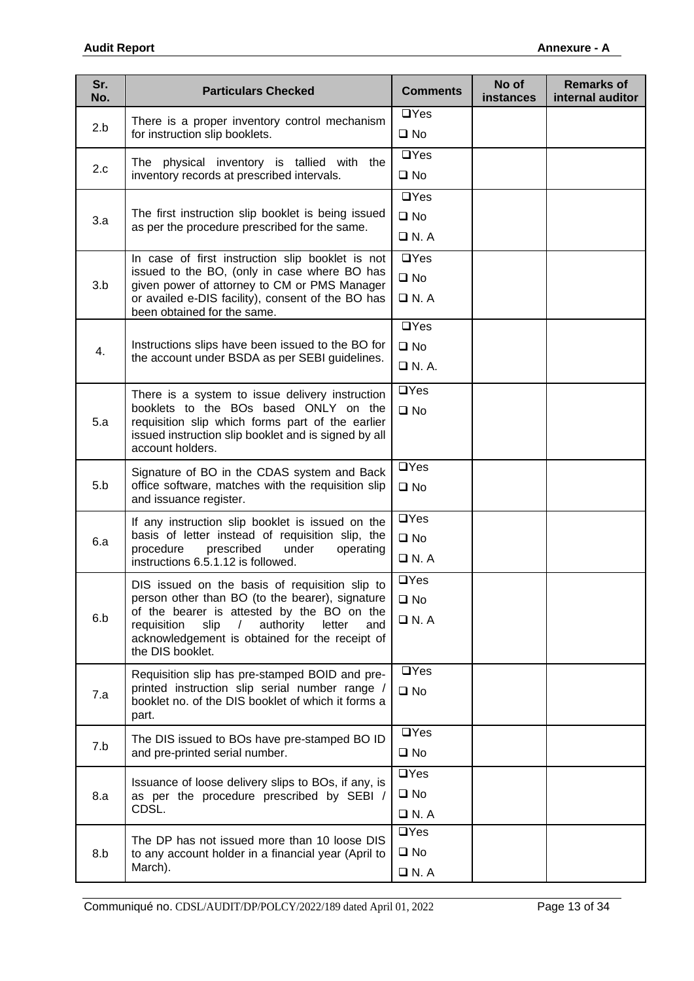| Sr.<br>No. | <b>Particulars Checked</b>                                                                                  | <b>Comments</b>    | No of<br><b>instances</b> | <b>Remarks of</b><br>internal auditor |
|------------|-------------------------------------------------------------------------------------------------------------|--------------------|---------------------------|---------------------------------------|
| 2.b        | There is a proper inventory control mechanism                                                               | $\Box$ Yes         |                           |                                       |
|            | for instruction slip booklets.                                                                              | $\square$ No       |                           |                                       |
| 2.c        | The physical inventory is tallied with the                                                                  | $\Box$ Yes         |                           |                                       |
|            | inventory records at prescribed intervals.                                                                  | $\square$ No       |                           |                                       |
|            |                                                                                                             | $\Box$ Yes         |                           |                                       |
| 3.a        | The first instruction slip booklet is being issued<br>as per the procedure prescribed for the same.         | $\square$ No       |                           |                                       |
|            |                                                                                                             | $\Box$ N.A         |                           |                                       |
|            | In case of first instruction slip booklet is not<br>issued to the BO, (only in case where BO has            | $\Box$ Yes         |                           |                                       |
| 3.b        | given power of attorney to CM or PMS Manager                                                                | $\square$ No       |                           |                                       |
|            | or availed e-DIS facility), consent of the BO has<br>been obtained for the same.                            | $\Box$ N.A         |                           |                                       |
|            |                                                                                                             | $\Box$ Yes         |                           |                                       |
| 4.         | Instructions slips have been issued to the BO for<br>the account under BSDA as per SEBI guidelines.         | $\square$ No       |                           |                                       |
|            |                                                                                                             | $\Box$ N. A.       |                           |                                       |
|            | There is a system to issue delivery instruction                                                             | $\Box$ Yes         |                           |                                       |
|            | booklets to the BOs based ONLY on the                                                                       | $\square$ No       |                           |                                       |
| 5.a        | requisition slip which forms part of the earlier<br>issued instruction slip booklet and is signed by all    |                    |                           |                                       |
|            | account holders.                                                                                            |                    |                           |                                       |
|            | Signature of BO in the CDAS system and Back                                                                 | $\Box$ Yes         |                           |                                       |
| 5.b        | office software, matches with the requisition slip<br>and issuance register.                                | $\square$ No       |                           |                                       |
|            | If any instruction slip booklet is issued on the                                                            | $\overline{UY}$ es |                           |                                       |
| 6.a        | basis of letter instead of requisition slip, the                                                            | $\square$ No       |                           |                                       |
|            | procedure<br>prescribed<br>under<br>operating<br>instructions 6.5.1.12 is followed.                         | $\Box$ N.A         |                           |                                       |
|            | DIS issued on the basis of requisition slip to                                                              | $\Box$ Yes         |                           |                                       |
|            | person other than BO (to the bearer), signature                                                             | $\square$ No       |                           |                                       |
| 6.b        | of the bearer is attested by the BO on the<br>authority<br>requisition<br>slip<br>letter<br>and<br>$\prime$ | $\Box$ N.A         |                           |                                       |
|            | acknowledgement is obtained for the receipt of<br>the DIS booklet.                                          |                    |                           |                                       |
|            |                                                                                                             | $\Box$ Yes         |                           |                                       |
| 7.a        | Requisition slip has pre-stamped BOID and pre-<br>printed instruction slip serial number range /            | $\square$ No       |                           |                                       |
|            | booklet no. of the DIS booklet of which it forms a<br>part.                                                 |                    |                           |                                       |
|            |                                                                                                             | $\Box$ Yes         |                           |                                       |
| 7.b        | The DIS issued to BOs have pre-stamped BO ID<br>and pre-printed serial number.                              | $\square$ No       |                           |                                       |
|            |                                                                                                             | $\Box$ Yes         |                           |                                       |
| 8.a        | Issuance of loose delivery slips to BOs, if any, is<br>as per the procedure prescribed by SEBI /            | $\square$ No       |                           |                                       |
|            | CDSL.                                                                                                       | $\Box$ N. A        |                           |                                       |
|            | The DP has not issued more than 10 loose DIS                                                                | $\Box$ Yes         |                           |                                       |
| 8.b        | to any account holder in a financial year (April to                                                         | $\square$ No       |                           |                                       |
|            | March).                                                                                                     | $\Box$ N.A         |                           |                                       |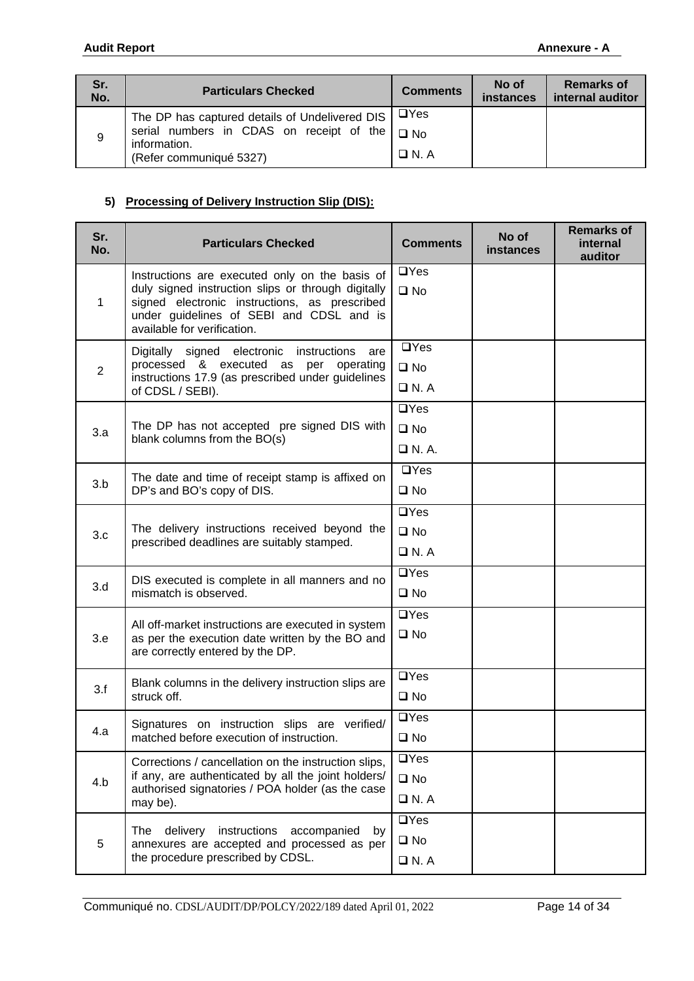| Sr.<br>No. | <b>Particulars Checked</b>                               | <b>Comments</b> | No of<br><b>instances</b> | <b>Remarks of</b><br>internal auditor |
|------------|----------------------------------------------------------|-----------------|---------------------------|---------------------------------------|
|            | The DP has captured details of Undelivered DIS           | $\Box$ Yes      |                           |                                       |
| 9          | serial numbers in CDAS on receipt of the<br>information. | $\square$ No    |                           |                                       |
|            | (Refer communiqué 5327)                                  | $\Box N. A$     |                           |                                       |

## **5) Processing of Delivery Instruction Slip (DIS):**

| Sr.<br>No.     | <b>Particulars Checked</b>                                                                              | <b>Comments</b> | No of<br><b>instances</b> | <b>Remarks of</b><br>internal<br>auditor |
|----------------|---------------------------------------------------------------------------------------------------------|-----------------|---------------------------|------------------------------------------|
|                | Instructions are executed only on the basis of                                                          | $\Box$ Yes      |                           |                                          |
| 1              | duly signed instruction slips or through digitally<br>signed electronic instructions, as prescribed     | $\square$ No    |                           |                                          |
|                | under guidelines of SEBI and CDSL and is<br>available for verification.                                 |                 |                           |                                          |
|                | Digitally signed electronic<br>instructions<br>are                                                      | $\Box$ Yes      |                           |                                          |
| $\overline{2}$ | processed & executed<br>as<br>per operating<br>instructions 17.9 (as prescribed under guidelines        | $\square$ No    |                           |                                          |
|                | of CDSL / SEBI).                                                                                        | $\Box$ N.A      |                           |                                          |
|                |                                                                                                         | $\Box$ Yes      |                           |                                          |
| 3.a            | The DP has not accepted pre signed DIS with<br>blank columns from the BO(s)                             | $\square$ No    |                           |                                          |
|                |                                                                                                         | $\Box$ N.A.     |                           |                                          |
|                | The date and time of receipt stamp is affixed on                                                        | $\Box$ Yes      |                           |                                          |
| 3.b            | DP's and BO's copy of DIS.                                                                              | $\square$ No    |                           |                                          |
|                |                                                                                                         | $\Box$ Yes      |                           |                                          |
| 3.c            | The delivery instructions received beyond the<br>prescribed deadlines are suitably stamped.             | $\square$ No    |                           |                                          |
|                |                                                                                                         | $\Box$ N.A      |                           |                                          |
|                | DIS executed is complete in all manners and no                                                          | $\Box$ Yes      |                           |                                          |
| 3.d            | mismatch is observed.                                                                                   | $\square$ No    |                           |                                          |
|                |                                                                                                         | $\Box$ Yes      |                           |                                          |
| 3.e            | All off-market instructions are executed in system<br>as per the execution date written by the BO and   | $\square$ No    |                           |                                          |
|                | are correctly entered by the DP.                                                                        |                 |                           |                                          |
|                | Blank columns in the delivery instruction slips are                                                     | $\Box$ Yes      |                           |                                          |
| 3.f            | struck off.                                                                                             | $\square$ No    |                           |                                          |
|                | Signatures on instruction slips are verified/                                                           | $\Box$ Yes      |                           |                                          |
| 4.a            | matched before execution of instruction.                                                                | $\square$ No    |                           |                                          |
|                | Corrections / cancellation on the instruction slips,                                                    | $\Box$ Yes      |                           |                                          |
| 4.b            | if any, are authenticated by all the joint holders/<br>authorised signatories / POA holder (as the case | $\square$ No    |                           |                                          |
|                | may be).                                                                                                | $\Box$ N.A      |                           |                                          |
|                | delivery instructions<br>accompanied<br>The<br>by                                                       | $\Box$ Yes      |                           |                                          |
| 5              | annexures are accepted and processed as per                                                             | $\square$ No    |                           |                                          |
|                | the procedure prescribed by CDSL.                                                                       | $\Box$ N.A      |                           |                                          |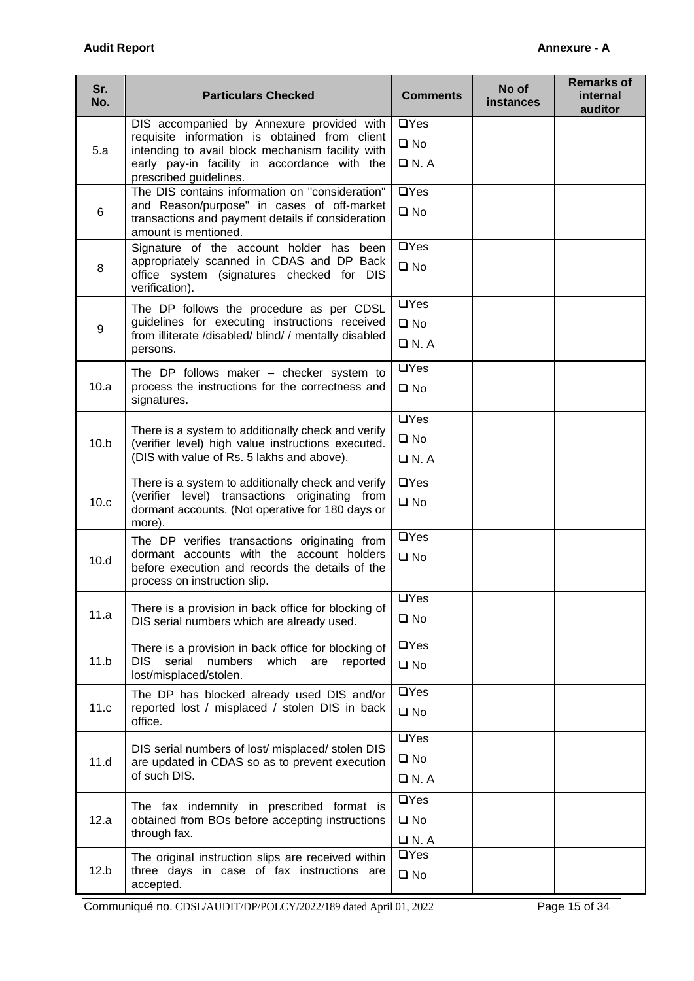| Sr.<br>No. | <b>Particulars Checked</b>                                                                                                   | <b>Comments</b>    | No of<br><b>instances</b> | <b>Remarks of</b><br>internal<br>auditor |
|------------|------------------------------------------------------------------------------------------------------------------------------|--------------------|---------------------------|------------------------------------------|
|            | DIS accompanied by Annexure provided with                                                                                    | $\Box$ Yes         |                           |                                          |
| 5.a        | requisite information is obtained from client<br>intending to avail block mechanism facility with                            | $\square$ No       |                           |                                          |
|            | early pay-in facility in accordance with the<br>prescribed guidelines.                                                       | $\Box$ N. A        |                           |                                          |
|            | The DIS contains information on "consideration"<br>and Reason/purpose" in cases of off-market                                | $\Box$ Yes         |                           |                                          |
| 6          | transactions and payment details if consideration<br>amount is mentioned.                                                    | $\square$ No       |                           |                                          |
|            | Signature of the account holder has been                                                                                     | $\Box$ Yes         |                           |                                          |
| 8          | appropriately scanned in CDAS and DP Back<br>office system (signatures checked for DIS<br>verification).                     | $\square$ No       |                           |                                          |
|            | The DP follows the procedure as per CDSL                                                                                     | $\overline{UY}$ es |                           |                                          |
| 9          | guidelines for executing instructions received                                                                               | $\square$ No       |                           |                                          |
|            | from illiterate /disabled/ blind/ / mentally disabled<br>persons.                                                            | $\Box$ N.A         |                           |                                          |
|            | The DP follows maker $-$ checker system to                                                                                   | $\overline{UY}$ es |                           |                                          |
| 10.a       | process the instructions for the correctness and<br>signatures.                                                              | $\square$ No       |                           |                                          |
|            | There is a system to additionally check and verify                                                                           | $\Box$ Yes         |                           |                                          |
| 10.b       | (verifier level) high value instructions executed.                                                                           | $\square$ No       |                           |                                          |
|            | (DIS with value of Rs. 5 lakhs and above).                                                                                   | $\Box$ N.A         |                           |                                          |
|            | There is a system to additionally check and verify                                                                           | $\Box$ Yes         |                           |                                          |
| 10.c       | (verifier level) transactions originating from<br>dormant accounts. (Not operative for 180 days or<br>more).                 | $\square$ No       |                           |                                          |
|            | The DP verifies transactions originating from                                                                                | $\Box$ Yes         |                           |                                          |
| 10.d       | dormant accounts with the account holders<br>before execution and records the details of the<br>process on instruction slip. | $\square$ No       |                           |                                          |
|            |                                                                                                                              | $\overline{UY}$ es |                           |                                          |
| 11.a       | There is a provision in back office for blocking of<br>DIS serial numbers which are already used.                            | $\square$ No       |                           |                                          |
|            | There is a provision in back office for blocking of                                                                          | $\Box$ Yes         |                           |                                          |
| 11.b       | serial<br>DIS.<br>numbers<br>which<br>are<br>reported<br>lost/misplaced/stolen.                                              | $\square$ No       |                           |                                          |
|            | The DP has blocked already used DIS and/or                                                                                   | $\Box$ Yes         |                           |                                          |
| 11.c       | reported lost / misplaced / stolen DIS in back<br>office.                                                                    | $\square$ No       |                           |                                          |
|            | DIS serial numbers of lost/misplaced/stolen DIS                                                                              | $\overline{UY}$ es |                           |                                          |
| 11.d       | are updated in CDAS so as to prevent execution                                                                               | $\square$ No       |                           |                                          |
|            | of such DIS.                                                                                                                 | $\Box$ N.A         |                           |                                          |
|            | The fax indemnity in prescribed format is                                                                                    | $\Box$ Yes         |                           |                                          |
| 12.a       | obtained from BOs before accepting instructions<br>through fax.                                                              | $\square$ No       |                           |                                          |
|            |                                                                                                                              | $\Box$ N.A         |                           |                                          |
| 12.b       | The original instruction slips are received within<br>three days in case of fax instructions are                             | $\Box$ Yes         |                           |                                          |
|            | accepted.                                                                                                                    | $\square$ No       |                           |                                          |

Communiqué no. CDSL/AUDIT/DP/POLCY/2022/189 dated April 01, 2022 Page 15 of 34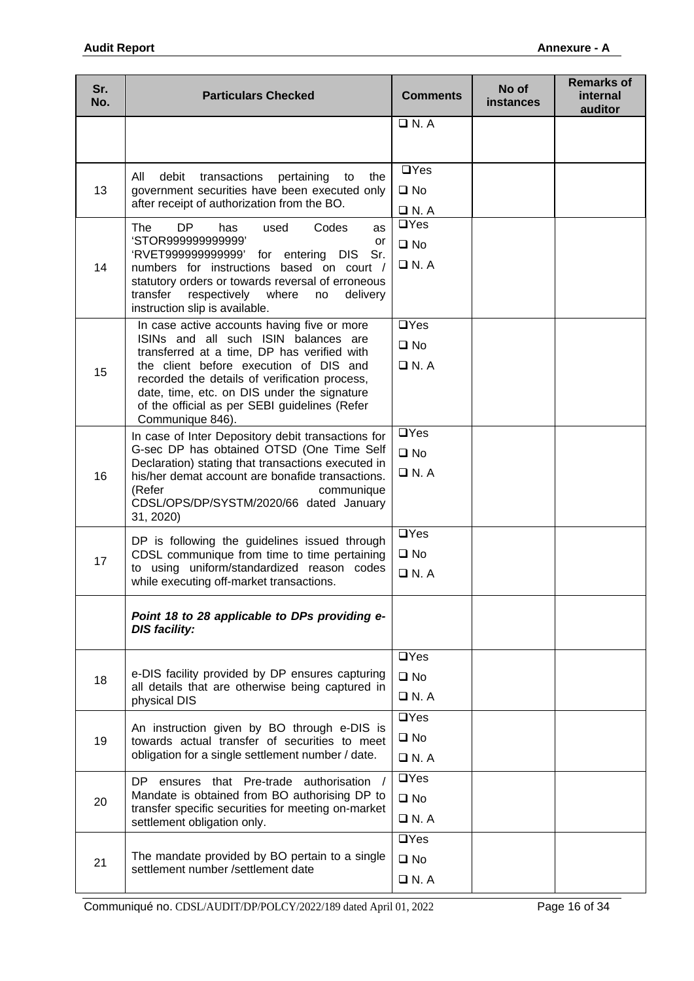| Sr.<br>No. | <b>Particulars Checked</b>                                                                         | <b>Comments</b>              | No of<br><b>instances</b> | <b>Remarks of</b><br>internal<br>auditor |
|------------|----------------------------------------------------------------------------------------------------|------------------------------|---------------------------|------------------------------------------|
|            |                                                                                                    | $\Box$ N.A                   |                           |                                          |
|            |                                                                                                    |                              |                           |                                          |
|            | debit<br>All<br>transactions<br>the<br>pertaining<br>to                                            | $\Box$ Yes                   |                           |                                          |
| 13         | government securities have been executed only<br>after receipt of authorization from the BO.       | $\square$ No                 |                           |                                          |
|            | DP<br>Codes<br><b>The</b><br>has<br>used                                                           | $\Box$ N.A<br>$\Box$ Yes     |                           |                                          |
|            | as<br>'STOR999999999999'<br>or                                                                     | $\square$ No                 |                           |                                          |
| 14         | 'RVET999999999999' for entering DIS<br>Sr.<br>numbers for instructions based on court /            | $\Box$ N.A                   |                           |                                          |
|            | statutory orders or towards reversal of erroneous                                                  |                              |                           |                                          |
|            | transfer<br>respectively<br>where<br>delivery<br>no<br>instruction slip is available.              |                              |                           |                                          |
|            | In case active accounts having five or more<br>ISINs and all such ISIN balances are                | $\Box$ Yes                   |                           |                                          |
|            | transferred at a time, DP has verified with                                                        | $\square$ No                 |                           |                                          |
| 15         | the client before execution of DIS and<br>recorded the details of verification process,            | $\Box$ N.A                   |                           |                                          |
|            | date, time, etc. on DIS under the signature                                                        |                              |                           |                                          |
|            | of the official as per SEBI guidelines (Refer<br>Communique 846).                                  |                              |                           |                                          |
|            | In case of Inter Depository debit transactions for                                                 | $\Box$ Yes                   |                           |                                          |
|            | G-sec DP has obtained OTSD (One Time Self<br>Declaration) stating that transactions executed in    | $\square$ No                 |                           |                                          |
| 16         | his/her demat account are bonafide transactions.<br>(Refer<br>communique                           | $\n  D N. A\n$               |                           |                                          |
|            | CDSL/OPS/DP/SYSTM/2020/66 dated January                                                            |                              |                           |                                          |
|            | 31, 2020)                                                                                          | $\Box$ Yes                   |                           |                                          |
|            | DP is following the guidelines issued through<br>CDSL communique from time to time pertaining      | $\square$ No                 |                           |                                          |
| 17         | to using uniform/standardized reason codes<br>while executing off-market transactions.             | $\n  D N. A\n$               |                           |                                          |
|            |                                                                                                    |                              |                           |                                          |
|            | Point 18 to 28 applicable to DPs providing e-<br><b>DIS facility:</b>                              |                              |                           |                                          |
|            |                                                                                                    |                              |                           |                                          |
|            | e-DIS facility provided by DP ensures capturing                                                    | $\Box$ Yes                   |                           |                                          |
| 18         | all details that are otherwise being captured in                                                   | $\square$ No<br>$\Box$ N. A. |                           |                                          |
|            | physical DIS                                                                                       | $\Box$ Yes                   |                           |                                          |
|            | An instruction given by BO through e-DIS is                                                        | $\square$ No                 |                           |                                          |
| 19         | towards actual transfer of securities to meet<br>obligation for a single settlement number / date. | $\Box$ N.A                   |                           |                                          |
|            | ensures that Pre-trade authorisation<br>DP.                                                        | $\Box$ Yes                   |                           |                                          |
| 20         | Mandate is obtained from BO authorising DP to                                                      | $\square$ No                 |                           |                                          |
|            | transfer specific securities for meeting on-market<br>settlement obligation only.                  | $\Box$ N.A                   |                           |                                          |
|            |                                                                                                    | $\Box$ Yes                   |                           |                                          |
| 21         | The mandate provided by BO pertain to a single<br>settlement number /settlement date               | $\square$ No                 |                           |                                          |
|            |                                                                                                    | $\Box$ N.A                   |                           |                                          |

Communiqué no. CDSL/AUDIT/DP/POLCY/2022/189 dated April 01, 2022 Page 16 of 34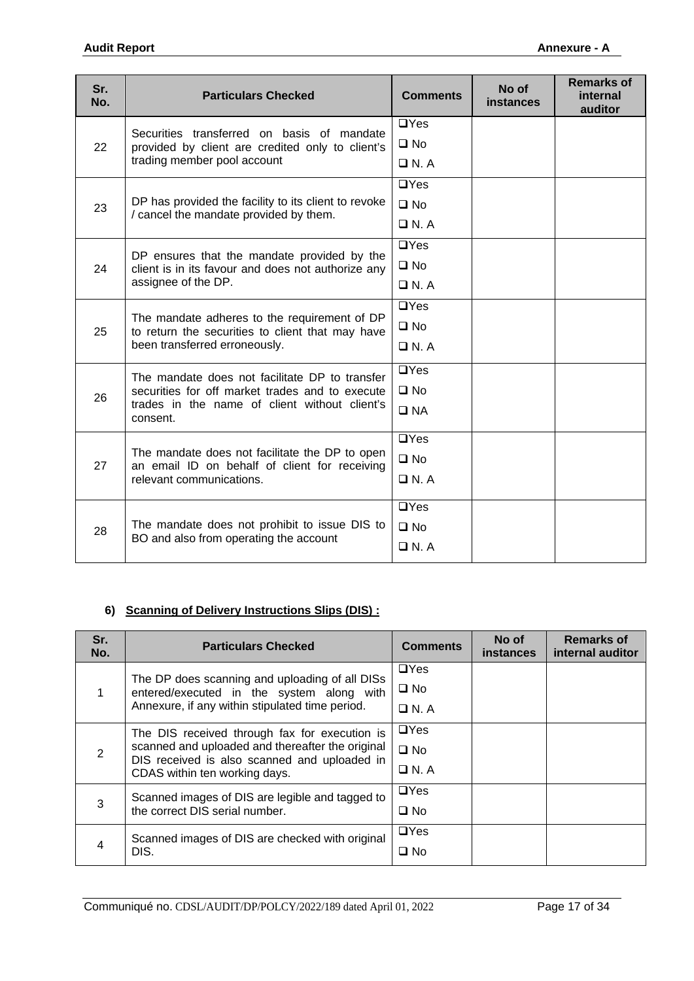| Sr.<br>No. | <b>Particulars Checked</b>                                                                                                        | <b>Comments</b> | No of<br>instances | <b>Remarks of</b><br>internal<br>auditor |
|------------|-----------------------------------------------------------------------------------------------------------------------------------|-----------------|--------------------|------------------------------------------|
|            | Securities transferred on basis of mandate                                                                                        | $\Box$ Yes      |                    |                                          |
| 22         | provided by client are credited only to client's                                                                                  | $\square$ No    |                    |                                          |
|            | trading member pool account                                                                                                       | $\Box$ N.A      |                    |                                          |
|            |                                                                                                                                   | $\Box$ Yes      |                    |                                          |
| 23         | DP has provided the facility to its client to revoke<br>/ cancel the mandate provided by them.                                    | $\square$ No    |                    |                                          |
|            |                                                                                                                                   | $\Box$ N. A     |                    |                                          |
|            | DP ensures that the mandate provided by the                                                                                       | $\Box$ Yes      |                    |                                          |
| 24         | client is in its favour and does not authorize any                                                                                | $\square$ No    |                    |                                          |
|            | assignee of the DP.                                                                                                               | $\Box$ N. A     |                    |                                          |
|            | The mandate adheres to the requirement of DP<br>to return the securities to client that may have<br>been transferred erroneously. | $\Box$ Yes      |                    |                                          |
| 25         |                                                                                                                                   | $\square$ No    |                    |                                          |
|            |                                                                                                                                   | $\Box$ N.A      |                    |                                          |
|            | The mandate does not facilitate DP to transfer                                                                                    | $\Box$ Yes      |                    |                                          |
| 26         | securities for off market trades and to execute                                                                                   | $\square$ No    |                    |                                          |
|            | trades in the name of client without client's<br>consent.                                                                         | $\square$ NA    |                    |                                          |
|            |                                                                                                                                   | $\Box$ Yes      |                    |                                          |
| 27         | The mandate does not facilitate the DP to open<br>an email ID on behalf of client for receiving                                   | $\square$ No    |                    |                                          |
|            | relevant communications.                                                                                                          | $\Box$ N.A      |                    |                                          |
|            |                                                                                                                                   | $\Box$ Yes      |                    |                                          |
| 28         | The mandate does not prohibit to issue DIS to<br>BO and also from operating the account                                           | $\square$ No    |                    |                                          |
|            |                                                                                                                                   | $\Box$ N.A      |                    |                                          |

## **6) Scanning of Delivery Instructions Slips (DIS) :**

| Sr.<br>No. | <b>Particulars Checked</b>                                                                                                        | <b>Comments</b> | No of<br><b>instances</b> | <b>Remarks of</b><br>internal auditor |
|------------|-----------------------------------------------------------------------------------------------------------------------------------|-----------------|---------------------------|---------------------------------------|
|            | The DP does scanning and uploading of all DISs                                                                                    | $\Box$ Yes      |                           |                                       |
|            | entered/executed in the system along with                                                                                         | $\square$ No    |                           |                                       |
|            | Annexure, if any within stipulated time period.                                                                                   | $\Box$ N. A     |                           |                                       |
|            | The DIS received through fax for execution is                                                                                     | $\Box$ Yes      |                           |                                       |
| 2          | scanned and uploaded and thereafter the original<br>DIS received is also scanned and uploaded in<br>CDAS within ten working days. | $\square$ No    |                           |                                       |
|            |                                                                                                                                   | $\Box$ N. A     |                           |                                       |
|            | Scanned images of DIS are legible and tagged to                                                                                   | $\Box$ Yes      |                           |                                       |
| 3          | the correct DIS serial number.                                                                                                    | $\square$ No    |                           |                                       |
|            | Scanned images of DIS are checked with original                                                                                   | $\Box$ Yes      |                           |                                       |
| 4          | DIS.                                                                                                                              | $\square$ No    |                           |                                       |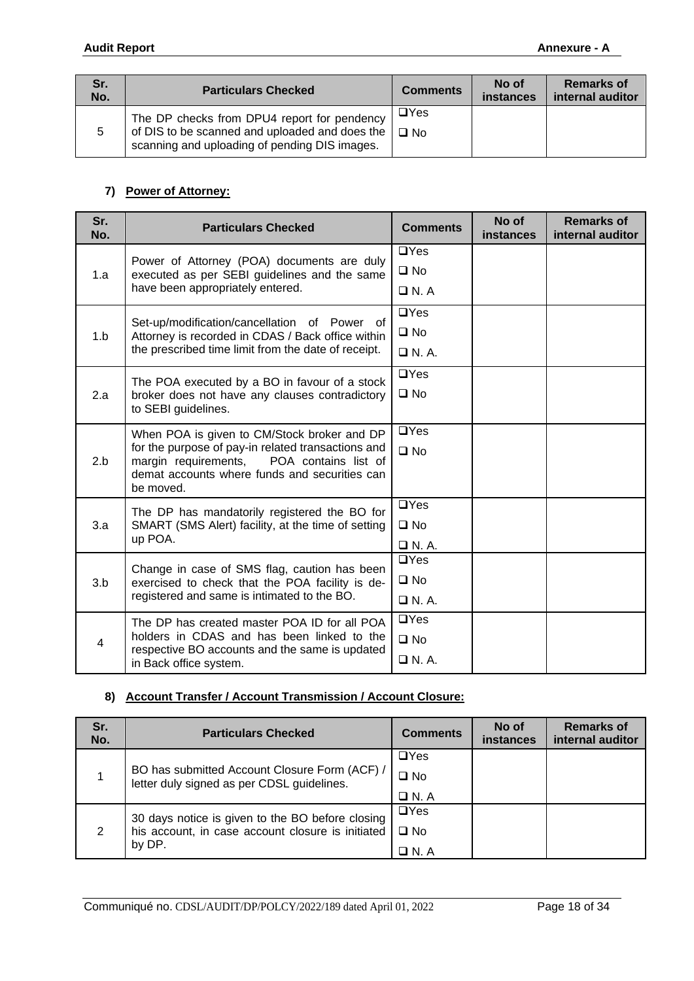| Sr.<br>No. | <b>Particulars Checked</b>                                                                                                                     | <b>Comments</b>         | No of<br><b>instances</b> | <b>Remarks of</b><br>internal auditor |
|------------|------------------------------------------------------------------------------------------------------------------------------------------------|-------------------------|---------------------------|---------------------------------------|
| 5          | The DP checks from DPU4 report for pendency<br>of DIS to be scanned and uploaded and does the<br>scanning and uploading of pending DIS images. | $\Box$ Yes<br>$\Box$ No |                           |                                       |

#### **7) Power of Attorney:**

| Sr.<br>No.     | <b>Particulars Checked</b>                                                                                                                                    | <b>Comments</b> | No of<br><b>instances</b> | <b>Remarks of</b><br>internal auditor |
|----------------|---------------------------------------------------------------------------------------------------------------------------------------------------------------|-----------------|---------------------------|---------------------------------------|
|                | Power of Attorney (POA) documents are duly                                                                                                                    | $\Box$ Yes      |                           |                                       |
| 1.a            | executed as per SEBI guidelines and the same                                                                                                                  | $\square$ No    |                           |                                       |
|                | have been appropriately entered.                                                                                                                              | $\Box$ N.A      |                           |                                       |
|                | Set-up/modification/cancellation of Power of                                                                                                                  | $\Box$ Yes      |                           |                                       |
| 1.b            | Attorney is recorded in CDAS / Back office within                                                                                                             | $\square$ No    |                           |                                       |
|                | the prescribed time limit from the date of receipt.                                                                                                           | $\Box$ N.A.     |                           |                                       |
|                | The POA executed by a BO in favour of a stock                                                                                                                 | $\Box$ Yes      |                           |                                       |
| 2.a            | broker does not have any clauses contradictory<br>to SEBI guidelines.                                                                                         | $\square$ No    |                           |                                       |
|                | When POA is given to CM/Stock broker and DP                                                                                                                   | $\Box$ Yes      |                           |                                       |
| 2.b            | for the purpose of pay-in related transactions and<br>margin requirements, POA contains list of<br>demat accounts where funds and securities can<br>be moved. | $\square$ No    |                           |                                       |
|                | The DP has mandatorily registered the BO for                                                                                                                  | $\Box$ Yes      |                           |                                       |
| 3.a            | SMART (SMS Alert) facility, at the time of setting                                                                                                            | $\square$ No    |                           |                                       |
|                | up POA.                                                                                                                                                       | $\Box$ N.A.     |                           |                                       |
|                | Change in case of SMS flag, caution has been                                                                                                                  | $\Box$ Yes      |                           |                                       |
| 3.b            | exercised to check that the POA facility is de-<br>registered and same is intimated to the BO.                                                                | $\square$ No    |                           |                                       |
|                |                                                                                                                                                               | $\Box$ N.A.     |                           |                                       |
|                | The DP has created master POA ID for all POA<br>holders in CDAS and has been linked to the                                                                    | $\Box$ Yes      |                           |                                       |
| $\overline{4}$ | respective BO accounts and the same is updated                                                                                                                | $\square$ No    |                           |                                       |
|                | in Back office system.                                                                                                                                        | $\Box$ N.A.     |                           |                                       |

### **8) Account Transfer / Account Transmission / Account Closure:**

| Sr.<br>No. | <b>Particulars Checked</b>                                                                  | <b>Comments</b> | No of<br><b>instances</b> | <b>Remarks of</b><br>internal auditor |
|------------|---------------------------------------------------------------------------------------------|-----------------|---------------------------|---------------------------------------|
|            |                                                                                             | $\Box$ Yes      |                           |                                       |
|            | BO has submitted Account Closure Form (ACF) /<br>letter duly signed as per CDSL guidelines. | $\square$ No    |                           |                                       |
|            |                                                                                             | $\Box$ N. A     |                           |                                       |
|            | 30 days notice is given to the BO before closing                                            | $\Box$ Yes      |                           |                                       |
| 2          | his account, in case account closure is initiated                                           | $\square$ No    |                           |                                       |
|            | by DP.                                                                                      | $\Box$ N. A     |                           |                                       |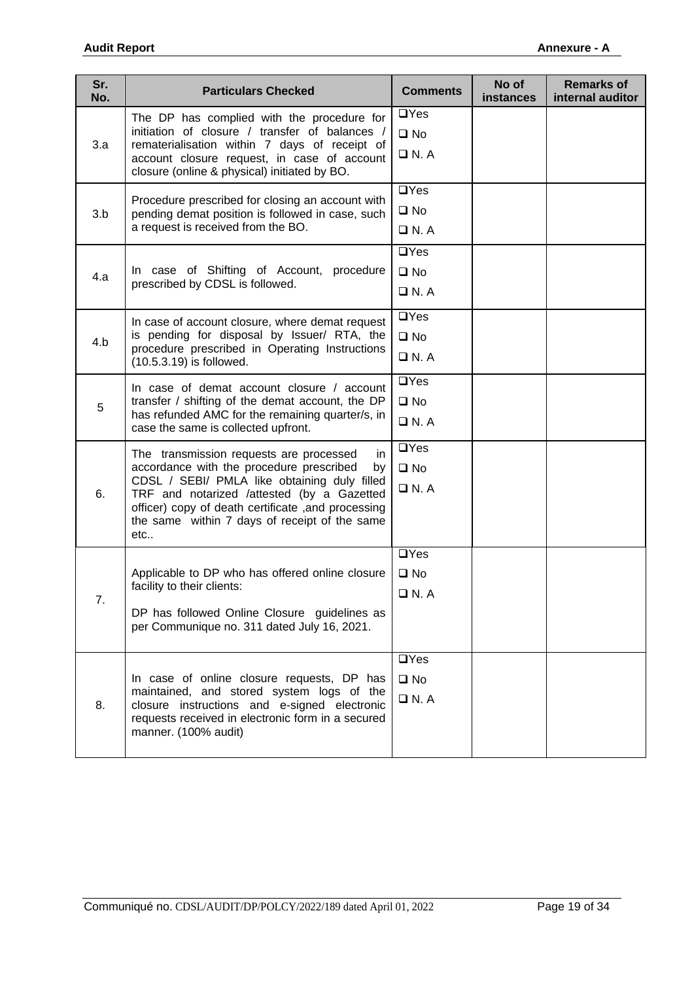| Sr.<br>No. | <b>Particulars Checked</b>                                                                                                                                                                                                                                                                                    | <b>Comments</b>                           | No of<br><b>instances</b> | <b>Remarks of</b><br>internal auditor |
|------------|---------------------------------------------------------------------------------------------------------------------------------------------------------------------------------------------------------------------------------------------------------------------------------------------------------------|-------------------------------------------|---------------------------|---------------------------------------|
| 3.a        | The DP has complied with the procedure for<br>initiation of closure / transfer of balances /<br>rematerialisation within 7 days of receipt of<br>account closure request, in case of account<br>closure (online & physical) initiated by BO.                                                                  | $\Box$ Yes<br>$\square$ No<br>$\Box$ N.A  |                           |                                       |
| 3.b        | Procedure prescribed for closing an account with<br>pending demat position is followed in case, such<br>a request is received from the BO.                                                                                                                                                                    | $\Box$ Yes<br>$\square$ No<br>$\Box$ N.A  |                           |                                       |
| 4.a        | In case of Shifting of Account, procedure<br>prescribed by CDSL is followed.                                                                                                                                                                                                                                  | $\Box$ Yes<br>$\square$ No<br>$\Box$ N.A  |                           |                                       |
| 4.b        | In case of account closure, where demat request<br>is pending for disposal by Issuer/ RTA, the<br>procedure prescribed in Operating Instructions<br>(10.5.3.19) is followed.                                                                                                                                  | $\Box$ Yes<br>$\square$ No<br>$\Box$ N.A  |                           |                                       |
| 5          | In case of demat account closure / account<br>transfer / shifting of the demat account, the DP<br>has refunded AMC for the remaining quarter/s, in<br>case the same is collected upfront.                                                                                                                     | $\Box$ Yes<br>$\square$ No<br>$\Box$ N. A |                           |                                       |
| 6.         | The transmission requests are processed<br>in.<br>accordance with the procedure prescribed<br>by<br>CDSL / SEBI/ PMLA like obtaining duly filled<br>TRF and notarized /attested (by a Gazetted<br>officer) copy of death certificate , and processing<br>the same within 7 days of receipt of the same<br>etc | $\Box$ Yes<br>$\square$ No<br>$\Box$ N.A  |                           |                                       |
| 7.         | Applicable to DP who has offered online closure<br>facility to their clients:<br>DP has followed Online Closure guidelines as<br>per Communique no. 311 dated July 16, 2021.                                                                                                                                  | $\Box$ Yes<br>$\square$ No<br>$\Box$ N. A |                           |                                       |
| 8.         | In case of online closure requests, DP has<br>maintained, and stored system logs of the<br>closure instructions and e-signed electronic<br>requests received in electronic form in a secured<br>manner. (100% audit)                                                                                          | $\Box$ Yes<br>$\square$ No<br>$\Box$ N. A |                           |                                       |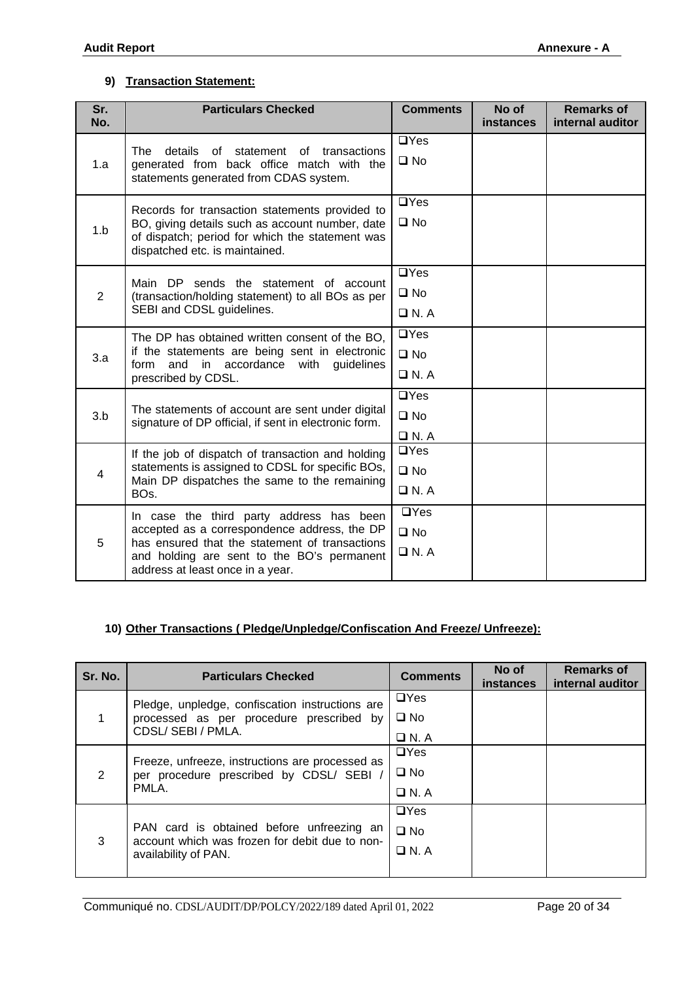### **9) Transaction Statement:**

| Sr.<br>No.     | <b>Particulars Checked</b>                                                                                                                                                 | <b>Comments</b> | No of<br><b>instances</b> | <b>Remarks of</b><br>internal auditor |
|----------------|----------------------------------------------------------------------------------------------------------------------------------------------------------------------------|-----------------|---------------------------|---------------------------------------|
|                | details<br>statement of<br>The<br>of<br>transactions                                                                                                                       | $\Box$ Yes      |                           |                                       |
| 1.a            | generated from back office match with the<br>statements generated from CDAS system.                                                                                        | $\square$ No    |                           |                                       |
|                | Records for transaction statements provided to                                                                                                                             | $\Box$ Yes      |                           |                                       |
| 1.b            | BO, giving details such as account number, date<br>of dispatch; period for which the statement was<br>dispatched etc. is maintained.                                       | $\square$ No    |                           |                                       |
|                |                                                                                                                                                                            | $\Box$ Yes      |                           |                                       |
| $\overline{2}$ | Main DP sends the statement of account<br>(transaction/holding statement) to all BOs as per                                                                                | $\square$ No    |                           |                                       |
|                | SEBI and CDSL guidelines.                                                                                                                                                  | $\Box$ N.A      |                           |                                       |
|                | The DP has obtained written consent of the BO,<br>if the statements are being sent in electronic<br>in accordance with<br>form<br>and<br>guidelines<br>prescribed by CDSL. | $\Box$ Yes      |                           |                                       |
| 3.a            |                                                                                                                                                                            | $\square$ No    |                           |                                       |
|                |                                                                                                                                                                            | $\Box$ N.A      |                           |                                       |
|                |                                                                                                                                                                            | $\Box$ Yes      |                           |                                       |
| 3.b            | The statements of account are sent under digital<br>signature of DP official, if sent in electronic form.                                                                  | $\square$ No    |                           |                                       |
|                |                                                                                                                                                                            | $\Box$ N.A      |                           |                                       |
|                | If the job of dispatch of transaction and holding                                                                                                                          | $\Box$ Yes      |                           |                                       |
| $\overline{4}$ | statements is assigned to CDSL for specific BOs,<br>Main DP dispatches the same to the remaining                                                                           | $\square$ No    |                           |                                       |
|                | BO <sub>s</sub> .                                                                                                                                                          | $\Box$ N.A      |                           |                                       |
|                | In case the third party address has been                                                                                                                                   | $\Box$ Yes      |                           |                                       |
| 5              | accepted as a correspondence address, the DP<br>has ensured that the statement of transactions                                                                             | $\square$ No    |                           |                                       |
|                | and holding are sent to the BO's permanent<br>address at least once in a year.                                                                                             | $\Box$ N.A      |                           |                                       |

### **10) Other Transactions ( Pledge/Unpledge/Confiscation And Freeze/ Unfreeze):**

| Sr. No.        | <b>Particulars Checked</b>                                                                                          | <b>Comments</b>                           | No of<br>instances | <b>Remarks of</b><br>internal auditor |
|----------------|---------------------------------------------------------------------------------------------------------------------|-------------------------------------------|--------------------|---------------------------------------|
|                | Pledge, unpledge, confiscation instructions are<br>processed as per procedure prescribed by<br>CDSL/ SEBI / PMLA.   | $\Box$ Yes<br>$\square$ No<br>$\Box$ N. A |                    |                                       |
| $\overline{2}$ | Freeze, unfreeze, instructions are processed as<br>per procedure prescribed by CDSL/ SEBI /<br>PMLA.                | $\Box$ Yes<br>$\square$ No<br>$\Box$ N.A  |                    |                                       |
| 3              | PAN card is obtained before unfreezing an<br>account which was frozen for debit due to non-<br>availability of PAN. | $\Box$ Yes<br>$\square$ No<br>$\Box$ N.A  |                    |                                       |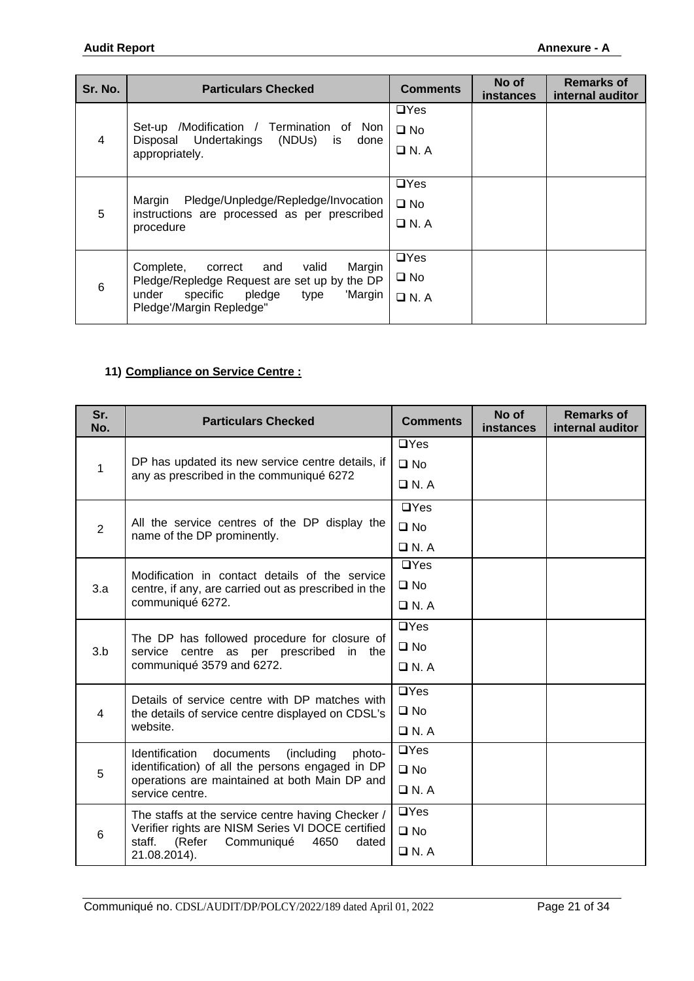| Sr. No.        | <b>Particulars Checked</b>                                                                                                                                                   | <b>Comments</b>                           | No of<br><b>instances</b> | <b>Remarks of</b><br>internal auditor |
|----------------|------------------------------------------------------------------------------------------------------------------------------------------------------------------------------|-------------------------------------------|---------------------------|---------------------------------------|
| $\overline{4}$ | /Modification / Termination of Non<br>Set-up<br>Disposal Undertakings<br>(NDUs) is<br>done<br>appropriately.                                                                 | $\Box$ Yes<br>$\square$ No<br>$\Box$ N.A  |                           |                                       |
| 5              | Pledge/Unpledge/Repledge/Invocation<br>Margin<br>instructions are processed as per prescribed<br>procedure                                                                   | $\Box$ Yes<br>$\square$ No<br>$\Box$ N. A |                           |                                       |
| 6              | Margin<br>Complete,<br>correct<br>and<br>valid<br>Pledge/Repledge Request are set up by the DP<br>specific<br>pledge<br>under<br>'Margin<br>type<br>Pledge'/Margin Repledge" | $\Box$ Yes<br>$\square$ No<br>$\Box$ N. A |                           |                                       |

## **11) Compliance on Service Centre :**

| Sr.<br>No.     | <b>Particulars Checked</b>                                                                                           | <b>Comments</b> | No of<br>instances | <b>Remarks of</b><br>internal auditor |
|----------------|----------------------------------------------------------------------------------------------------------------------|-----------------|--------------------|---------------------------------------|
|                |                                                                                                                      | $\Box$ Yes      |                    |                                       |
| 1              | DP has updated its new service centre details, if                                                                    | $\square$ No    |                    |                                       |
|                | any as prescribed in the communiqué 6272                                                                             | $\Box$ N.A      |                    |                                       |
|                |                                                                                                                      | $\Box$ Yes      |                    |                                       |
| $\overline{2}$ | All the service centres of the DP display the<br>name of the DP prominently.                                         | $\square$ No    |                    |                                       |
|                |                                                                                                                      | $\Box$ N. A     |                    |                                       |
|                | Modification in contact details of the service                                                                       | $\Box$ Yes      |                    |                                       |
| 3.a            | centre, if any, are carried out as prescribed in the                                                                 | $\square$ No    |                    |                                       |
|                | communiqué 6272.                                                                                                     | $\Box$ N.A      |                    |                                       |
|                | The DP has followed procedure for closure of<br>service centre as per prescribed in the<br>communiqué 3579 and 6272. | $\Box$ Yes      |                    |                                       |
| 3.b            |                                                                                                                      | $\Box$ No       |                    |                                       |
|                |                                                                                                                      | $\Box$ N. A     |                    |                                       |
|                | Details of service centre with DP matches with                                                                       | $\Box$ Yes      |                    |                                       |
| 4              | the details of service centre displayed on CDSL's                                                                    | $\square$ No    |                    |                                       |
|                | website.                                                                                                             | $\Box$ N.A      |                    |                                       |
|                | documents<br>Identification<br>(including<br>photo-                                                                  | $\Box$ Yes      |                    |                                       |
| 5              | identification) of all the persons engaged in DP<br>operations are maintained at both Main DP and                    | $\Box$ No       |                    |                                       |
|                | service centre.                                                                                                      | $\Box$ N.A      |                    |                                       |
|                | The staffs at the service centre having Checker /                                                                    | $\Box$ Yes      |                    |                                       |
| 6              | Verifier rights are NISM Series VI DOCE certified<br>staff.<br>(Refer<br>Communiqué<br>4650<br>dated                 | $\square$ No    |                    |                                       |
|                | 21.08.2014).                                                                                                         | $\Box$ N.A      |                    |                                       |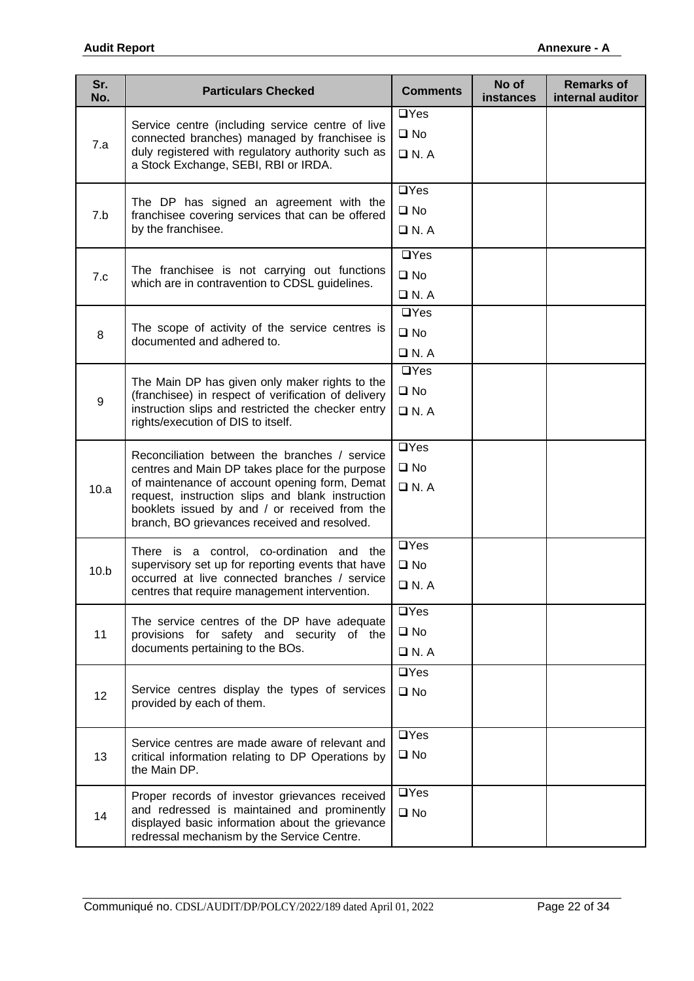| Sr.<br>No. | <b>Particulars Checked</b>                                                                                | <b>Comments</b>                                                                                                                                                                                                                                                                                                   | No of<br>instances | <b>Remarks of</b><br>internal auditor |
|------------|-----------------------------------------------------------------------------------------------------------|-------------------------------------------------------------------------------------------------------------------------------------------------------------------------------------------------------------------------------------------------------------------------------------------------------------------|--------------------|---------------------------------------|
|            | Service centre (including service centre of live                                                          | $\Box$ Yes                                                                                                                                                                                                                                                                                                        |                    |                                       |
| 7.a        | connected branches) managed by franchisee is                                                              | $\square$ No<br>$\Box$ N.A<br>$\Box$ Yes<br>$\square$ No<br>$\Box$ N. A<br>$\Box$ Yes<br>$\square$ No<br>$\Box$ N.A<br>$\Box$ Yes<br>$\square$ No<br>$\Box$ N.A<br>$\Box$ Yes<br>$\square$ No<br>$\Box$ N.A<br>$\Box$ Yes<br>$\square$ No<br>$\Box$ N.A<br>$\Box$ Yes<br>$\square$ No<br>$\Box$ N.A<br>$\Box$ Yes |                    |                                       |
|            | duly registered with regulatory authority such as<br>a Stock Exchange, SEBI, RBI or IRDA.                 |                                                                                                                                                                                                                                                                                                                   |                    |                                       |
|            | The DP has signed an agreement with the                                                                   |                                                                                                                                                                                                                                                                                                                   |                    |                                       |
| 7.b        | franchisee covering services that can be offered                                                          |                                                                                                                                                                                                                                                                                                                   |                    |                                       |
|            | by the franchisee.                                                                                        |                                                                                                                                                                                                                                                                                                                   |                    |                                       |
|            |                                                                                                           |                                                                                                                                                                                                                                                                                                                   |                    |                                       |
| 7.c        | The franchisee is not carrying out functions<br>which are in contravention to CDSL guidelines.            |                                                                                                                                                                                                                                                                                                                   |                    |                                       |
|            |                                                                                                           |                                                                                                                                                                                                                                                                                                                   |                    |                                       |
|            | The scope of activity of the service centres is                                                           |                                                                                                                                                                                                                                                                                                                   |                    |                                       |
| 8          | documented and adhered to.                                                                                |                                                                                                                                                                                                                                                                                                                   |                    |                                       |
|            |                                                                                                           |                                                                                                                                                                                                                                                                                                                   |                    |                                       |
|            | The Main DP has given only maker rights to the                                                            |                                                                                                                                                                                                                                                                                                                   |                    |                                       |
| $9\,$      | (franchisee) in respect of verification of delivery<br>instruction slips and restricted the checker entry |                                                                                                                                                                                                                                                                                                                   |                    |                                       |
|            | rights/execution of DIS to itself.                                                                        |                                                                                                                                                                                                                                                                                                                   |                    |                                       |
|            | Reconciliation between the branches / service                                                             |                                                                                                                                                                                                                                                                                                                   |                    |                                       |
|            | centres and Main DP takes place for the purpose                                                           |                                                                                                                                                                                                                                                                                                                   |                    |                                       |
| 10.a       | of maintenance of account opening form, Demat<br>request, instruction slips and blank instruction         |                                                                                                                                                                                                                                                                                                                   |                    |                                       |
|            | booklets issued by and / or received from the<br>branch, BO grievances received and resolved.             |                                                                                                                                                                                                                                                                                                                   |                    |                                       |
|            |                                                                                                           |                                                                                                                                                                                                                                                                                                                   |                    |                                       |
|            | There is a control, co-ordination and the<br>supervisory set up for reporting events that have            |                                                                                                                                                                                                                                                                                                                   |                    |                                       |
| 10.b       | occurred at live connected branches / service                                                             |                                                                                                                                                                                                                                                                                                                   |                    |                                       |
|            | centres that require management intervention.                                                             |                                                                                                                                                                                                                                                                                                                   |                    |                                       |
|            | The service centres of the DP have adequate                                                               |                                                                                                                                                                                                                                                                                                                   |                    |                                       |
| 11         | provisions for safety and security of the<br>documents pertaining to the BOs.                             | $\square$ No                                                                                                                                                                                                                                                                                                      |                    |                                       |
|            |                                                                                                           | $\Box$ N.A                                                                                                                                                                                                                                                                                                        |                    |                                       |
|            |                                                                                                           | $\Box$ Yes                                                                                                                                                                                                                                                                                                        |                    |                                       |
| 12         | Service centres display the types of services<br>provided by each of them.                                | $\square$ No                                                                                                                                                                                                                                                                                                      |                    |                                       |
|            |                                                                                                           |                                                                                                                                                                                                                                                                                                                   |                    |                                       |
|            | Service centres are made aware of relevant and                                                            | $\Box$ Yes                                                                                                                                                                                                                                                                                                        |                    |                                       |
| 13         | critical information relating to DP Operations by                                                         | $\square$ No                                                                                                                                                                                                                                                                                                      |                    |                                       |
|            | the Main DP.                                                                                              |                                                                                                                                                                                                                                                                                                                   |                    |                                       |
|            | Proper records of investor grievances received                                                            | $\Box$ Yes                                                                                                                                                                                                                                                                                                        |                    |                                       |
| 14         | and redressed is maintained and prominently<br>displayed basic information about the grievance            | $\square$ No                                                                                                                                                                                                                                                                                                      |                    |                                       |
|            | redressal mechanism by the Service Centre.                                                                |                                                                                                                                                                                                                                                                                                                   |                    |                                       |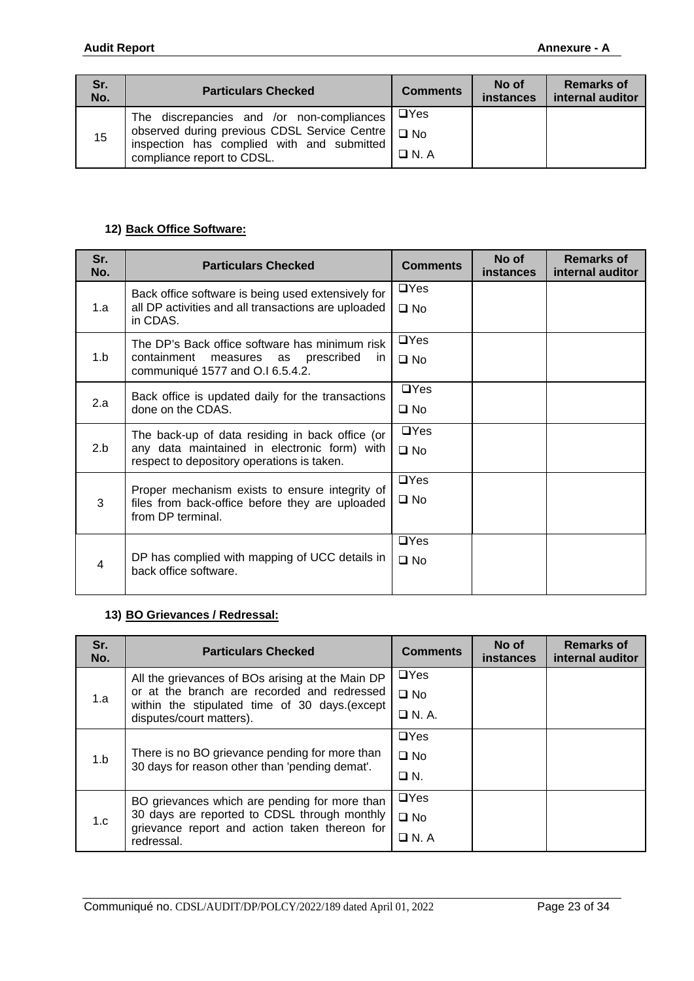| Sr.<br>No. | <b>Particulars Checked</b>                                                                                                                                                   | <b>Comments</b>           | No of<br><b>instances</b> | <b>Remarks of</b><br>internal auditor |
|------------|------------------------------------------------------------------------------------------------------------------------------------------------------------------------------|---------------------------|---------------------------|---------------------------------------|
| 15         | The discrepancies and /or non-compliances<br>observed during previous CDSL Service Centre   O No<br>inspection has complied with and submitted<br>compliance report to CDSL. | $\Box$ Yes<br>$\Box$ N. A |                           |                                       |

### **12) Back Office Software:**

| Sr.<br>No. | <b>Particulars Checked</b>                                                                 | <b>Comments</b> | No of<br>instances | <b>Remarks of</b><br>internal auditor |
|------------|--------------------------------------------------------------------------------------------|-----------------|--------------------|---------------------------------------|
|            | Back office software is being used extensively for                                         | $\Box$ Yes      |                    |                                       |
| 1.a        | all DP activities and all transactions are uploaded<br>in CDAS.                            | $\square$ No    |                    |                                       |
|            | The DP's Back office software has minimum risk                                             | $\Box$ Yes      |                    |                                       |
| 1.b        | containment<br>measures as prescribed<br>- in<br>communiqué 1577 and O.I 6.5.4.2.          | $\square$ No    |                    |                                       |
|            | Back office is updated daily for the transactions                                          | $\Box$ Yes      |                    |                                       |
| 2.a        | done on the CDAS.                                                                          | $\square$ No    |                    |                                       |
|            | The back-up of data residing in back office (or                                            | $\Box$ Yes      |                    |                                       |
| 2.b        | any data maintained in electronic form) with<br>respect to depository operations is taken. | $\square$ No    |                    |                                       |
|            | Proper mechanism exists to ensure integrity of                                             | $\Box$ Yes      |                    |                                       |
| 3          | files from back-office before they are uploaded<br>from DP terminal.                       | $\square$ No    |                    |                                       |
|            |                                                                                            | $\Box$ Yes      |                    |                                       |
| 4          | DP has complied with mapping of UCC details in<br>back office software.                    | $\square$ No    |                    |                                       |

## **13) BO Grievances / Redressal:**

| Sr.<br>No. | <b>Particulars Checked</b>                                                                                                                                   | <b>Comments</b>                          | No of<br>instances | <b>Remarks of</b><br>internal auditor |
|------------|--------------------------------------------------------------------------------------------------------------------------------------------------------------|------------------------------------------|--------------------|---------------------------------------|
| 1.a        | All the grievances of BOs arising at the Main DP<br>or at the branch are recorded and redressed                                                              | $\Box$ Yes<br>$\square$ No               |                    |                                       |
|            | within the stipulated time of 30 days.(except<br>disputes/court matters).                                                                                    | $\Box$ N.A.                              |                    |                                       |
| 1.b        | There is no BO grievance pending for more than<br>30 days for reason other than 'pending demat'.                                                             | $\Box$ Yes<br>$\square$ No<br>$\Box N$ . |                    |                                       |
| 1.c        | BO grievances which are pending for more than<br>30 days are reported to CDSL through monthly<br>grievance report and action taken thereon for<br>redressal. | $\Box$ Yes<br>$\square$ No<br>$\Box$ N.A |                    |                                       |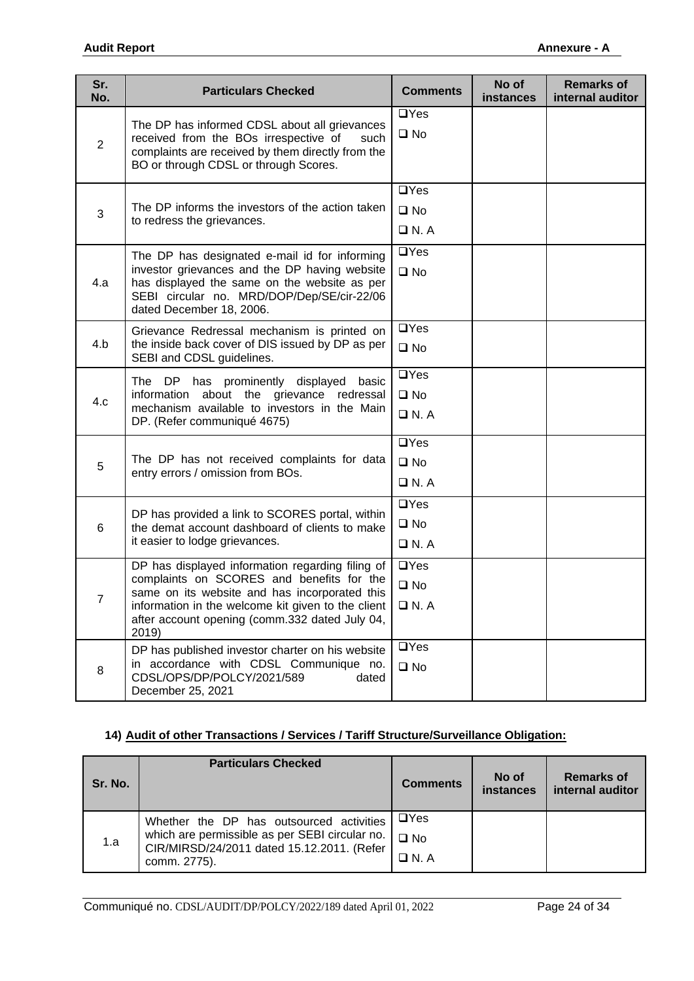| Sr.<br>No.     | <b>Particulars Checked</b>                                                                                                                                               | <b>Comments</b> | No of<br>instances | <b>Remarks of</b><br>internal auditor |
|----------------|--------------------------------------------------------------------------------------------------------------------------------------------------------------------------|-----------------|--------------------|---------------------------------------|
|                | The DP has informed CDSL about all grievances                                                                                                                            | $\Box$ Yes      |                    |                                       |
| 2              | received from the BOs irrespective of<br>such                                                                                                                            | $\square$ No    |                    |                                       |
|                | complaints are received by them directly from the<br>BO or through CDSL or through Scores.                                                                               |                 |                    |                                       |
|                |                                                                                                                                                                          | $\Box$ Yes      |                    |                                       |
|                | The DP informs the investors of the action taken                                                                                                                         | $\square$ No    |                    |                                       |
| 3              | to redress the grievances.                                                                                                                                               | $\Box$ N.A      |                    |                                       |
|                |                                                                                                                                                                          |                 |                    |                                       |
|                | The DP has designated e-mail id for informing                                                                                                                            | $\Box$ Yes      |                    |                                       |
| 4.a            | investor grievances and the DP having website<br>has displayed the same on the website as per                                                                            | $\square$ No    |                    |                                       |
|                | SEBI circular no. MRD/DOP/Dep/SE/cir-22/06                                                                                                                               |                 |                    |                                       |
|                | dated December 18, 2006.                                                                                                                                                 |                 |                    |                                       |
| 4.b            | Grievance Redressal mechanism is printed on<br>the inside back cover of DIS issued by DP as per                                                                          | $\Box$ Yes      |                    |                                       |
|                | SEBI and CDSL guidelines.                                                                                                                                                | $\square$ No    |                    |                                       |
|                | The DP has prominently displayed<br>basic<br>about the grievance redressal<br>information<br>mechanism available to investors in the Main<br>DP. (Refer communiqué 4675) | $\Box$ Yes      |                    |                                       |
| 4.c            |                                                                                                                                                                          | $\square$ No    |                    |                                       |
|                |                                                                                                                                                                          | $\Box$ N. A     |                    |                                       |
|                |                                                                                                                                                                          | $\Box$ Yes      |                    |                                       |
| 5              | The DP has not received complaints for data                                                                                                                              | $\square$ No    |                    |                                       |
|                | entry errors / omission from BOs.                                                                                                                                        | $\Box$ N. A     |                    |                                       |
|                |                                                                                                                                                                          | $\Box$ Yes      |                    |                                       |
| 6              | DP has provided a link to SCORES portal, within<br>the demat account dashboard of clients to make                                                                        | $\square$ No    |                    |                                       |
|                | it easier to lodge grievances.                                                                                                                                           | $\Box$ N.A      |                    |                                       |
|                | DP has displayed information regarding filing of                                                                                                                         | $\Box$ Yes      |                    |                                       |
|                | complaints on SCORES and benefits for the<br>same on its website and has incorporated this                                                                               | $\square$ No    |                    |                                       |
| $\overline{7}$ | information in the welcome kit given to the client                                                                                                                       | $\Box$ N.A      |                    |                                       |
|                | after account opening (comm.332 dated July 04,                                                                                                                           |                 |                    |                                       |
|                | 2019)<br>DP has published investor charter on his website                                                                                                                | $\Box$ Yes      |                    |                                       |
| 8              | in accordance with CDSL Communique no.                                                                                                                                   | $\square$ No    |                    |                                       |
|                | CDSL/OPS/DP/POLCY/2021/589<br>dated                                                                                                                                      |                 |                    |                                       |
|                | December 25, 2021                                                                                                                                                        |                 |                    |                                       |

## **14) Audit of other Transactions / Services / Tariff Structure/Surveillance Obligation:**

| Sr. No. | <b>Particulars Checked</b>                                                                                                                               | <b>Comments</b>                           | No of<br>instances | Remarks of<br>internal auditor |
|---------|----------------------------------------------------------------------------------------------------------------------------------------------------------|-------------------------------------------|--------------------|--------------------------------|
| 1.a     | Whether the DP has outsourced activities<br>which are permissible as per SEBI circular no.<br>CIR/MIRSD/24/2011 dated 15.12.2011. (Refer<br>comm. 2775). | $\Box$ Yes<br>$\square$ No<br>$\Box$ N. A |                    |                                |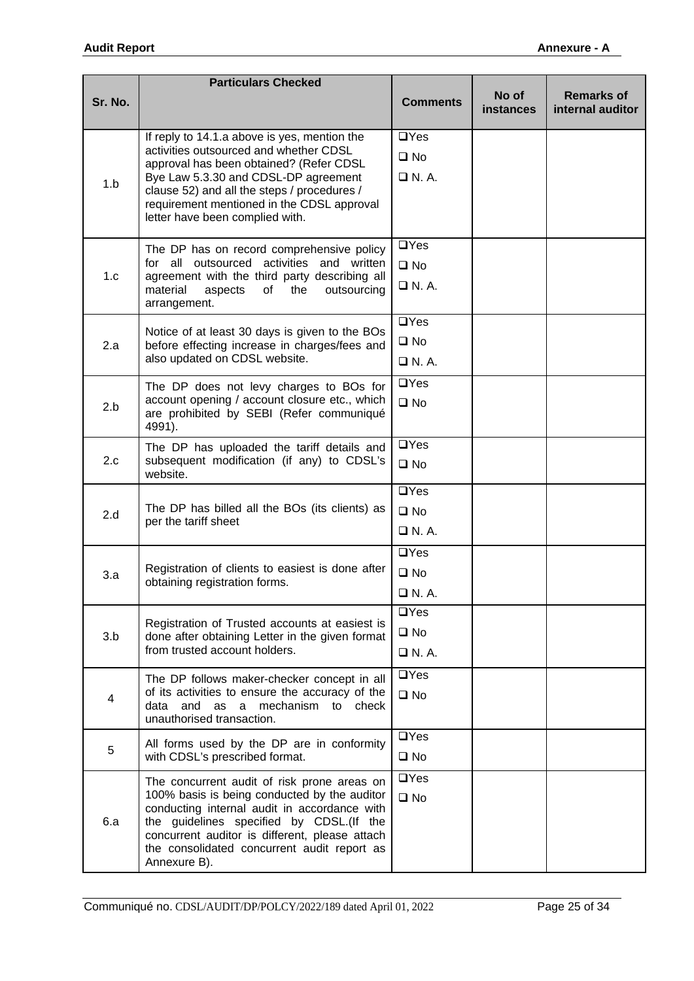|         | <b>Particulars Checked</b>                                                                      |                    |                           |                                       |
|---------|-------------------------------------------------------------------------------------------------|--------------------|---------------------------|---------------------------------------|
| Sr. No. |                                                                                                 | <b>Comments</b>    | No of<br><b>instances</b> | <b>Remarks of</b><br>internal auditor |
|         | If reply to 14.1.a above is yes, mention the                                                    | $\Box$ Yes         |                           |                                       |
|         | activities outsourced and whether CDSL<br>approval has been obtained? (Refer CDSL               | $\square$ No       |                           |                                       |
| 1.b     | Bye Law 5.3.30 and CDSL-DP agreement                                                            | $\Box$ N.A.        |                           |                                       |
|         | clause 52) and all the steps / procedures /                                                     |                    |                           |                                       |
|         | requirement mentioned in the CDSL approval<br>letter have been complied with.                   |                    |                           |                                       |
|         | The DP has on record comprehensive policy                                                       | $\Box$ Yes         |                           |                                       |
| 1.c     | for all outsourced activities and written<br>agreement with the third party describing all      | $\square$ No       |                           |                                       |
|         | material<br>aspects<br>the<br>of<br>outsourcing<br>arrangement.                                 | $\Box$ N. A.       |                           |                                       |
|         |                                                                                                 | $\Box$ Yes         |                           |                                       |
| 2.a     | Notice of at least 30 days is given to the BOs<br>before effecting increase in charges/fees and | $\square$ No       |                           |                                       |
|         | also updated on CDSL website.                                                                   | $\Box$ N.A.        |                           |                                       |
|         | The DP does not levy charges to BOs for                                                         | $\Box$ Yes         |                           |                                       |
| 2.b     | account opening / account closure etc., which<br>are prohibited by SEBI (Refer communiqué       | $\square$ No       |                           |                                       |
|         | 4991).                                                                                          |                    |                           |                                       |
|         | The DP has uploaded the tariff details and                                                      | $\overline{UY}$ es |                           |                                       |
| 2.c     | subsequent modification (if any) to CDSL's<br>website.                                          | $\square$ No       |                           |                                       |
|         |                                                                                                 | $\Box$ Yes         |                           |                                       |
| 2.d     | The DP has billed all the BOs (its clients) as<br>per the tariff sheet                          | $\square$ No       |                           |                                       |
|         |                                                                                                 | $\Box$ N.A.        |                           |                                       |
|         |                                                                                                 | $\Box$ Yes         |                           |                                       |
| 3.a     | Registration of clients to easiest is done after<br>obtaining registration forms.               | $\square$ No       |                           |                                       |
|         |                                                                                                 | $\Box$ N.A.        |                           |                                       |
|         | Registration of Trusted accounts at easiest is                                                  | $\overline{UY}$ es |                           |                                       |
| 3.b     | done after obtaining Letter in the given format                                                 | $\square$ No       |                           |                                       |
|         | from trusted account holders.                                                                   | $\Box$ N.A.        |                           |                                       |
|         | The DP follows maker-checker concept in all                                                     | $\overline{UY}$ es |                           |                                       |
| 4       | of its activities to ensure the accuracy of the<br>and as a mechanism to check<br>data          | $\square$ No       |                           |                                       |
|         | unauthorised transaction.                                                                       |                    |                           |                                       |
| 5       | All forms used by the DP are in conformity                                                      | $\Box$ Yes         |                           |                                       |
|         | with CDSL's prescribed format.                                                                  | $\square$ No       |                           |                                       |
|         | The concurrent audit of risk prone areas on<br>100% basis is being conducted by the auditor     | $\Box$ Yes         |                           |                                       |
|         | conducting internal audit in accordance with                                                    | $\square$ No       |                           |                                       |
| 6.a     | the guidelines specified by CDSL.(If the<br>concurrent auditor is different, please attach      |                    |                           |                                       |
|         | the consolidated concurrent audit report as                                                     |                    |                           |                                       |
|         | Annexure B).                                                                                    |                    |                           |                                       |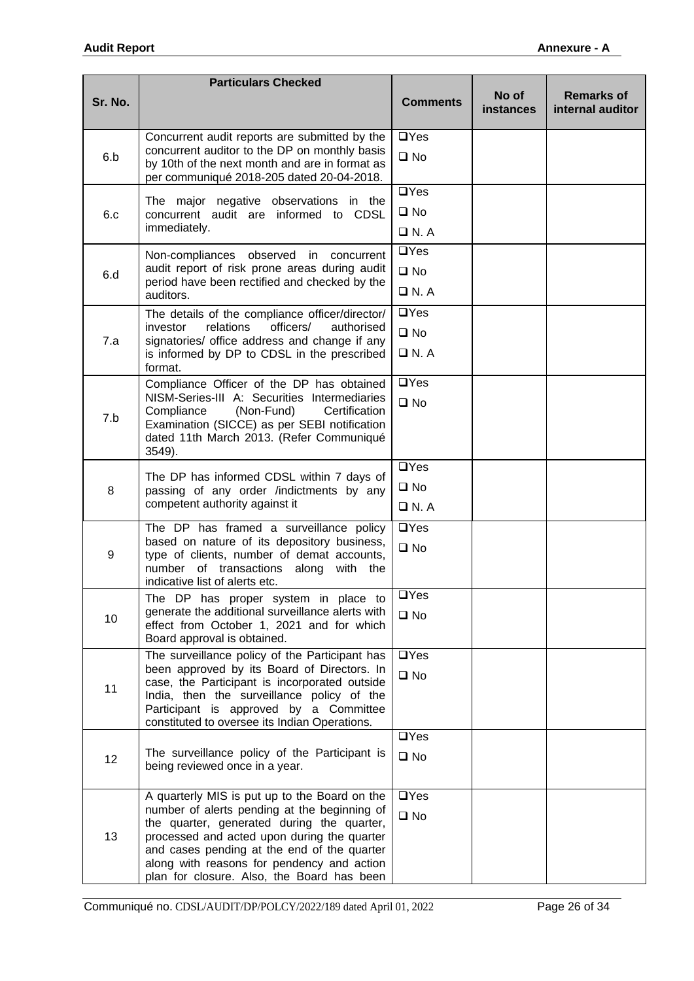|         | <b>Particulars Checked</b>                                                                                                                   |                           |                           |                                       |
|---------|----------------------------------------------------------------------------------------------------------------------------------------------|---------------------------|---------------------------|---------------------------------------|
| Sr. No. |                                                                                                                                              | <b>Comments</b>           | No of<br><b>instances</b> | <b>Remarks of</b><br>internal auditor |
|         | Concurrent audit reports are submitted by the                                                                                                | $\Box$ Yes                |                           |                                       |
| 6.b     | concurrent auditor to the DP on monthly basis<br>by 10th of the next month and are in format as<br>per communiqué 2018-205 dated 20-04-2018. | $\square$ No              |                           |                                       |
|         | The major negative observations in the                                                                                                       | $\Box$ Yes                |                           |                                       |
| 6.c     | concurrent audit are informed to CDSL                                                                                                        | $\square$ No              |                           |                                       |
|         | immediately.                                                                                                                                 | $\Box$ N. A               |                           |                                       |
|         | Non-compliances<br>observed in<br>concurrent                                                                                                 | $\Box$ Yes                |                           |                                       |
| 6.d     | audit report of risk prone areas during audit                                                                                                | $\square$ No              |                           |                                       |
|         | period have been rectified and checked by the<br>auditors.                                                                                   | $\Box$ N.A                |                           |                                       |
|         | The details of the compliance officer/director/                                                                                              | $\Box$ Yes                |                           |                                       |
|         | relations<br>officers/<br>investor<br>authorised                                                                                             | $\square$ No              |                           |                                       |
| 7.a     | signatories/ office address and change if any<br>is informed by DP to CDSL in the prescribed                                                 | $\Box$ N. A               |                           |                                       |
|         | format.                                                                                                                                      |                           |                           |                                       |
|         | Compliance Officer of the DP has obtained<br>NISM-Series-III A: Securities Intermediaries                                                    | $\Box$ Yes                |                           |                                       |
|         | Compliance<br>(Non-Fund)<br>Certification                                                                                                    | $\square$ No              |                           |                                       |
| 7.b     | Examination (SICCE) as per SEBI notification                                                                                                 |                           |                           |                                       |
|         | dated 11th March 2013. (Refer Communiqué<br>3549).                                                                                           |                           |                           |                                       |
|         |                                                                                                                                              |                           |                           |                                       |
| 8       | The DP has informed CDSL within 7 days of<br>passing of any order /indictments by any                                                        | $\square$ No              |                           |                                       |
|         | competent authority against it                                                                                                               | $\Box$ N. A<br>$\Box$ Yes |                           |                                       |
|         | The DP has framed a surveillance policy                                                                                                      |                           |                           |                                       |
| 9       | based on nature of its depository business,<br>type of clients, number of demat accounts,                                                    | $\square$ No              |                           |                                       |
|         | number of transactions along<br>with the                                                                                                     |                           |                           |                                       |
|         | indicative list of alerts etc.<br>The DP has proper system in place to                                                                       | $\Box$ Yes                |                           |                                       |
| 10      | generate the additional surveillance alerts with                                                                                             | $\square$ No              |                           |                                       |
|         | effect from October 1, 2021 and for which                                                                                                    |                           |                           |                                       |
|         | Board approval is obtained.<br>The surveillance policy of the Participant has                                                                | $\overline{\square}$ Yes  |                           |                                       |
|         | been approved by its Board of Directors. In                                                                                                  | $\square$ No              |                           |                                       |
| 11      | case, the Participant is incorporated outside<br>India, then the surveillance policy of the                                                  |                           |                           |                                       |
|         | Participant is approved by a Committee                                                                                                       |                           |                           |                                       |
|         | constituted to oversee its Indian Operations.                                                                                                |                           |                           |                                       |
|         | The surveillance policy of the Participant is                                                                                                | $\Box$ Yes                |                           |                                       |
| 12      | being reviewed once in a year.                                                                                                               | $\square$ No              |                           |                                       |
|         |                                                                                                                                              |                           |                           |                                       |
|         | A quarterly MIS is put up to the Board on the<br>number of alerts pending at the beginning of                                                | $\Box$ Yes                |                           |                                       |
|         | the quarter, generated during the quarter,                                                                                                   | $\square$ No              |                           |                                       |
| 13      | processed and acted upon during the quarter                                                                                                  |                           |                           |                                       |
|         | and cases pending at the end of the quarter<br>along with reasons for pendency and action                                                    |                           |                           |                                       |
|         | plan for closure. Also, the Board has been                                                                                                   |                           |                           |                                       |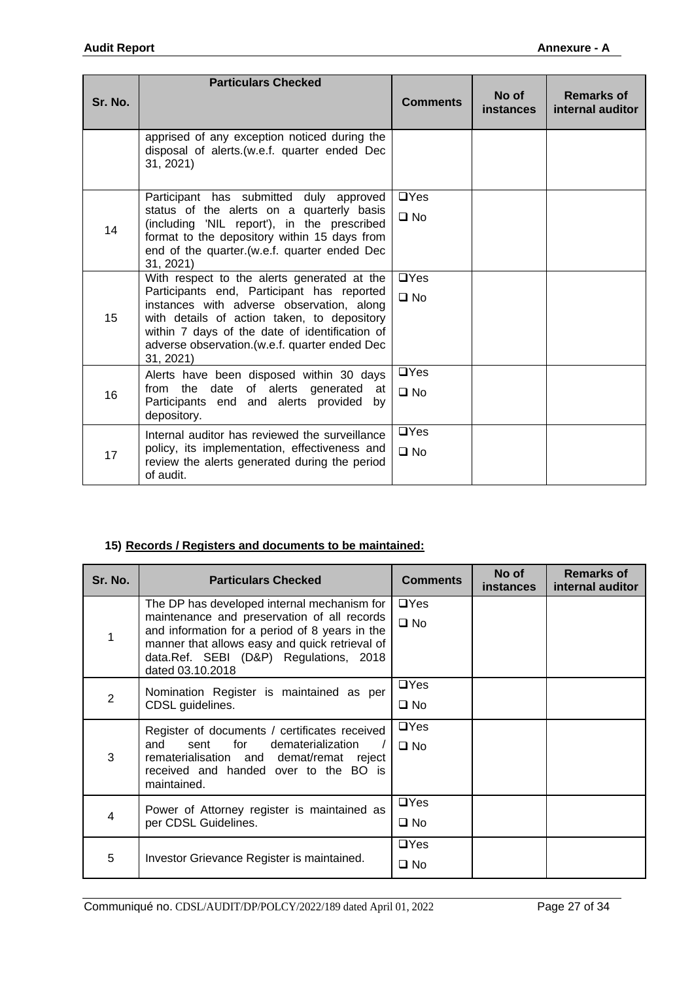| Sr. No. | <b>Particulars Checked</b>                                                                                                                                                                                                                                                                             | <b>Comments</b>            | No of<br><i>instances</i> | <b>Remarks of</b><br>internal auditor |
|---------|--------------------------------------------------------------------------------------------------------------------------------------------------------------------------------------------------------------------------------------------------------------------------------------------------------|----------------------------|---------------------------|---------------------------------------|
|         | apprised of any exception noticed during the<br>disposal of alerts.(w.e.f. quarter ended Dec<br>31, 2021)                                                                                                                                                                                              |                            |                           |                                       |
| 14      | Participant has submitted duly approved<br>status of the alerts on a quarterly basis<br>(including 'NIL report'), in the prescribed<br>format to the depository within 15 days from<br>end of the quarter. (w.e.f. quarter ended Dec<br>31, 2021)                                                      |                            |                           |                                       |
| 15      | With respect to the alerts generated at the<br>Participants end, Participant has reported<br>instances with adverse observation, along<br>with details of action taken, to depository<br>within 7 days of the date of identification of<br>adverse observation. (w.e.f. quarter ended Dec<br>31, 2021) | $\Box$ Yes<br>$\square$ No |                           |                                       |
| 16      | Alerts have been disposed within 30 days<br>of alerts generated at<br>from the date<br>Participants end and alerts provided by<br>depository.                                                                                                                                                          | $\Box$ Yes<br>$\square$ No |                           |                                       |
| 17      | Internal auditor has reviewed the surveillance<br>policy, its implementation, effectiveness and<br>review the alerts generated during the period<br>of audit.                                                                                                                                          | $\Box$ Yes<br>$\square$ No |                           |                                       |

## **15) Records / Registers and documents to be maintained:**

| Sr. No. | <b>Particulars Checked</b>                                                                                                                                                                                                                                   | <b>Comments</b>            | No of<br><b>instances</b> | <b>Remarks of</b><br>internal auditor |
|---------|--------------------------------------------------------------------------------------------------------------------------------------------------------------------------------------------------------------------------------------------------------------|----------------------------|---------------------------|---------------------------------------|
|         | The DP has developed internal mechanism for<br>maintenance and preservation of all records<br>and information for a period of 8 years in the<br>manner that allows easy and quick retrieval of<br>data.Ref. SEBI (D&P) Regulations, 2018<br>dated 03.10.2018 | $\Box$ Yes<br>$\square$ No |                           |                                       |
| 2       | Nomination Register is maintained as per<br>CDSL guidelines.                                                                                                                                                                                                 | $\Box$ Yes<br>$\square$ No |                           |                                       |
| 3       | Register of documents / certificates received<br>for<br>dematerialization<br>and<br>sent<br>rematerialisation and demat/remat reject<br>received and handed over to the BO is<br>maintained.                                                                 | $\Box$ Yes<br>$\Box$ No    |                           |                                       |
| 4       | Power of Attorney register is maintained as<br>per CDSL Guidelines.                                                                                                                                                                                          | $\Box$ Yes<br>$\square$ No |                           |                                       |
| 5       | Investor Grievance Register is maintained.                                                                                                                                                                                                                   | $\Box$ Yes<br>$\square$ No |                           |                                       |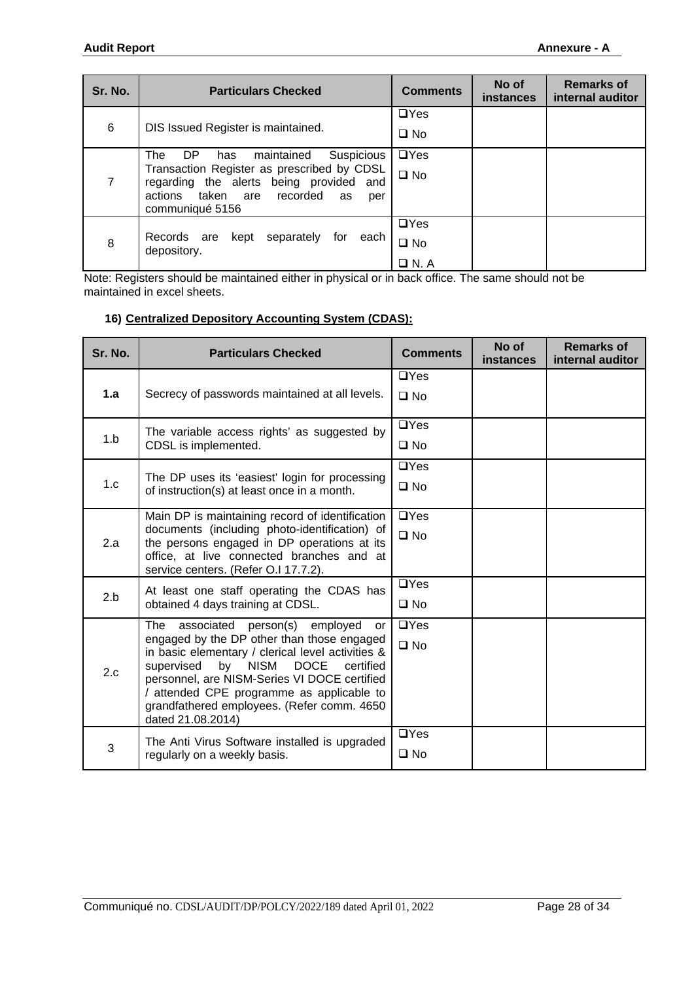| Sr. No.        | <b>Particulars Checked</b>                                                            | <b>Comments</b> | No of<br>instances | <b>Remarks of</b><br>internal auditor |
|----------------|---------------------------------------------------------------------------------------|-----------------|--------------------|---------------------------------------|
|                |                                                                                       | $\Box$ Yes      |                    |                                       |
|                | 6<br>DIS Issued Register is maintained.                                               |                 |                    |                                       |
|                | Suspicious<br>The<br>maintained<br>DP.<br>has                                         | $\Box$ Yes      |                    |                                       |
| $\overline{7}$ | Transaction Register as prescribed by CDSL<br>regarding the alerts being provided and | $\square$ No    |                    |                                       |
|                | actions taken are recorded<br>as<br>per                                               |                 |                    |                                       |
|                | communiqué 5156                                                                       |                 |                    |                                       |
|                |                                                                                       | $\Box$ Yes      |                    |                                       |
| 8              | Records are<br>separately<br>for<br>kept<br>each<br>depository.                       | $\square$ No    |                    |                                       |
|                |                                                                                       | $\Box$ N. A     |                    |                                       |

Note: Registers should be maintained either in physical or in back office. The same should not be maintained in excel sheets.

### **16) Centralized Depository Accounting System (CDAS):**

| Sr. No. | <b>Particulars Checked</b>                                                                                                                                                                                                                                                                                                                                        | <b>Comments</b>            | No of<br><b>instances</b> | <b>Remarks of</b><br>internal auditor |
|---------|-------------------------------------------------------------------------------------------------------------------------------------------------------------------------------------------------------------------------------------------------------------------------------------------------------------------------------------------------------------------|----------------------------|---------------------------|---------------------------------------|
| 1.a     | Secrecy of passwords maintained at all levels.                                                                                                                                                                                                                                                                                                                    | $\Box$ Yes<br>$\square$ No |                           |                                       |
| 1.b     | The variable access rights' as suggested by<br>CDSL is implemented.                                                                                                                                                                                                                                                                                               | $\Box$ Yes<br>$\square$ No |                           |                                       |
| 1.c     | The DP uses its 'easiest' login for processing<br>of instruction(s) at least once in a month.                                                                                                                                                                                                                                                                     | $\Box$ Yes<br>$\square$ No |                           |                                       |
| 2.a     | Main DP is maintaining record of identification<br>documents (including photo-identification) of<br>the persons engaged in DP operations at its<br>office, at live connected branches and at<br>service centers. (Refer O.I 17.7.2).                                                                                                                              |                            |                           |                                       |
| 2.b     | At least one staff operating the CDAS has<br>obtained 4 days training at CDSL.                                                                                                                                                                                                                                                                                    | $\Box$ Yes<br>$\square$ No |                           |                                       |
| 2.c     | person(s)<br>associated<br>employed<br>The<br>or<br>engaged by the DP other than those engaged<br>in basic elementary / clerical level activities &<br>by NISM<br>DOCE<br>supervised<br>certified<br>personnel, are NISM-Series VI DOCE certified<br>/ attended CPE programme as applicable to<br>grandfathered employees. (Refer comm. 4650<br>dated 21.08.2014) |                            |                           |                                       |
| 3       | The Anti Virus Software installed is upgraded<br>regularly on a weekly basis.                                                                                                                                                                                                                                                                                     | $\Box$ Yes<br>$\square$ No |                           |                                       |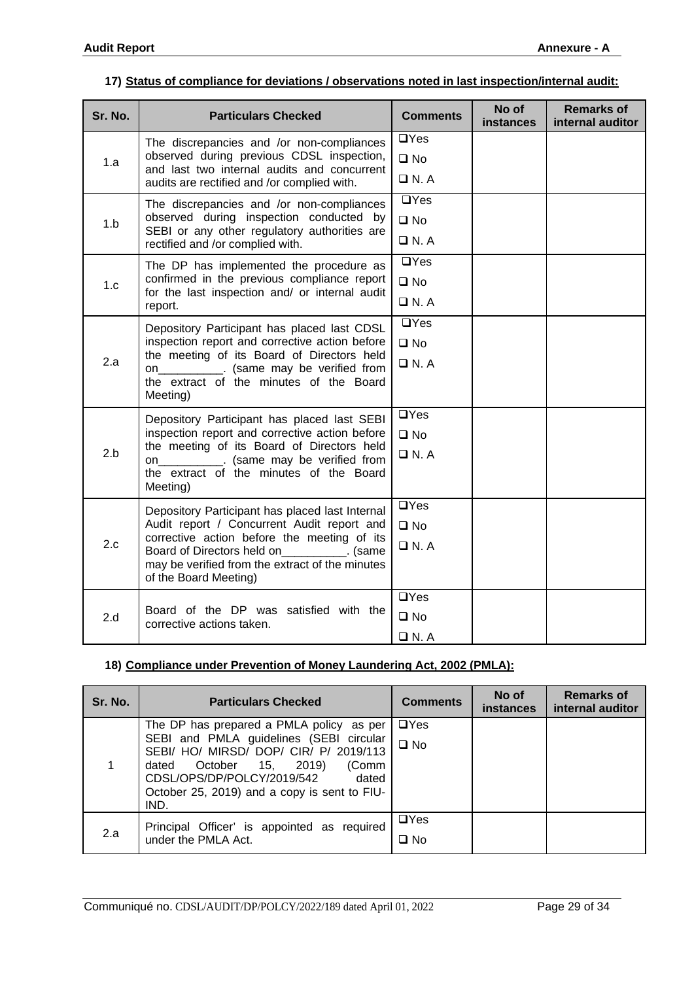#### **17) Status of compliance for deviations / observations noted in last inspection/internal audit:**

| Sr. No.                                                                                                  | <b>Particulars Checked</b>                                                                                          | <b>Comments</b>            | No of<br>instances | <b>Remarks of</b><br>internal auditor |
|----------------------------------------------------------------------------------------------------------|---------------------------------------------------------------------------------------------------------------------|----------------------------|--------------------|---------------------------------------|
|                                                                                                          | The discrepancies and /or non-compliances<br>observed during previous CDSL inspection,                              | $\Box$ Yes                 |                    |                                       |
| 1.a                                                                                                      | and last two internal audits and concurrent<br>audits are rectified and /or complied with.                          | $\square$ No<br>$\Box$ N.A |                    |                                       |
|                                                                                                          | The discrepancies and /or non-compliances<br>observed during inspection conducted by                                | $\Box$ Yes<br>$\square$ No |                    |                                       |
| 1.b                                                                                                      | SEBI or any other regulatory authorities are<br>rectified and /or complied with.                                    | $\Box$ N.A                 |                    |                                       |
|                                                                                                          | The DP has implemented the procedure as                                                                             | $\Box$ Yes                 |                    |                                       |
| 1.c                                                                                                      | confirmed in the previous compliance report<br>for the last inspection and/ or internal audit                       | $\square$ No               |                    |                                       |
|                                                                                                          | report.                                                                                                             | $\Box$ N.A<br>$\Box$ Yes   |                    |                                       |
|                                                                                                          | Depository Participant has placed last CDSL                                                                         |                            |                    |                                       |
|                                                                                                          | inspection report and corrective action before<br>the meeting of its Board of Directors held                        | $\square$ No               |                    |                                       |
| 2.a<br>on ___________. (same may be verified from<br>the extract of the minutes of the Board<br>Meeting) |                                                                                                                     | $\Box$ N.A                 |                    |                                       |
|                                                                                                          | Depository Participant has placed last SEBI                                                                         | $\Box$ Yes                 |                    |                                       |
|                                                                                                          | inspection report and corrective action before<br>the meeting of its Board of Directors held                        | $\square$ No               |                    |                                       |
| 2.b<br>on____________. (same may be verified from<br>the extract of the minutes of the Board<br>Meeting) |                                                                                                                     | $\Box$ N.A                 |                    |                                       |
|                                                                                                          | Depository Participant has placed last Internal                                                                     | $\overline{UY}$ es         |                    |                                       |
| 2.c                                                                                                      | Audit report / Concurrent Audit report and<br>corrective action before the meeting of its                           | $\square$ No               |                    |                                       |
|                                                                                                          | Board of Directors held on [100]. (same<br>may be verified from the extract of the minutes<br>of the Board Meeting) | $\Box$ N.A                 |                    |                                       |
|                                                                                                          | Board of the DP was satisfied with the                                                                              | $\overline{UY}$ es         |                    |                                       |
| 2.d                                                                                                      | corrective actions taken.                                                                                           | $\square$ No               |                    |                                       |
|                                                                                                          |                                                                                                                     | $\Box$ N.A                 |                    |                                       |

## **18) Compliance under Prevention of Money Laundering Act, 2002 (PMLA):**

| Sr. No. | <b>Particulars Checked</b>                                                                                                                                                                                                                                             | <b>Comments</b>            | No of<br><b>instances</b> | <b>Remarks of</b><br>internal auditor |
|---------|------------------------------------------------------------------------------------------------------------------------------------------------------------------------------------------------------------------------------------------------------------------------|----------------------------|---------------------------|---------------------------------------|
|         | The DP has prepared a PMLA policy as per<br>SEBI and PMLA guidelines (SEBI circular<br>SEBI/ HO/ MIRSD/ DOP/ CIR/ P/ 2019/113<br>2019)<br>(Comm<br>October 15,<br>dated<br>CDSL/OPS/DP/POLCY/2019/542<br>dated<br>October 25, 2019) and a copy is sent to FIU-<br>IND. | $\Box$ Yes<br>$\square$ No |                           |                                       |
| 2.a     | Principal Officer' is appointed as required<br>under the PMLA Act.                                                                                                                                                                                                     | $\Box$ Yes<br>$\square$ No |                           |                                       |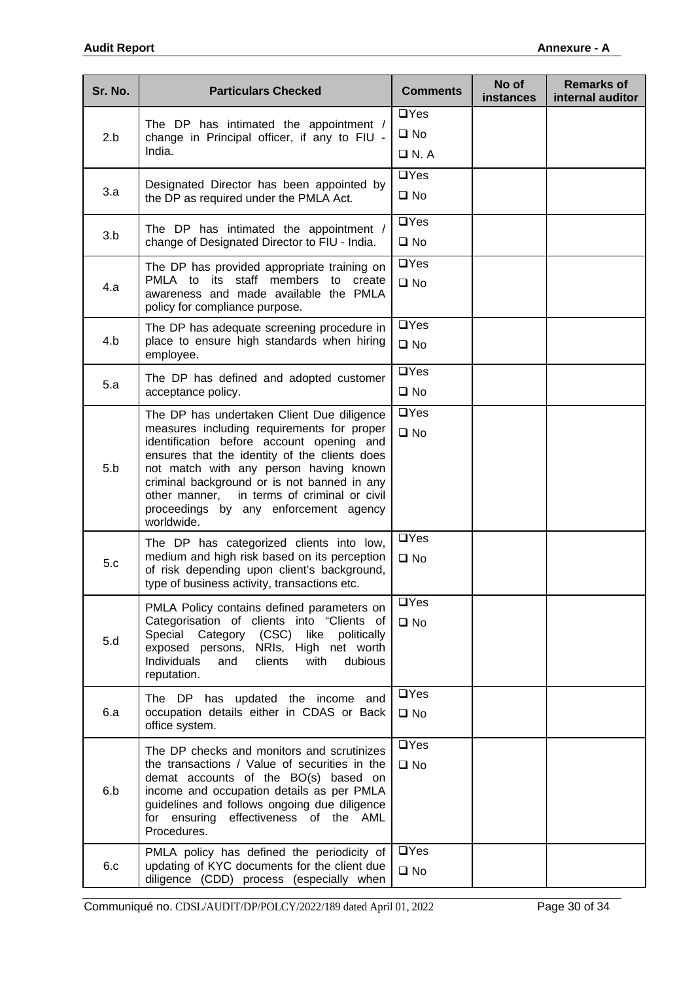| Sr. No. | <b>Particulars Checked</b>                                                                                                                                                                                                                                                                                                                                                            | <b>Comments</b>                           | No of<br><b>instances</b> | <b>Remarks of</b><br>internal auditor |
|---------|---------------------------------------------------------------------------------------------------------------------------------------------------------------------------------------------------------------------------------------------------------------------------------------------------------------------------------------------------------------------------------------|-------------------------------------------|---------------------------|---------------------------------------|
| 2.b     | The DP has intimated the appointment /<br>change in Principal officer, if any to FIU -<br>India.                                                                                                                                                                                                                                                                                      | $\Box$ Yes<br>$\square$ No<br>$\Box$ N. A |                           |                                       |
| 3.a     | Designated Director has been appointed by<br>the DP as required under the PMLA Act.                                                                                                                                                                                                                                                                                                   | $\Box$ Yes<br>$\square$ No                |                           |                                       |
| 3.b     | The DP has intimated the appointment /<br>change of Designated Director to FIU - India.                                                                                                                                                                                                                                                                                               | $\Box$ Yes<br>$\square$ No                |                           |                                       |
| 4.a     | The DP has provided appropriate training on<br>PMLA to its staff members to create<br>awareness and made available the PMLA<br>policy for compliance purpose.                                                                                                                                                                                                                         | $\Box$ Yes<br>$\square$ No                |                           |                                       |
| 4.b     | The DP has adequate screening procedure in<br>place to ensure high standards when hiring<br>employee.                                                                                                                                                                                                                                                                                 | $\Box$ Yes<br>$\square$ No                |                           |                                       |
| 5.a     | The DP has defined and adopted customer<br>acceptance policy.                                                                                                                                                                                                                                                                                                                         | $\Box$ Yes<br>$\square$ No                |                           |                                       |
| 5.b     | The DP has undertaken Client Due diligence<br>measures including requirements for proper<br>identification before account opening and<br>ensures that the identity of the clients does<br>not match with any person having known<br>criminal background or is not banned in any<br>other manner, in terms of criminal or civil<br>proceedings by any enforcement agency<br>worldwide. |                                           |                           |                                       |
| 5.c     | The DP has categorized clients into low,<br>medium and high risk based on its perception<br>of risk depending upon client's background,<br>type of business activity, transactions etc.                                                                                                                                                                                               | $\Box$ Yes<br>$\square$ No                |                           |                                       |
| 5.d     | PMLA Policy contains defined parameters on<br>Categorisation of clients into "Clients of<br>Special Category (CSC) like<br>politically<br>exposed persons, NRIs, High net worth<br>Individuals<br>clients<br>with<br>dubious<br>and<br>reputation.                                                                                                                                    |                                           |                           |                                       |
| 6.a     | The DP has updated the income and<br>occupation details either in CDAS or Back<br>office system.                                                                                                                                                                                                                                                                                      | $\Box$ Yes<br>$\square$ No                |                           |                                       |
| 6.b     | The DP checks and monitors and scrutinizes<br>the transactions / Value of securities in the<br>demat accounts of the BO(s) based on<br>income and occupation details as per PMLA<br>guidelines and follows ongoing due diligence<br>for ensuring effectiveness of the AML<br>Procedures.                                                                                              |                                           |                           |                                       |
| 6.c     | PMLA policy has defined the periodicity of<br>updating of KYC documents for the client due<br>diligence (CDD) process (especially when                                                                                                                                                                                                                                                | $\Box$ Yes<br>$\square$ No                |                           |                                       |

Communiqué no. CDSL/AUDIT/DP/POLCY/2022/189 dated April 01, 2022 Page 30 of 34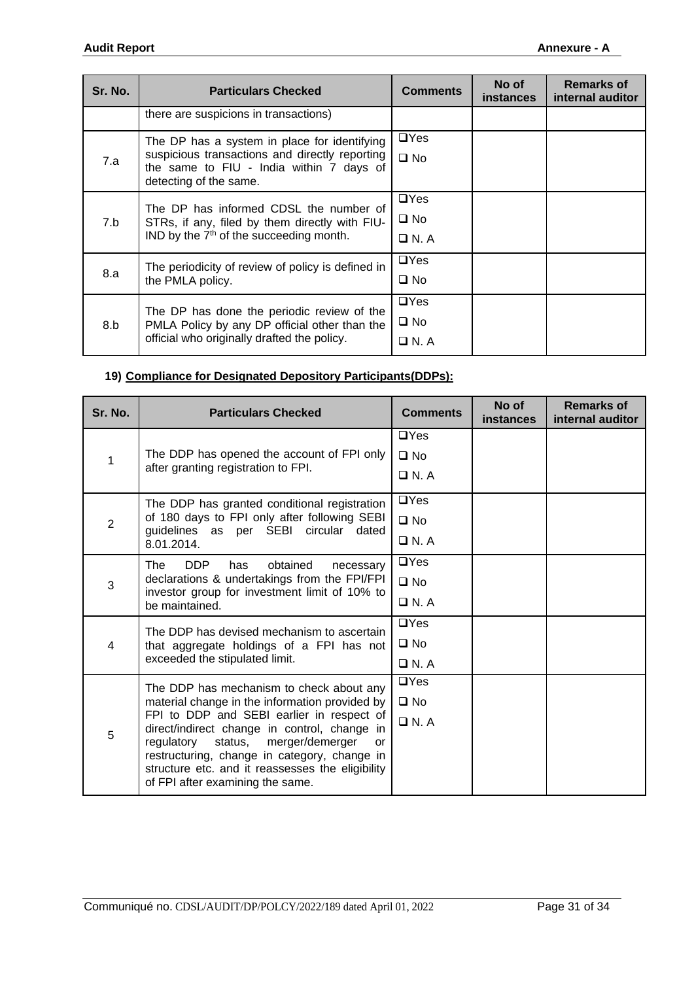| Sr. No. | <b>Particulars Checked</b>                                                                                                                                           | <b>Comments</b>                           | No of<br><b>instances</b> | <b>Remarks of</b><br>internal auditor |
|---------|----------------------------------------------------------------------------------------------------------------------------------------------------------------------|-------------------------------------------|---------------------------|---------------------------------------|
|         | there are suspicions in transactions)                                                                                                                                |                                           |                           |                                       |
| 7.a     | The DP has a system in place for identifying<br>suspicious transactions and directly reporting<br>the same to FIU - India within 7 days of<br>detecting of the same. | $\Box$ Yes<br>$\square$ No                |                           |                                       |
| 7.b     | The DP has informed CDSL the number of<br>STRs, if any, filed by them directly with FIU-<br>IND by the $7th$ of the succeeding month.                                | $\Box$ Yes<br>$\square$ No<br>$\Box$ N. A |                           |                                       |
| 8.a     | The periodicity of review of policy is defined in<br>the PMLA policy.                                                                                                | $\Box$ Yes<br>$\square$ No                |                           |                                       |
| 8.b     | The DP has done the periodic review of the<br>PMLA Policy by any DP official other than the<br>official who originally drafted the policy.                           | $\Box$ Yes<br>$\square$ No<br>$\Box$ N. A |                           |                                       |

## **19) Compliance for Designated Depository Participants(DDPs):**

| Sr. No.        | <b>Particulars Checked</b>                                                                       | <b>Comments</b> | No of<br><b>instances</b> | <b>Remarks of</b><br>internal auditor |
|----------------|--------------------------------------------------------------------------------------------------|-----------------|---------------------------|---------------------------------------|
|                |                                                                                                  | $\Box$ Yes      |                           |                                       |
| 1              | The DDP has opened the account of FPI only                                                       | $\square$ No    |                           |                                       |
|                | after granting registration to FPI.                                                              | $\Box$ N. A     |                           |                                       |
|                | The DDP has granted conditional registration                                                     | $\Box$ Yes      |                           |                                       |
| $\overline{2}$ | of 180 days to FPI only after following SEBI<br>guidelines as per SEBI circular dated            | $\square$ No    |                           |                                       |
|                | 8.01.2014.                                                                                       | $\Box$ N. A     |                           |                                       |
|                | DDP<br>The<br>has<br>obtained<br>necessary                                                       | $\Box$ Yes      |                           |                                       |
| 3              | declarations & undertakings from the FPI/FPI                                                     | $\square$ No    |                           |                                       |
|                | investor group for investment limit of 10% to<br>be maintained.                                  | $\Box$ N. A     |                           |                                       |
|                | The DDP has devised mechanism to ascertain                                                       | $\Box$ Yes      |                           |                                       |
| 4              | that aggregate holdings of a FPI has not<br>exceeded the stipulated limit.                       | $\square$ No    |                           |                                       |
|                |                                                                                                  | $\Box$ N.A      |                           |                                       |
|                | The DDP has mechanism to check about any                                                         | $\Box$ Yes      |                           |                                       |
|                | material change in the information provided by                                                   | $\square$ No    |                           |                                       |
| 5              | FPI to DDP and SEBI earlier in respect of<br>direct/indirect change in control, change in        | $\Box$ N.A      |                           |                                       |
|                | regulatory<br>status, merger/demerger<br><b>or</b>                                               |                 |                           |                                       |
|                | restructuring, change in category, change in<br>structure etc. and it reassesses the eligibility |                 |                           |                                       |
|                | of FPI after examining the same.                                                                 |                 |                           |                                       |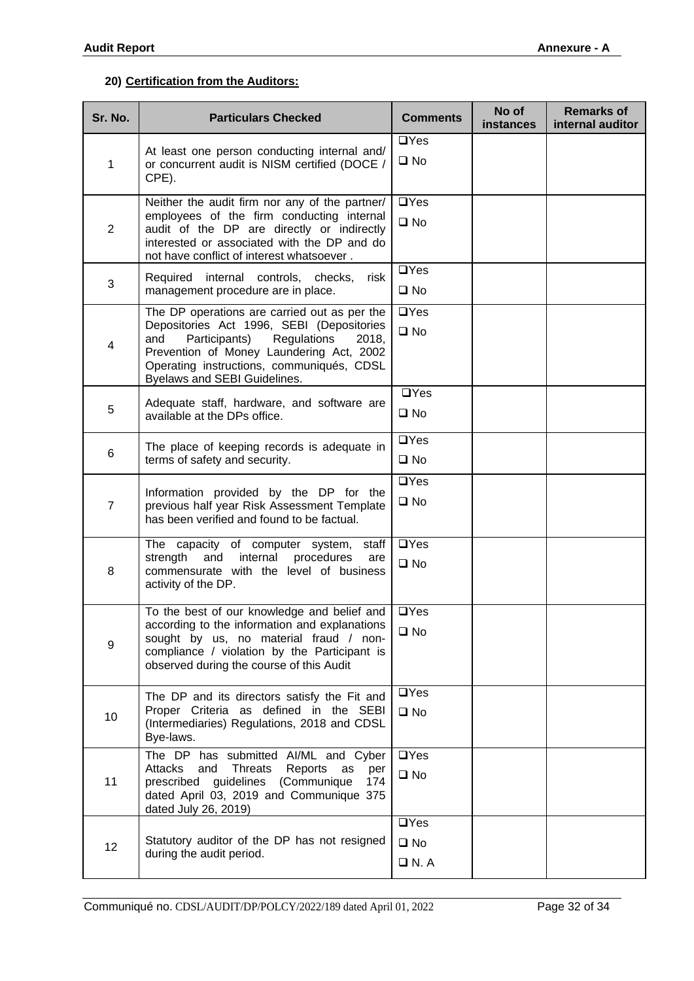### **20) Certification from the Auditors:**

| Sr. No.        | <b>Particulars Checked</b>                                                                                                                                                                                                                                         | <b>Comments</b>                           | No of<br>instances | <b>Remarks of</b><br>internal auditor |
|----------------|--------------------------------------------------------------------------------------------------------------------------------------------------------------------------------------------------------------------------------------------------------------------|-------------------------------------------|--------------------|---------------------------------------|
| $\mathbf{1}$   | At least one person conducting internal and/<br>or concurrent audit is NISM certified (DOCE /<br>CPE).                                                                                                                                                             | $\Box$ Yes<br>$\square$ No                |                    |                                       |
| $\overline{2}$ | Neither the audit firm nor any of the partner/<br>employees of the firm conducting internal<br>audit of the DP are directly or indirectly<br>interested or associated with the DP and do<br>not have conflict of interest whatsoever.                              | $\Box$ Yes<br>$\square$ No                |                    |                                       |
| 3              | Required internal controls, checks,<br>risk<br>management procedure are in place.                                                                                                                                                                                  | $\Box$ Yes<br>$\square$ No                |                    |                                       |
| 4              | The DP operations are carried out as per the<br>Depositories Act 1996, SEBI (Depositories<br>Participants)<br>Regulations<br>and<br>2018,<br>Prevention of Money Laundering Act, 2002<br>Operating instructions, communiqués, CDSL<br>Byelaws and SEBI Guidelines. | $\Box$ Yes<br>$\square$ No                |                    |                                       |
| 5              | Adequate staff, hardware, and software are<br>available at the DPs office.                                                                                                                                                                                         | $\Box$ Yes<br>$\square$ No                |                    |                                       |
| 6              | The place of keeping records is adequate in<br>terms of safety and security.                                                                                                                                                                                       | $\Box$ Yes<br>$\square$ No                |                    |                                       |
| $\overline{7}$ | Information provided by the DP for the<br>previous half year Risk Assessment Template<br>has been verified and found to be factual.                                                                                                                                | $\Box$ Yes<br>$\square$ No                |                    |                                       |
| 8              | The capacity of computer system,<br>staff<br>strength<br>and<br>internal<br>procedures<br>are<br>commensurate with the level of business<br>activity of the DP.                                                                                                    | $\Box$ Yes<br>$\square$ No                |                    |                                       |
| 9              | To the best of our knowledge and belief and<br>according to the information and explanations<br>sought by us, no material fraud / non-<br>compliance / violation by the Participant is<br>observed during the course of this Audit                                 | $\Box$ Yes<br>$\square$ No                |                    |                                       |
| 10             | The DP and its directors satisfy the Fit and<br>Proper Criteria as defined in the SEBI<br>(Intermediaries) Regulations, 2018 and CDSL<br>Bye-laws.                                                                                                                 | $\Box$ Yes<br>$\square$ No                |                    |                                       |
| 11             | The DP has submitted AI/ML and Cyber<br>Attacks<br>Threats<br>Reports<br>and<br>as<br>per<br>prescribed guidelines (Communique<br>174<br>dated April 03, 2019 and Communique 375<br>dated July 26, 2019)                                                           | $\Box$ Yes<br>$\square$ No                |                    |                                       |
| 12             | Statutory auditor of the DP has not resigned<br>during the audit period.                                                                                                                                                                                           | $\Box$ Yes<br>$\square$ No<br>$\Box$ N. A |                    |                                       |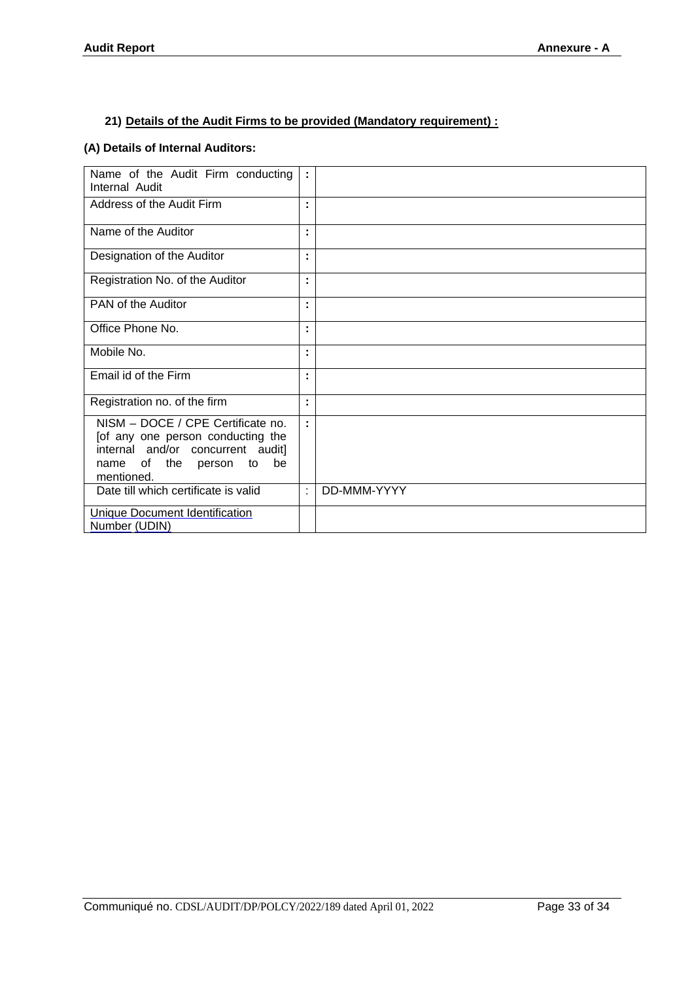#### **21) Details of the Audit Firms to be provided (Mandatory requirement) :**

#### **(A) Details of Internal Auditors:**

| Name of the Audit Firm conducting<br>Internal Audit                                                                                                            | ÷. |             |
|----------------------------------------------------------------------------------------------------------------------------------------------------------------|----|-------------|
| Address of the Audit Firm                                                                                                                                      | ٠  |             |
| Name of the Auditor                                                                                                                                            | ÷  |             |
| Designation of the Auditor                                                                                                                                     | ٠  |             |
| Registration No. of the Auditor                                                                                                                                | ÷  |             |
| PAN of the Auditor                                                                                                                                             | ٠  |             |
| Office Phone No.                                                                                                                                               | ٠  |             |
| Mobile No.                                                                                                                                                     |    |             |
| Email id of the Firm                                                                                                                                           | ٠  |             |
| Registration no. of the firm                                                                                                                                   | ÷  |             |
| NISM - DOCE / CPE Certificate no.<br>[of any one person conducting the<br>internal and/or concurrent audit]<br>be<br>of the person<br>to<br>name<br>mentioned. | ÷  |             |
| Date till which certificate is valid                                                                                                                           | t  | DD-MMM-YYYY |
| Unique Document Identification<br>Number (UDIN)                                                                                                                |    |             |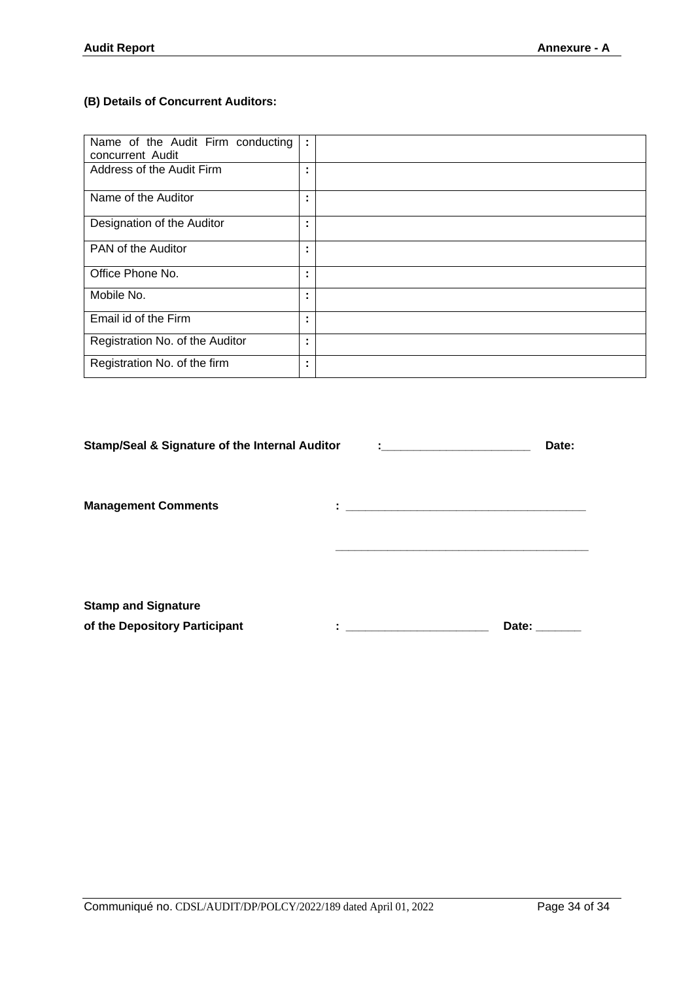## **(B) Details of Concurrent Auditors:**

| Name of the Audit Firm conducting<br>concurrent Audit | ÷                   |  |
|-------------------------------------------------------|---------------------|--|
| Address of the Audit Firm                             | ٠<br>٠              |  |
| Name of the Auditor                                   | ٠                   |  |
| Designation of the Auditor                            | ٠                   |  |
| PAN of the Auditor                                    | ٠<br>$\blacksquare$ |  |
| Office Phone No.                                      | ٠<br>٠              |  |
| Mobile No.                                            | ٠<br>$\blacksquare$ |  |
| Email id of the Firm                                  | ٠                   |  |
| Registration No. of the Auditor                       | ٠                   |  |
| Registration No. of the firm                          | ٠                   |  |

| <b>Stamp/Seal &amp; Signature of the Internal Auditor</b>   |         | <b>Experience of the Community Construction</b> | Date: |
|-------------------------------------------------------------|---------|-------------------------------------------------|-------|
| <b>Management Comments</b>                                  | ٠<br>ä, |                                                 |       |
| <b>Stamp and Signature</b><br>of the Depository Participant | ٠       |                                                 | Date: |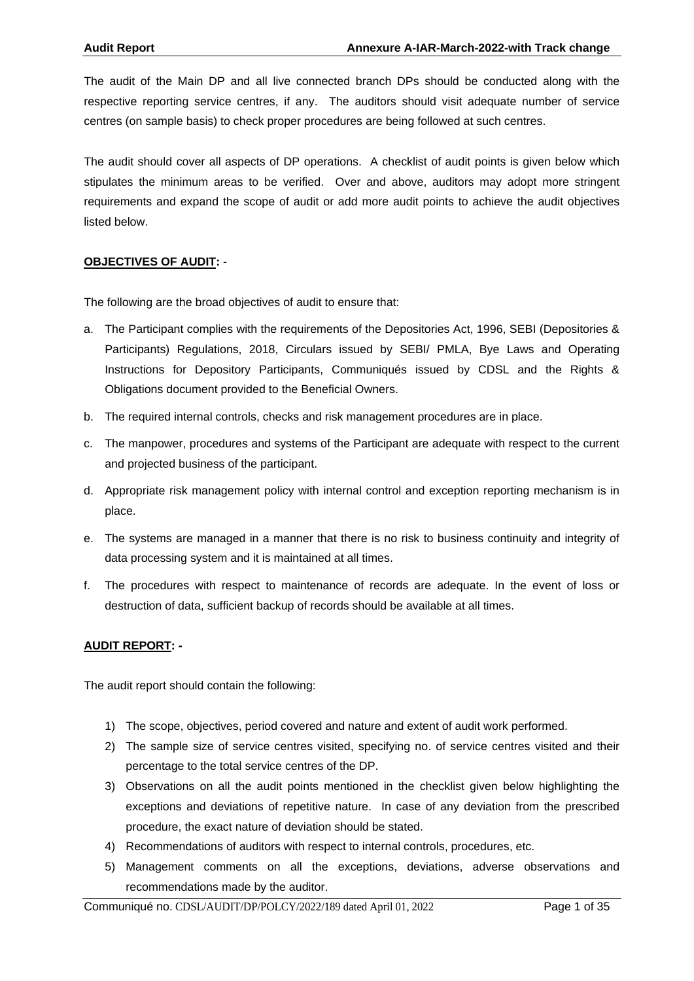The audit of the Main DP and all live connected branch DPs should be conducted along with the respective reporting service centres, if any. The auditors should visit adequate number of service centres (on sample basis) to check proper procedures are being followed at such centres.

The audit should cover all aspects of DP operations. A checklist of audit points is given below which stipulates the minimum areas to be verified. Over and above, auditors may adopt more stringent requirements and expand the scope of audit or add more audit points to achieve the audit objectives listed below.

#### **OBJECTIVES OF AUDIT:** -

The following are the broad objectives of audit to ensure that:

- a. The Participant complies with the requirements of the Depositories Act, 1996, SEBI (Depositories & Participants) Regulations, 2018, Circulars issued by SEBI/ PMLA, Bye Laws and Operating Instructions for Depository Participants, Communiqués issued by CDSL and the Rights & Obligations document provided to the Beneficial Owners.
- b. The required internal controls, checks and risk management procedures are in place.
- c. The manpower, procedures and systems of the Participant are adequate with respect to the current and projected business of the participant.
- d. Appropriate risk management policy with internal control and exception reporting mechanism is in place.
- e. The systems are managed in a manner that there is no risk to business continuity and integrity of data processing system and it is maintained at all times.
- f. The procedures with respect to maintenance of records are adequate. In the event of loss or destruction of data, sufficient backup of records should be available at all times.

#### **AUDIT REPORT: -**

The audit report should contain the following:

- 1) The scope, objectives, period covered and nature and extent of audit work performed.
- 2) The sample size of service centres visited, specifying no. of service centres visited and their percentage to the total service centres of the DP.
- 3) Observations on all the audit points mentioned in the checklist given below highlighting the exceptions and deviations of repetitive nature. In case of any deviation from the prescribed procedure, the exact nature of deviation should be stated.
- 4) Recommendations of auditors with respect to internal controls, procedures, etc.
- 5) Management comments on all the exceptions, deviations, adverse observations and recommendations made by the auditor.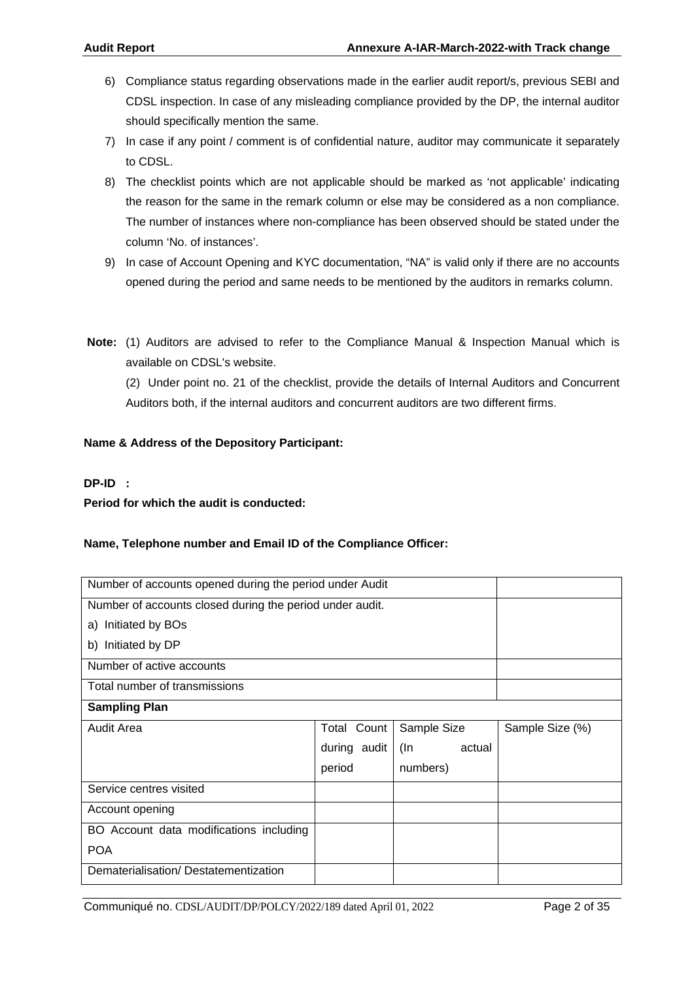- 6) Compliance status regarding observations made in the earlier audit report/s, previous SEBI and CDSL inspection. In case of any misleading compliance provided by the DP, the internal auditor should specifically mention the same.
- 7) In case if any point / comment is of confidential nature, auditor may communicate it separately to CDSL.
- 8) The checklist points which are not applicable should be marked as 'not applicable' indicating the reason for the same in the remark column or else may be considered as a non compliance. The number of instances where non-compliance has been observed should be stated under the column 'No. of instances'.
- 9) In case of Account Opening and KYC documentation, "NA" is valid only if there are no accounts opened during the period and same needs to be mentioned by the auditors in remarks column.
- **Note:** (1) Auditors are advised to refer to the Compliance Manual & Inspection Manual which is available on CDSL's website.

 (2) Under point no. 21 of the checklist, provide the details of Internal Auditors and Concurrent Auditors both, if the internal auditors and concurrent auditors are two different firms.

#### **Name & Address of the Depository Participant:**

#### **DP-ID :**

**Period for which the audit is conducted:**

#### **Name, Telephone number and Email ID of the Compliance Officer:**

| Number of accounts opened during the period under Audit  |                    |               |                 |  |  |
|----------------------------------------------------------|--------------------|---------------|-----------------|--|--|
| Number of accounts closed during the period under audit. |                    |               |                 |  |  |
| a) Initiated by BOs                                      |                    |               |                 |  |  |
| b) Initiated by DP                                       |                    |               |                 |  |  |
| Number of active accounts                                |                    |               |                 |  |  |
| Total number of transmissions                            |                    |               |                 |  |  |
| <b>Sampling Plan</b>                                     |                    |               |                 |  |  |
| <b>Audit Area</b>                                        | <b>Total Count</b> | Sample Size   | Sample Size (%) |  |  |
|                                                          | during audit       | actual<br>(In |                 |  |  |
|                                                          | period             | numbers)      |                 |  |  |
| Service centres visited                                  |                    |               |                 |  |  |
| Account opening                                          |                    |               |                 |  |  |
| BO Account data modifications including                  |                    |               |                 |  |  |
| <b>POA</b>                                               |                    |               |                 |  |  |
| Dematerialisation/Destatementization                     |                    |               |                 |  |  |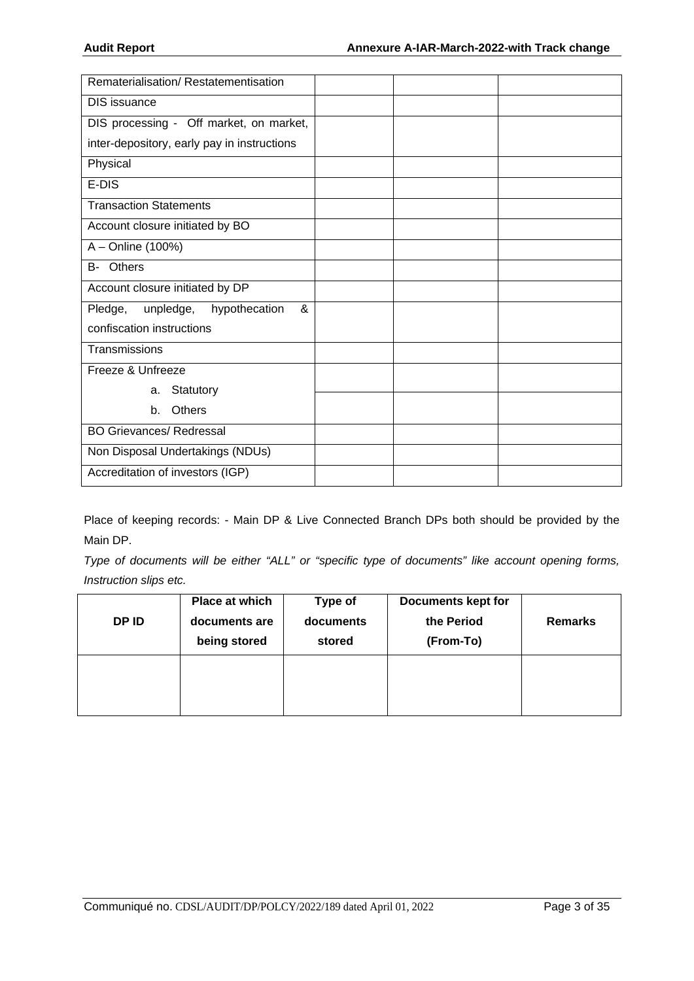| Rematerialisation/Restatementisation        |  |  |
|---------------------------------------------|--|--|
| DIS issuance                                |  |  |
| DIS processing - Off market, on market,     |  |  |
| inter-depository, early pay in instructions |  |  |
| Physical                                    |  |  |
| E-DIS                                       |  |  |
| <b>Transaction Statements</b>               |  |  |
| Account closure initiated by BO             |  |  |
| A - Online (100%)                           |  |  |
| B- Others                                   |  |  |
| Account closure initiated by DP             |  |  |
| &<br>unpledge, hypothecation<br>Pledge,     |  |  |
| confiscation instructions                   |  |  |
| Transmissions                               |  |  |
| Freeze & Unfreeze                           |  |  |
| Statutory<br>a.                             |  |  |
| Others<br>$h_{-}$                           |  |  |
| <b>BO Grievances/ Redressal</b>             |  |  |
| Non Disposal Undertakings (NDUs)            |  |  |
| Accreditation of investors (IGP)            |  |  |

Place of keeping records: - Main DP & Live Connected Branch DPs both should be provided by the Main DP.

*Type of documents will be either "ALL" or "specific type of documents" like account opening forms, Instruction slips etc.* 

| DP ID | Place at which<br>documents are<br>being stored | Type of<br>documents<br>stored | <b>Documents kept for</b><br>the Period<br>(From-To) | <b>Remarks</b> |
|-------|-------------------------------------------------|--------------------------------|------------------------------------------------------|----------------|
|       |                                                 |                                |                                                      |                |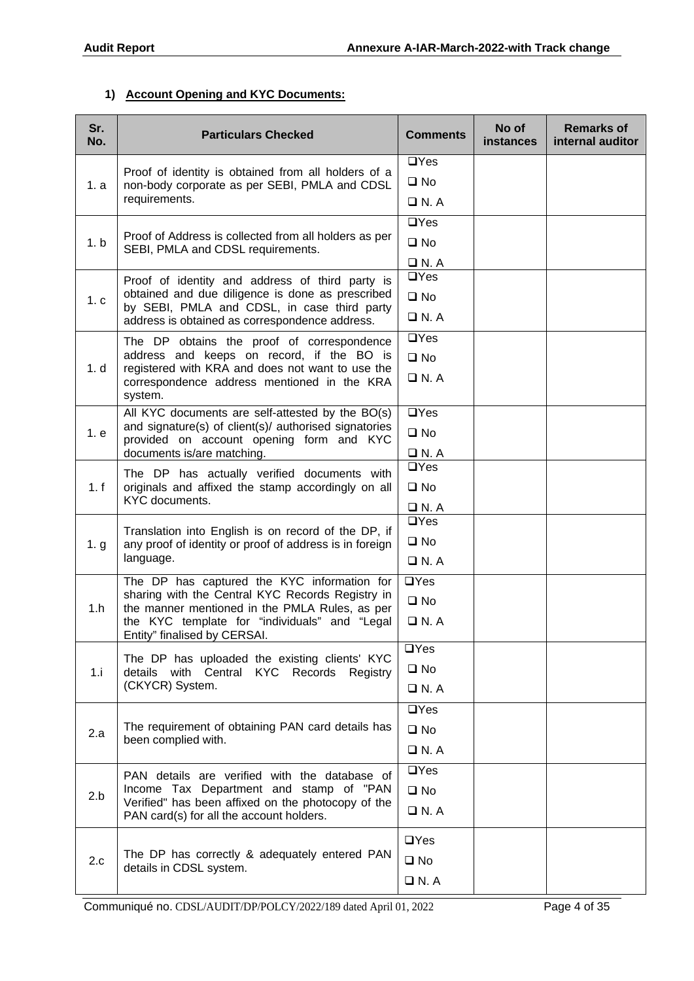### **1) Account Opening and KYC Documents:**

| Sr.<br>No. | <b>Particulars Checked</b>                                                                        | <b>Comments</b>                                                         | No of<br>instances                      | <b>Remarks of</b><br>internal auditor |
|------------|---------------------------------------------------------------------------------------------------|-------------------------------------------------------------------------|-----------------------------------------|---------------------------------------|
|            | Proof of identity is obtained from all holders of a                                               | $\Box$ Yes                                                              |                                         |                                       |
| 1. a       | non-body corporate as per SEBI, PMLA and CDSL                                                     | $\square$ No                                                            |                                         |                                       |
|            | requirements.                                                                                     | $\Box$ N. A                                                             |                                         |                                       |
|            |                                                                                                   | $\Box$ Yes                                                              |                                         |                                       |
| 1.b        | Proof of Address is collected from all holders as per<br>SEBI, PMLA and CDSL requirements.        | $\square$ No                                                            |                                         |                                       |
|            |                                                                                                   | $\Box$ N. A                                                             |                                         |                                       |
|            | Proof of identity and address of third party is                                                   |                                                                         |                                         |                                       |
| 1.c        | obtained and due diligence is done as prescribed<br>by SEBI, PMLA and CDSL, in case third party   | $\square$ No                                                            |                                         |                                       |
|            | address is obtained as correspondence address.                                                    | $\Box$ N. A                                                             |                                         |                                       |
|            | The DP obtains the proof of correspondence                                                        | $\overline{UY}$ es                                                      |                                         |                                       |
| 1. d       | address and keeps on record, if the BO is<br>registered with KRA and does not want to use the     | $\square$ No                                                            |                                         |                                       |
|            | correspondence address mentioned in the KRA<br>system.                                            | $\Box$ N. A                                                             |                                         |                                       |
|            | All KYC documents are self-attested by the BO(s)                                                  | $\Box$ Yes                                                              |                                         |                                       |
| 1. e       | and signature(s) of client(s)/ authorised signatories<br>provided on account opening form and KYC | $\square$ No                                                            | $\Box$ Yes<br>$\Box$ Yes<br>$\Box$ N. A |                                       |
|            | documents is/are matching.                                                                        | $\Box$ N. A                                                             |                                         |                                       |
|            | The DP has actually verified documents with                                                       |                                                                         |                                         |                                       |
| 1.f        | originals and affixed the stamp accordingly on all<br>KYC documents.                              | $\square$ No                                                            |                                         |                                       |
|            |                                                                                                   | $\Box$ N. A                                                             |                                         |                                       |
|            | Translation into English is on record of the DP, if                                               |                                                                         |                                         |                                       |
| 1. g       | any proof of identity or proof of address is in foreign<br>language.                              |                                                                         |                                         |                                       |
|            |                                                                                                   |                                                                         |                                         |                                       |
|            | The DP has captured the KYC information for<br>sharing with the Central KYC Records Registry in   |                                                                         |                                         |                                       |
| 1.h        | the manner mentioned in the PMLA Rules, as per                                                    | $\Box$ Yes<br>$\square$ No<br>$\Box$ N. A<br>$\Box$ Yes<br>$\square$ No |                                         |                                       |
|            | the KYC template for "individuals" and "Legal<br>Entity" finalised by CERSAI.                     |                                                                         |                                         |                                       |
|            | The DP has uploaded the existing clients' KYC                                                     | $\Box$ Yes                                                              |                                         |                                       |
| 1.i        | details with Central KYC Records Registry                                                         | $\square$ No                                                            |                                         |                                       |
|            | (CKYCR) System.                                                                                   | $\Box$ N.A                                                              |                                         |                                       |
|            |                                                                                                   | $\Box$ Yes                                                              |                                         |                                       |
| 2.a        | The requirement of obtaining PAN card details has                                                 | $\square$ No                                                            |                                         |                                       |
|            | been complied with.                                                                               | $\Box$ N. A                                                             |                                         |                                       |
|            | PAN details are verified with the database of                                                     | $\overline{UY}$ es                                                      |                                         |                                       |
| 2.b        | Income Tax Department and stamp of "PAN                                                           | $\square$ No                                                            |                                         |                                       |
|            | Verified" has been affixed on the photocopy of the                                                | $\Box$ N. A                                                             |                                         |                                       |
|            | PAN card(s) for all the account holders.                                                          |                                                                         |                                         |                                       |
|            | The DP has correctly & adequately entered PAN                                                     | $\Box$ Yes                                                              |                                         |                                       |
| 2.c        | details in CDSL system.                                                                           | $\square$ No                                                            |                                         |                                       |
|            |                                                                                                   | $\Box$ N. A                                                             |                                         |                                       |

Communiqué no. CDSL/AUDIT/DP/POLCY/2022/189 dated April 01, 2022 Page 4 of 35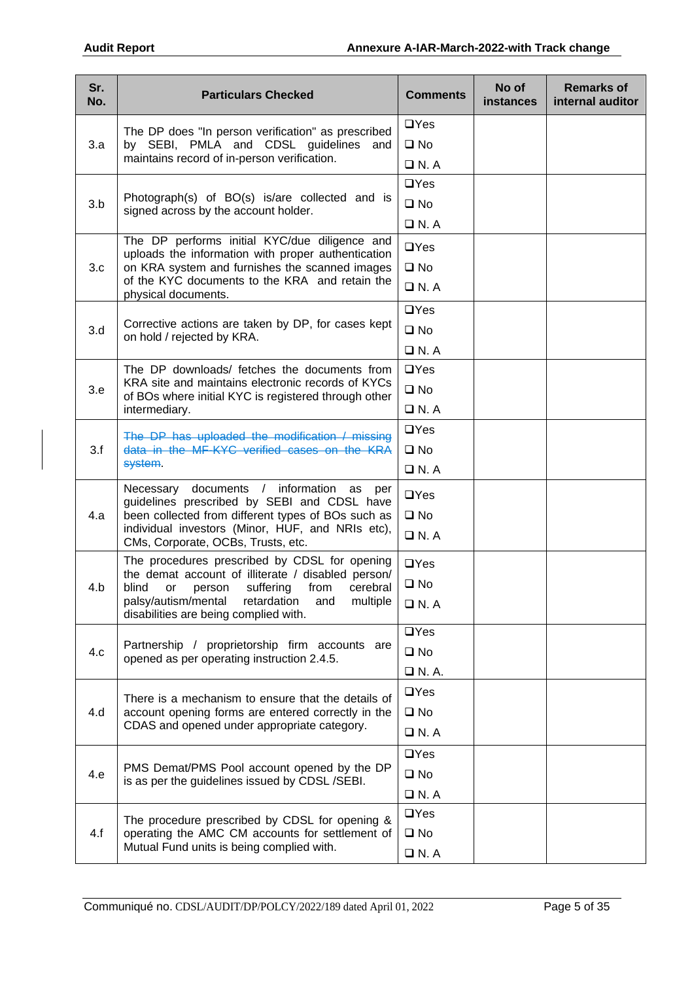| Sr.<br>No. | <b>Particulars Checked</b>                                                                           | <b>Comments</b> | No of<br>instances | <b>Remarks of</b><br>internal auditor |
|------------|------------------------------------------------------------------------------------------------------|-----------------|--------------------|---------------------------------------|
|            | The DP does "In person verification" as prescribed                                                   | $\Box$ Yes      |                    |                                       |
| 3.a        | by SEBI, PMLA and CDSL guidelines and                                                                | $\square$ No    |                    |                                       |
|            | maintains record of in-person verification.                                                          | $\Box$ N. A     |                    |                                       |
|            |                                                                                                      | $\Box$ Yes      |                    |                                       |
| 3.b        | Photograph(s) of BO(s) is/are collected and is<br>signed across by the account holder.               | $\square$ No    |                    |                                       |
|            |                                                                                                      | $\Box$ N. A     |                    |                                       |
|            | The DP performs initial KYC/due diligence and                                                        | $\Box$ Yes      |                    |                                       |
| 3.c        | uploads the information with proper authentication<br>on KRA system and furnishes the scanned images | $\square$ No    |                    |                                       |
|            | of the KYC documents to the KRA and retain the                                                       | $\Box$ N.A      |                    |                                       |
|            | physical documents.                                                                                  | $\Box$ Yes      |                    |                                       |
| 3.d        | Corrective actions are taken by DP, for cases kept                                                   | $\square$ No    |                    |                                       |
|            | on hold / rejected by KRA.                                                                           | $\Box$ N.A      |                    |                                       |
|            | The DP downloads/ fetches the documents from                                                         | $\Box$ Yes      |                    |                                       |
| 3.e        | KRA site and maintains electronic records of KYCs                                                    | $\square$ No    |                    |                                       |
|            | of BOs where initial KYC is registered through other                                                 | $\Box$ N.A      |                    |                                       |
|            | intermediary.                                                                                        |                 |                    |                                       |
|            | The DP has uploaded the modification / missing                                                       | $\Box$ Yes      |                    |                                       |
| 3.f        | data in the MF-KYC verified cases on the KRA<br>system.                                              | $\square$ No    |                    |                                       |
|            |                                                                                                      | $\Box$ N.A      |                    |                                       |
|            | Necessary documents / information<br>as per<br>guidelines prescribed by SEBI and CDSL have           | $\Box$ Yes      |                    |                                       |
| 4.a        | been collected from different types of BOs such as                                                   | $\square$ No    |                    |                                       |
|            | individual investors (Minor, HUF, and NRIs etc),<br>CMs, Corporate, OCBs, Trusts, etc.               | $\Box$ N.A      |                    |                                       |
|            | The procedures prescribed by CDSL for opening<br>the demat account of illiterate / disabled person/  | $\Box$ Yes      |                    |                                       |
| 4.b        | suffering<br>from<br>cerebral<br>blind<br>or<br>person                                               | $\square$ No    |                    |                                       |
|            | palsy/autism/mental<br>retardation<br>multiple<br>and<br>disabilities are being complied with.       | $\Box$ N.A      |                    |                                       |
|            |                                                                                                      | $\Box$ Yes      |                    |                                       |
| 4.c        | Partnership / proprietorship firm accounts are<br>opened as per operating instruction 2.4.5.         | $\square$ No    |                    |                                       |
|            |                                                                                                      | $\Box$ N. A.    |                    |                                       |
|            | There is a mechanism to ensure that the details of                                                   | $\Box$ Yes      |                    |                                       |
| 4.d        | account opening forms are entered correctly in the                                                   | $\square$ No    |                    |                                       |
|            | CDAS and opened under appropriate category.                                                          | $\Box$ N. A     |                    |                                       |
|            |                                                                                                      | $\Box$ Yes      |                    |                                       |
| 4.e        | PMS Demat/PMS Pool account opened by the DP<br>is as per the guidelines issued by CDSL/SEBI.         | $\square$ No    |                    |                                       |
|            |                                                                                                      | $\Box$ N. A     |                    |                                       |
|            | The procedure prescribed by CDSL for opening &                                                       | $\Box$ Yes      |                    |                                       |
| 4.f        | operating the AMC CM accounts for settlement of                                                      | $\square$ No    |                    |                                       |
|            | Mutual Fund units is being complied with.                                                            | $\Box$ N.A      |                    |                                       |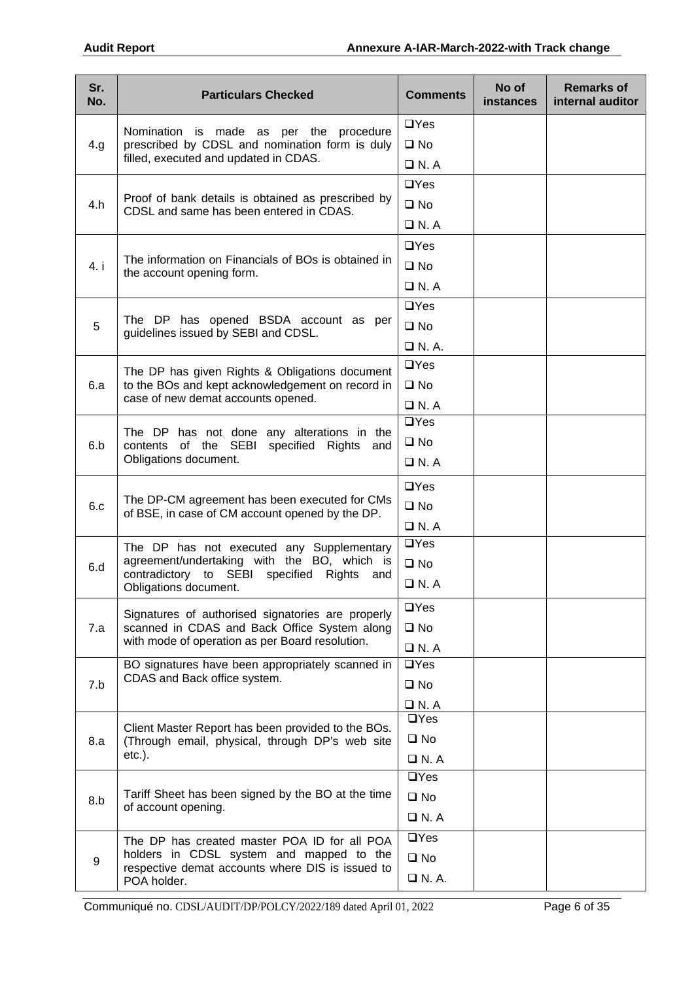| $\Box$ Yes<br>Nomination is made as per the procedure<br>prescribed by CDSL and nomination form is duly<br>4.g<br>$\square$ No<br>filled, executed and updated in CDAS.<br>$\Box$ N.A<br>$\Box$ Yes<br>Proof of bank details is obtained as prescribed by<br>$\square$ No<br>4.h<br>CDSL and same has been entered in CDAS.<br>$\Box$ N. A<br>$\Box$ Yes<br>The information on Financials of BOs is obtained in<br>$\square$ No<br>4. i<br>the account opening form.<br>$\Box$ N.A<br>$\Box$ Yes<br>The DP has opened BSDA account as per<br>$\square$ No<br>5<br>guidelines issued by SEBI and CDSL.<br>$\Box$ N. A.<br>$\Box$ Yes<br>The DP has given Rights & Obligations document | Sr.<br>No. | <b>Particulars Checked</b> | <b>Comments</b> | No of<br><b>instances</b> | <b>Remarks of</b><br>internal auditor |
|---------------------------------------------------------------------------------------------------------------------------------------------------------------------------------------------------------------------------------------------------------------------------------------------------------------------------------------------------------------------------------------------------------------------------------------------------------------------------------------------------------------------------------------------------------------------------------------------------------------------------------------------------------------------------------------|------------|----------------------------|-----------------|---------------------------|---------------------------------------|
|                                                                                                                                                                                                                                                                                                                                                                                                                                                                                                                                                                                                                                                                                       |            |                            |                 |                           |                                       |
|                                                                                                                                                                                                                                                                                                                                                                                                                                                                                                                                                                                                                                                                                       |            |                            |                 |                           |                                       |
|                                                                                                                                                                                                                                                                                                                                                                                                                                                                                                                                                                                                                                                                                       |            |                            |                 |                           |                                       |
|                                                                                                                                                                                                                                                                                                                                                                                                                                                                                                                                                                                                                                                                                       |            |                            |                 |                           |                                       |
|                                                                                                                                                                                                                                                                                                                                                                                                                                                                                                                                                                                                                                                                                       |            |                            |                 |                           |                                       |
|                                                                                                                                                                                                                                                                                                                                                                                                                                                                                                                                                                                                                                                                                       |            |                            |                 |                           |                                       |
|                                                                                                                                                                                                                                                                                                                                                                                                                                                                                                                                                                                                                                                                                       |            |                            |                 |                           |                                       |
|                                                                                                                                                                                                                                                                                                                                                                                                                                                                                                                                                                                                                                                                                       |            |                            |                 |                           |                                       |
|                                                                                                                                                                                                                                                                                                                                                                                                                                                                                                                                                                                                                                                                                       |            |                            |                 |                           |                                       |
|                                                                                                                                                                                                                                                                                                                                                                                                                                                                                                                                                                                                                                                                                       |            |                            |                 |                           |                                       |
|                                                                                                                                                                                                                                                                                                                                                                                                                                                                                                                                                                                                                                                                                       |            |                            |                 |                           |                                       |
|                                                                                                                                                                                                                                                                                                                                                                                                                                                                                                                                                                                                                                                                                       |            |                            |                 |                           |                                       |
|                                                                                                                                                                                                                                                                                                                                                                                                                                                                                                                                                                                                                                                                                       |            |                            |                 |                           |                                       |
| $\square$ No<br>to the BOs and kept acknowledgement on record in<br>6.a                                                                                                                                                                                                                                                                                                                                                                                                                                                                                                                                                                                                               |            |                            |                 |                           |                                       |
| case of new demat accounts opened.<br>$\Box$ N. A                                                                                                                                                                                                                                                                                                                                                                                                                                                                                                                                                                                                                                     |            |                            |                 |                           |                                       |
| $\Box$ Yes                                                                                                                                                                                                                                                                                                                                                                                                                                                                                                                                                                                                                                                                            |            |                            |                 |                           |                                       |
| The DP has not done any alterations in the<br>$\square$ No<br>contents of the SEBI specified Rights and<br>6.b                                                                                                                                                                                                                                                                                                                                                                                                                                                                                                                                                                        |            |                            |                 |                           |                                       |
| Obligations document.<br>$\Box$ N. A                                                                                                                                                                                                                                                                                                                                                                                                                                                                                                                                                                                                                                                  |            |                            |                 |                           |                                       |
| $\Box$ Yes                                                                                                                                                                                                                                                                                                                                                                                                                                                                                                                                                                                                                                                                            |            |                            |                 |                           |                                       |
| The DP-CM agreement has been executed for CMs<br>$\square$ No<br>6.c                                                                                                                                                                                                                                                                                                                                                                                                                                                                                                                                                                                                                  |            |                            |                 |                           |                                       |
| of BSE, in case of CM account opened by the DP.<br>$\Box$ N.A                                                                                                                                                                                                                                                                                                                                                                                                                                                                                                                                                                                                                         |            |                            |                 |                           |                                       |
| $\Box$ Yes<br>The DP has not executed any Supplementary                                                                                                                                                                                                                                                                                                                                                                                                                                                                                                                                                                                                                               |            |                            |                 |                           |                                       |
| agreement/undertaking with the BO, which is<br>$\square$ No<br>6.d                                                                                                                                                                                                                                                                                                                                                                                                                                                                                                                                                                                                                    |            |                            |                 |                           |                                       |
| contradictory to SEBI specified Rights<br>and<br>$\Box$ N. A<br>Obligations document.                                                                                                                                                                                                                                                                                                                                                                                                                                                                                                                                                                                                 |            |                            |                 |                           |                                       |
| $\Box$ Yes                                                                                                                                                                                                                                                                                                                                                                                                                                                                                                                                                                                                                                                                            |            |                            |                 |                           |                                       |
| Signatures of authorised signatories are properly<br>scanned in CDAS and Back Office System along<br>$\square$ No<br>7.a                                                                                                                                                                                                                                                                                                                                                                                                                                                                                                                                                              |            |                            |                 |                           |                                       |
| with mode of operation as per Board resolution.<br>$\Box$ N. A                                                                                                                                                                                                                                                                                                                                                                                                                                                                                                                                                                                                                        |            |                            |                 |                           |                                       |
| $\overline{UY}$ es<br>BO signatures have been appropriately scanned in                                                                                                                                                                                                                                                                                                                                                                                                                                                                                                                                                                                                                |            |                            |                 |                           |                                       |
| CDAS and Back office system.<br>7.b<br>$\square$ No                                                                                                                                                                                                                                                                                                                                                                                                                                                                                                                                                                                                                                   |            |                            |                 |                           |                                       |
| $\Box$ N. A                                                                                                                                                                                                                                                                                                                                                                                                                                                                                                                                                                                                                                                                           |            |                            |                 |                           |                                       |
| $\Box$ Yes<br>Client Master Report has been provided to the BOs.                                                                                                                                                                                                                                                                                                                                                                                                                                                                                                                                                                                                                      |            |                            |                 |                           |                                       |
| $\square$ No<br>(Through email, physical, through DP's web site<br>8.a                                                                                                                                                                                                                                                                                                                                                                                                                                                                                                                                                                                                                |            |                            |                 |                           |                                       |
| $etc.$ ).<br>$\Box$ N. A                                                                                                                                                                                                                                                                                                                                                                                                                                                                                                                                                                                                                                                              |            |                            |                 |                           |                                       |
| $\Box$ Yes                                                                                                                                                                                                                                                                                                                                                                                                                                                                                                                                                                                                                                                                            |            |                            |                 |                           |                                       |
| Tariff Sheet has been signed by the BO at the time<br>$\square$ No<br>8.b<br>of account opening.                                                                                                                                                                                                                                                                                                                                                                                                                                                                                                                                                                                      |            |                            |                 |                           |                                       |
| $\Box$ N. A                                                                                                                                                                                                                                                                                                                                                                                                                                                                                                                                                                                                                                                                           |            |                            |                 |                           |                                       |
| $\Box$ Yes<br>The DP has created master POA ID for all POA                                                                                                                                                                                                                                                                                                                                                                                                                                                                                                                                                                                                                            |            |                            |                 |                           |                                       |
| holders in CDSL system and mapped to the<br>$\square$ No<br>9<br>respective demat accounts where DIS is issued to                                                                                                                                                                                                                                                                                                                                                                                                                                                                                                                                                                     |            |                            |                 |                           |                                       |
| $\Box$ N. A.<br>POA holder.                                                                                                                                                                                                                                                                                                                                                                                                                                                                                                                                                                                                                                                           |            |                            |                 |                           |                                       |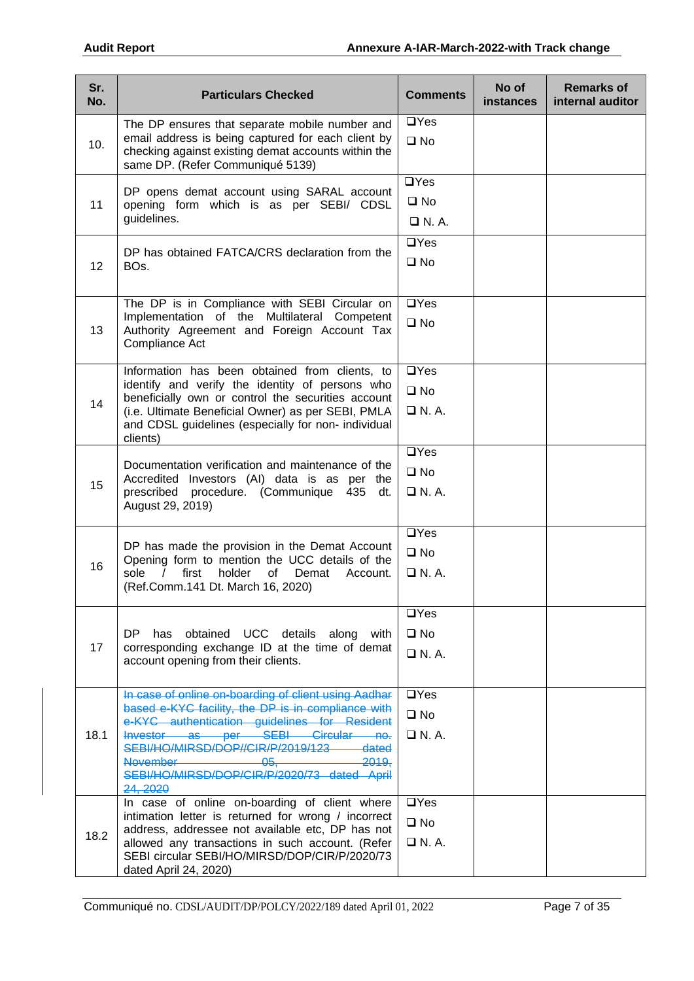| Sr.<br>No. | <b>Particulars Checked</b>                                                                                                                                                                                                                                                                                                                                                     | <b>Comments</b>                                   | No of<br><b>instances</b> | <b>Remarks of</b><br>internal auditor |
|------------|--------------------------------------------------------------------------------------------------------------------------------------------------------------------------------------------------------------------------------------------------------------------------------------------------------------------------------------------------------------------------------|---------------------------------------------------|---------------------------|---------------------------------------|
| 10.        | The DP ensures that separate mobile number and<br>email address is being captured for each client by<br>checking against existing demat accounts within the<br>same DP. (Refer Communiqué 5139)                                                                                                                                                                                | $\Box$ Yes<br>$\square$ No                        |                           |                                       |
| 11         | DP opens demat account using SARAL account<br>opening form which is as per SEBI/ CDSL<br>guidelines.                                                                                                                                                                                                                                                                           | $\overline{UY}$ es<br>$\square$ No<br>$\Box$ N.A. |                           |                                       |
| 12         | DP has obtained FATCA/CRS declaration from the<br>BO <sub>s</sub> .                                                                                                                                                                                                                                                                                                            | $\Box$ Yes<br>$\square$ No                        |                           |                                       |
| 13         | The DP is in Compliance with SEBI Circular on<br>Implementation of the Multilateral Competent<br>Authority Agreement and Foreign Account Tax<br>Compliance Act                                                                                                                                                                                                                 | $\Box$ Yes<br>$\square$ No                        |                           |                                       |
| 14         | Information has been obtained from clients, to<br>identify and verify the identity of persons who<br>beneficially own or control the securities account<br>(i.e. Ultimate Beneficial Owner) as per SEBI, PMLA<br>and CDSL guidelines (especially for non- individual<br>clients)                                                                                               | $\Box$ Yes<br>$\square$ No<br>$\Box$ N.A.         |                           |                                       |
| 15         | Documentation verification and maintenance of the<br>Accredited Investors (AI) data is as per the<br>prescribed procedure. (Communique<br>435<br>dt.<br>August 29, 2019)                                                                                                                                                                                                       | $\Box$ Yes<br>$\square$ No<br>$\Box$ N.A.         |                           |                                       |
| 16         | DP has made the provision in the Demat Account<br>Opening form to mention the UCC details of the<br>sole<br>first<br>holder<br>of<br>$\prime$<br>Demat<br>Account.<br>(Ref.Comm.141 Dt. March 16, 2020)                                                                                                                                                                        | $\Box$ Yes<br>$\square$ No<br>$\Box$ N. A.        |                           |                                       |
| 17         | has obtained UCC details along with<br>DP -<br>corresponding exchange ID at the time of demat<br>account opening from their clients.                                                                                                                                                                                                                                           | $\Box$ Yes<br>$\square$ No<br>$\Box$ N. A.        |                           |                                       |
| 18.1       | In case of online on-boarding of client using Aadhar<br>based e-KYC facility, the DP is in compliance with<br>e-KYC authentication guidelines for Resident<br>Investor as per SEBI Circular no.<br>SEBI/HO/MIRSD/DOP//CIR/P/2019/123<br>dated<br>November <b>November</b><br><del>2019.</del><br><del>- 05. -</del><br>SEBI/HO/MIRSD/DOP/CIR/P/2020/73 dated April<br>24, 2020 | $\Box$ Yes<br>$\square$ No<br>$\Box$ N.A.         |                           |                                       |
| 18.2       | In case of online on-boarding of client where<br>intimation letter is returned for wrong / incorrect<br>address, addressee not available etc, DP has not<br>allowed any transactions in such account. (Refer<br>SEBI circular SEBI/HO/MIRSD/DOP/CIR/P/2020/73<br>dated April 24, 2020)                                                                                         | $\Box$ Yes<br>$\square$ No<br>$\Box$ N.A.         |                           |                                       |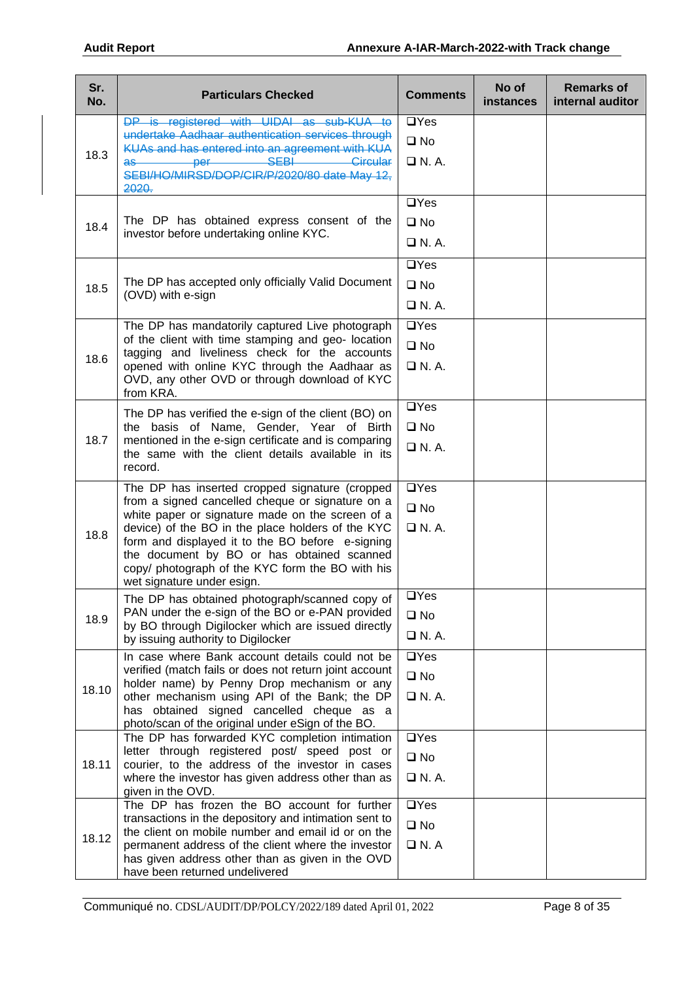| Sr.<br>No. | <b>Particulars Checked</b>                                                                             | <b>Comments</b>    | No of<br><b>instances</b> | <b>Remarks of</b><br>internal auditor |
|------------|--------------------------------------------------------------------------------------------------------|--------------------|---------------------------|---------------------------------------|
|            | DP is registered with UIDAI as sub-KUA to                                                              | $\Box$ Yes         |                           |                                       |
|            | undertake Aadhaar authentication services through<br>KUAs and has entered into an agreement with KUA   | $\square$ No       |                           |                                       |
| 18.3       | SEB<br>Circular<br>$\overline{\text{as}}$<br>per<br>SEBI/HO/MIRSD/DOP/CIR/P/2020/80 date May 12,       | $\Box$ N.A.        |                           |                                       |
|            | 2020.                                                                                                  | $\overline{UY}$ es |                           |                                       |
|            | The DP has obtained express consent of the                                                             |                    |                           |                                       |
| 18.4       | investor before undertaking online KYC.                                                                | $\square$ No       |                           |                                       |
|            |                                                                                                        | $\Box$ N. A.       |                           |                                       |
|            |                                                                                                        | $\overline{UY}$ es |                           |                                       |
| 18.5       | The DP has accepted only officially Valid Document                                                     | $\square$ No       |                           |                                       |
|            | (OVD) with e-sign                                                                                      | $\Box$ N.A.        |                           |                                       |
|            | The DP has mandatorily captured Live photograph                                                        | $\Box$ Yes         |                           |                                       |
|            | of the client with time stamping and geo- location                                                     |                    |                           |                                       |
| 18.6       | tagging and liveliness check for the accounts                                                          | $\square$ No       |                           |                                       |
|            | opened with online KYC through the Aadhaar as                                                          | $\Box$ N.A.        |                           |                                       |
|            | OVD, any other OVD or through download of KYC<br>from KRA.                                             |                    |                           |                                       |
|            | The DP has verified the e-sign of the client (BO) on                                                   | $\overline{UY}$ es |                           |                                       |
|            | the basis of Name, Gender, Year of Birth                                                               | $\square$ No       |                           |                                       |
| 18.7       | mentioned in the e-sign certificate and is comparing                                                   | $\Box$ N. A.       |                           |                                       |
|            | the same with the client details available in its<br>record.                                           |                    |                           |                                       |
|            |                                                                                                        |                    |                           |                                       |
|            | The DP has inserted cropped signature (cropped<br>from a signed cancelled cheque or signature on a     | $\Box$ Yes         |                           |                                       |
|            | white paper or signature made on the screen of a                                                       | $\square$ No       |                           |                                       |
| 18.8       | device) of the BO in the place holders of the KYC                                                      | $\Box$ N. A.       |                           |                                       |
|            | form and displayed it to the BO before e-signing<br>the document by BO or has obtained scanned         |                    |                           |                                       |
|            | copy/ photograph of the KYC form the BO with his                                                       |                    |                           |                                       |
|            | wet signature under esign.                                                                             |                    |                           |                                       |
|            | The DP has obtained photograph/scanned copy of                                                         | $\Box$ Yes         |                           |                                       |
| 18.9       | PAN under the e-sign of the BO or e-PAN provided<br>by BO through Digilocker which are issued directly | $\square$ No       |                           |                                       |
|            | by issuing authority to Digilocker                                                                     | $\Box$ N. A.       |                           |                                       |
|            | In case where Bank account details could not be                                                        | $\Box$ Yes         |                           |                                       |
|            | verified (match fails or does not return joint account                                                 | $\square$ No       |                           |                                       |
| 18.10      | holder name) by Penny Drop mechanism or any<br>other mechanism using API of the Bank; the DP           | $\Box$ N. A.       |                           |                                       |
|            | has obtained signed cancelled cheque as a                                                              |                    |                           |                                       |
|            | photo/scan of the original under eSign of the BO.                                                      |                    |                           |                                       |
|            | The DP has forwarded KYC completion intimation<br>letter through registered post/ speed post or        | $\Box$ Yes         |                           |                                       |
| 18.11      | courier, to the address of the investor in cases                                                       | $\square$ No       |                           |                                       |
|            | where the investor has given address other than as                                                     | $\Box$ N. A.       |                           |                                       |
|            | given in the OVD.<br>The DP has frozen the BO account for further                                      |                    |                           |                                       |
|            | transactions in the depository and intimation sent to                                                  | $\Box$ Yes         |                           |                                       |
| 18.12      | the client on mobile number and email id or on the                                                     | $\square$ No       |                           |                                       |
|            | permanent address of the client where the investor                                                     | $\Box$ N. A        |                           |                                       |
|            | has given address other than as given in the OVD<br>have been returned undelivered                     |                    |                           |                                       |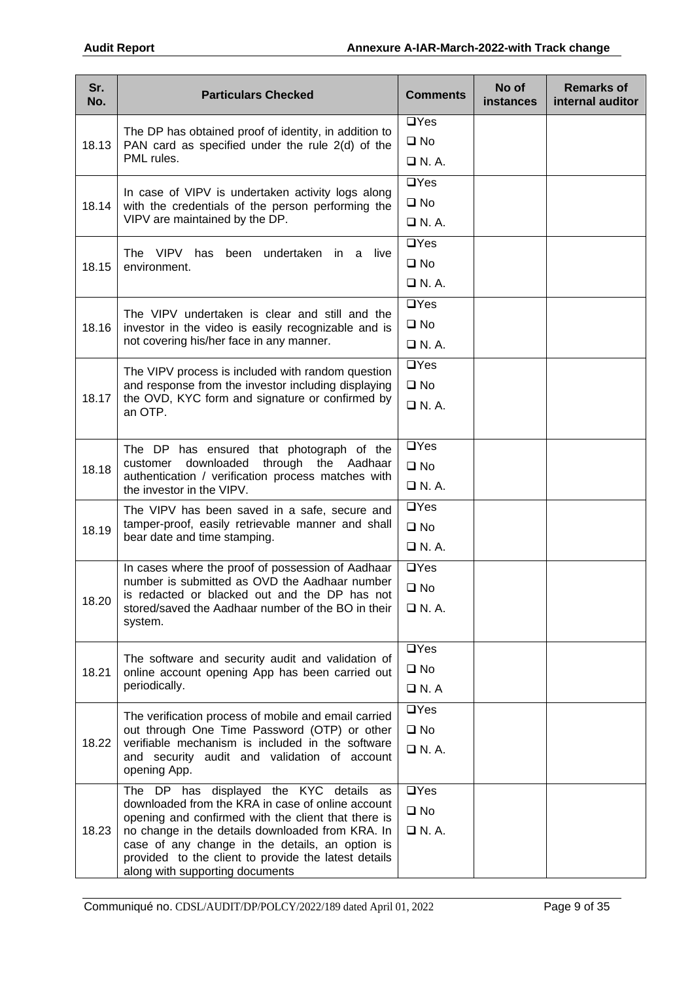| Sr.<br>No. | <b>Particulars Checked</b>                                                                               | <b>Comments</b>           | No of<br><b>instances</b> | <b>Remarks of</b><br>internal auditor |
|------------|----------------------------------------------------------------------------------------------------------|---------------------------|---------------------------|---------------------------------------|
|            | The DP has obtained proof of identity, in addition to                                                    | $\Box$ Yes                |                           |                                       |
| 18.13      | PAN card as specified under the rule 2(d) of the<br>PML rules.                                           | $\square$ No              |                           |                                       |
|            |                                                                                                          | $\Box$ N.A.               |                           |                                       |
|            | In case of VIPV is undertaken activity logs along                                                        | $\Box$ Yes                |                           |                                       |
| 18.14      | with the credentials of the person performing the<br>VIPV are maintained by the DP.                      | $\square$ No              |                           |                                       |
|            |                                                                                                          | $\Box$ N.A.<br>$\Box$ Yes |                           |                                       |
|            | The VIPV has been undertaken in a live                                                                   | $\square$ No              |                           |                                       |
| 18.15      | environment.                                                                                             | $\Box$ N.A.               |                           |                                       |
|            |                                                                                                          | $\Box$ Yes                |                           |                                       |
|            | The VIPV undertaken is clear and still and the                                                           | $\square$ No              |                           |                                       |
| 18.16      | investor in the video is easily recognizable and is<br>not covering his/her face in any manner.          | $\Box$ N.A.               |                           |                                       |
|            |                                                                                                          | $\overline{UY}$ es        |                           |                                       |
|            | The VIPV process is included with random question<br>and response from the investor including displaying | $\square$ No              |                           |                                       |
| 18.17      | the OVD, KYC form and signature or confirmed by                                                          | $\Box$ N. A.              |                           |                                       |
|            | an OTP.                                                                                                  |                           |                           |                                       |
|            | The DP has ensured that photograph of the                                                                | $\Box$ Yes                |                           |                                       |
| 18.18      | downloaded<br>through the Aadhaar<br>customer                                                            | $\square$ No              |                           |                                       |
|            | authentication / verification process matches with<br>the investor in the VIPV.                          | $\Box$ N.A.               |                           |                                       |
|            | The VIPV has been saved in a safe, secure and                                                            | $\Box$ Yes                |                           |                                       |
| 18.19      | tamper-proof, easily retrievable manner and shall<br>bear date and time stamping.                        | $\square$ No              |                           |                                       |
|            |                                                                                                          | $\Box$ N.A.               |                           |                                       |
|            | In cases where the proof of possession of Aadhaar                                                        | $\Box$ Yes                |                           |                                       |
|            | number is submitted as OVD the Aadhaar number<br>is redacted or blacked out and the DP has not           | $\square$ No              |                           |                                       |
| 18.20      | stored/saved the Aadhaar number of the BO in their                                                       | $\Box$ N. A.              |                           |                                       |
|            | system.                                                                                                  |                           |                           |                                       |
|            | The software and security audit and validation of                                                        | $\Box$ Yes                |                           |                                       |
| 18.21      | online account opening App has been carried out                                                          | $\square$ No              |                           |                                       |
|            | periodically.                                                                                            | $\Box$ N. A               |                           |                                       |
|            | The verification process of mobile and email carried                                                     | $\Box$ Yes                |                           |                                       |
| 18.22      | out through One Time Password (OTP) or other<br>verifiable mechanism is included in the software         | $\square$ No              |                           |                                       |
|            | and security audit and validation of account                                                             | $\Box$ N. A.              |                           |                                       |
|            | opening App.                                                                                             |                           |                           |                                       |
|            | The DP has displayed the KYC details as<br>downloaded from the KRA in case of online account             | $\Box$ Yes                |                           |                                       |
|            | opening and confirmed with the client that there is                                                      | $\square$ No              |                           |                                       |
| 18.23      | no change in the details downloaded from KRA. In<br>case of any change in the details, an option is      | $\Box$ N.A.               |                           |                                       |
|            | provided to the client to provide the latest details                                                     |                           |                           |                                       |
|            | along with supporting documents                                                                          |                           |                           |                                       |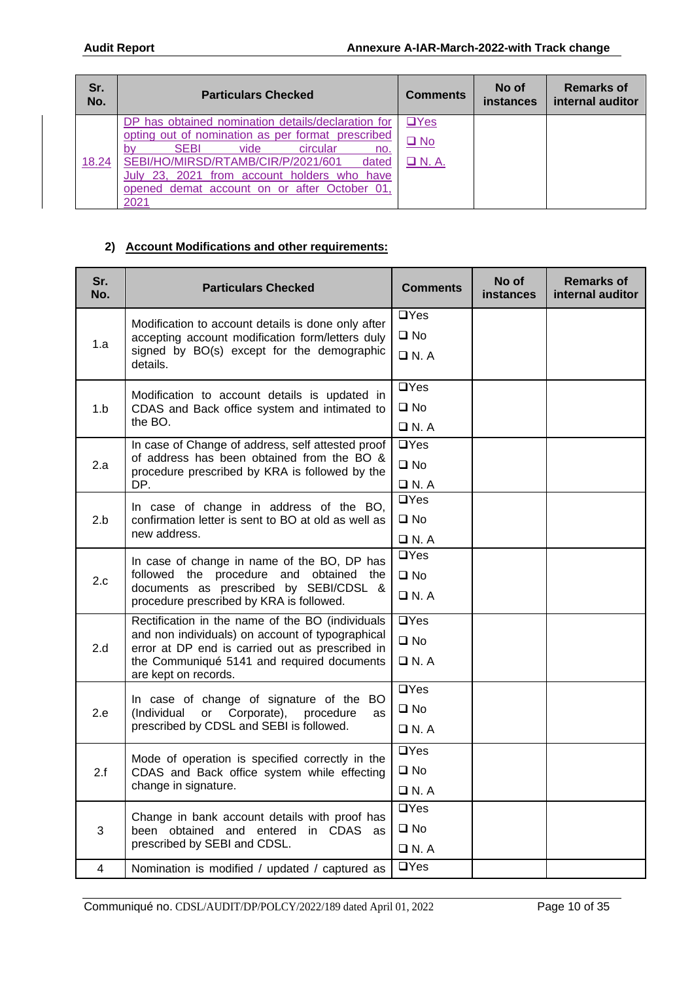| Sr.<br>No. | <b>Particulars Checked</b>                                                                                                                                                                                                                            | <b>Comments</b>                        | No of<br>instances | <b>Remarks of</b><br>internal auditor |
|------------|-------------------------------------------------------------------------------------------------------------------------------------------------------------------------------------------------------------------------------------------------------|----------------------------------------|--------------------|---------------------------------------|
| 18.24      | DP has obtained nomination details/declaration for<br>opting out of nomination as per format prescribed<br><b>SEBI</b><br>vide<br>circular<br>bv<br>no.<br>SEBI/HO/MIRSD/RTAMB/CIR/P/2021/601<br>dated<br>July 23, 2021 from account holders who have | $\Box$ Yes<br>$\Box$ No<br>$\Box$ N.A. |                    |                                       |
|            | opened demat account on or after October 01.<br>2021                                                                                                                                                                                                  |                                        |                    |                                       |

### **2) Account Modifications and other requirements:**

| Sr.<br>No. | <b>Particulars Checked</b>                                                                          | <b>Comments</b>                                                                                                                                                                                                                                          | No of<br><b>instances</b> | <b>Remarks of</b><br>internal auditor |
|------------|-----------------------------------------------------------------------------------------------------|----------------------------------------------------------------------------------------------------------------------------------------------------------------------------------------------------------------------------------------------------------|---------------------------|---------------------------------------|
|            | Modification to account details is done only after                                                  | $\Box$ Yes                                                                                                                                                                                                                                               |                           |                                       |
| 1.a        | accepting account modification form/letters duly                                                    | $\square$ No<br>$\Box$ N.A<br>$\Box$ Yes<br>$\square$ No<br>$\Box$ N.A<br>$\Box$ Yes<br>$\square$ No<br>$\Box$ N.A<br>$\overline{UY}$ es<br>$\square$ No<br>$\Box$ N.A<br>$\Box$ Yes<br>$\square$ No<br>$\Box$ N.A<br>$\overline{UY}$ es<br>$\square$ No |                           |                                       |
|            | signed by BO(s) except for the demographic<br>details.                                              |                                                                                                                                                                                                                                                          |                           |                                       |
|            | Modification to account details is updated in                                                       |                                                                                                                                                                                                                                                          |                           |                                       |
| 1.b        | CDAS and Back office system and intimated to                                                        |                                                                                                                                                                                                                                                          |                           |                                       |
|            | the BO.                                                                                             |                                                                                                                                                                                                                                                          |                           |                                       |
|            | In case of Change of address, self attested proof                                                   |                                                                                                                                                                                                                                                          |                           |                                       |
| 2.a        | of address has been obtained from the BO &<br>procedure prescribed by KRA is followed by the        |                                                                                                                                                                                                                                                          |                           |                                       |
|            | DP.                                                                                                 |                                                                                                                                                                                                                                                          |                           |                                       |
|            | In case of change in address of the BO,                                                             |                                                                                                                                                                                                                                                          |                           |                                       |
| 2.b        | confirmation letter is sent to BO at old as well as                                                 |                                                                                                                                                                                                                                                          |                           |                                       |
|            | new address.                                                                                        |                                                                                                                                                                                                                                                          |                           |                                       |
|            | In case of change in name of the BO, DP has                                                         |                                                                                                                                                                                                                                                          |                           |                                       |
| 2.c        | followed the procedure and obtained the                                                             |                                                                                                                                                                                                                                                          |                           |                                       |
|            | documents as prescribed by SEBI/CDSL &<br>procedure prescribed by KRA is followed.                  |                                                                                                                                                                                                                                                          |                           |                                       |
|            | Rectification in the name of the BO (individuals                                                    |                                                                                                                                                                                                                                                          |                           |                                       |
| 2.d        | and non individuals) on account of typographical<br>error at DP end is carried out as prescribed in |                                                                                                                                                                                                                                                          |                           |                                       |
|            | the Communiqué 5141 and required documents<br>are kept on records.                                  | $\Box$ N.A                                                                                                                                                                                                                                               |                           |                                       |
|            | In case of change of signature of the BO                                                            | $\overline{a}$ Yes                                                                                                                                                                                                                                       |                           |                                       |
| 2.e        | or Corporate), procedure<br>(Individual<br>as                                                       | $\square$ No                                                                                                                                                                                                                                             |                           |                                       |
|            | prescribed by CDSL and SEBI is followed.                                                            | $\Box$ N. A                                                                                                                                                                                                                                              |                           |                                       |
|            | Mode of operation is specified correctly in the                                                     | $\Box$ Yes                                                                                                                                                                                                                                               |                           |                                       |
| 2.f        | CDAS and Back office system while effecting                                                         | $\square$ No                                                                                                                                                                                                                                             |                           |                                       |
|            | change in signature.                                                                                | $\Box$ N. A                                                                                                                                                                                                                                              |                           |                                       |
|            | Change in bank account details with proof has                                                       | $\Box$ Yes                                                                                                                                                                                                                                               |                           |                                       |
| 3          | been obtained and entered in CDAS as                                                                | $\square$ No                                                                                                                                                                                                                                             |                           |                                       |
|            | prescribed by SEBI and CDSL.                                                                        | $\Box$ N.A                                                                                                                                                                                                                                               |                           |                                       |
| 4          | Nomination is modified / updated / captured as                                                      | $\Box$ Yes                                                                                                                                                                                                                                               |                           |                                       |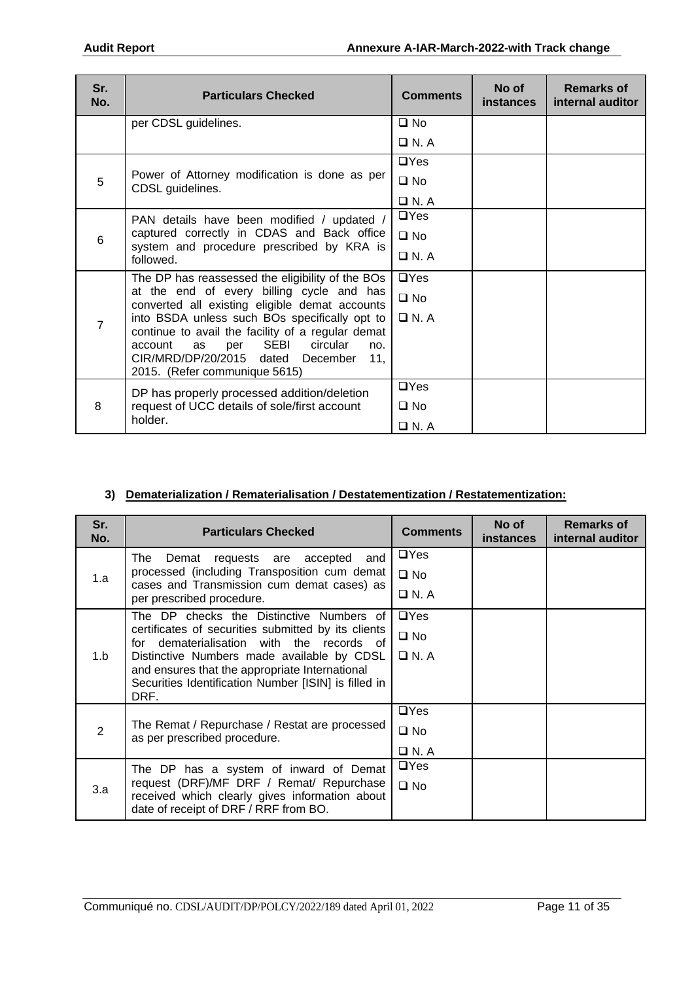| Sr.<br>No.     | <b>Particulars Checked</b>                                                                  | <b>Comments</b>             | No of<br><b>instances</b> | <b>Remarks of</b><br>internal auditor |
|----------------|---------------------------------------------------------------------------------------------|-----------------------------|---------------------------|---------------------------------------|
|                | per CDSL guidelines.                                                                        | $\square$ No                |                           |                                       |
|                |                                                                                             | $\Box$ N.A                  |                           |                                       |
|                |                                                                                             | $\Box$ Yes                  |                           |                                       |
| 5              | Power of Attorney modification is done as per<br>CDSL guidelines.                           | $\square$ No                |                           |                                       |
|                |                                                                                             | $\Box$ N. A                 |                           |                                       |
|                | PAN details have been modified / updated /                                                  | $\Box$ Yes                  |                           |                                       |
| 6              | captured correctly in CDAS and Back office                                                  | $\square$ No<br>$\Box$ N.A. |                           |                                       |
|                | system and procedure prescribed by KRA is<br>followed.                                      |                             |                           |                                       |
|                | The DP has reassessed the eligibility of the BOs                                            | $\Box$ Yes                  |                           |                                       |
|                | at the end of every billing cycle and has<br>converted all existing eligible demat accounts | $\square$ No                |                           |                                       |
| $\overline{7}$ | into BSDA unless such BOs specifically opt to                                               | $\Box$ N.A                  |                           |                                       |
|                | continue to avail the facility of a regular demat                                           |                             |                           |                                       |
|                | SEBI<br>circular<br>account<br>as<br>per<br>no.<br>CIR/MRD/DP/20/2015 dated December<br>11. |                             |                           |                                       |
|                | 2015. (Refer communique 5615)                                                               |                             |                           |                                       |
|                | DP has properly processed addition/deletion                                                 | $\Box$ Yes                  |                           |                                       |
| 8              | request of UCC details of sole/first account                                                | $\Box$ No                   |                           |                                       |
|                | holder.                                                                                     | $\Box$ N.A                  |                           |                                       |

#### **3) Dematerialization / Rematerialisation / Destatementization / Restatementization:**

| Sr.<br>No. | <b>Particulars Checked</b>                                                                                                                                                                                                                                          | <b>Comments</b> | No of<br><b>instances</b> | <b>Remarks of</b><br>internal auditor |
|------------|---------------------------------------------------------------------------------------------------------------------------------------------------------------------------------------------------------------------------------------------------------------------|-----------------|---------------------------|---------------------------------------|
|            | and<br>The<br>Demat<br>requests are accepted                                                                                                                                                                                                                        | $\Box$ Yes      |                           |                                       |
| 1.a        | processed (including Transposition cum demat<br>cases and Transmission cum demat cases) as                                                                                                                                                                          | $\square$ No    |                           |                                       |
|            | per prescribed procedure.                                                                                                                                                                                                                                           | $\Box$ N. A     |                           |                                       |
|            | The DP checks the Distinctive Numbers of                                                                                                                                                                                                                            | $\Box$ Yes      |                           |                                       |
|            | certificates of securities submitted by its clients<br>dematerialisation with the records of<br>for<br>Distinctive Numbers made available by CDSL<br>and ensures that the appropriate International<br>Securities Identification Number [ISIN] is filled in<br>DRF. | $\square$ No    |                           |                                       |
| 1.b        |                                                                                                                                                                                                                                                                     | $\Box$ N. A     |                           |                                       |
|            |                                                                                                                                                                                                                                                                     |                 |                           |                                       |
|            |                                                                                                                                                                                                                                                                     |                 |                           |                                       |
|            | The Remat / Repurchase / Restat are processed<br>as per prescribed procedure.                                                                                                                                                                                       | $\Box$ Yes      |                           |                                       |
| 2          |                                                                                                                                                                                                                                                                     | $\square$ No    |                           |                                       |
|            |                                                                                                                                                                                                                                                                     | $\Box$ N.A      |                           |                                       |
|            | The DP has a system of inward of Demat                                                                                                                                                                                                                              | $\Box$ Yes      |                           |                                       |
| 3.a        | request (DRF)/MF DRF / Remat/ Repurchase<br>received which clearly gives information about                                                                                                                                                                          | $\square$ No    |                           |                                       |
|            | date of receipt of DRF / RRF from BO.                                                                                                                                                                                                                               |                 |                           |                                       |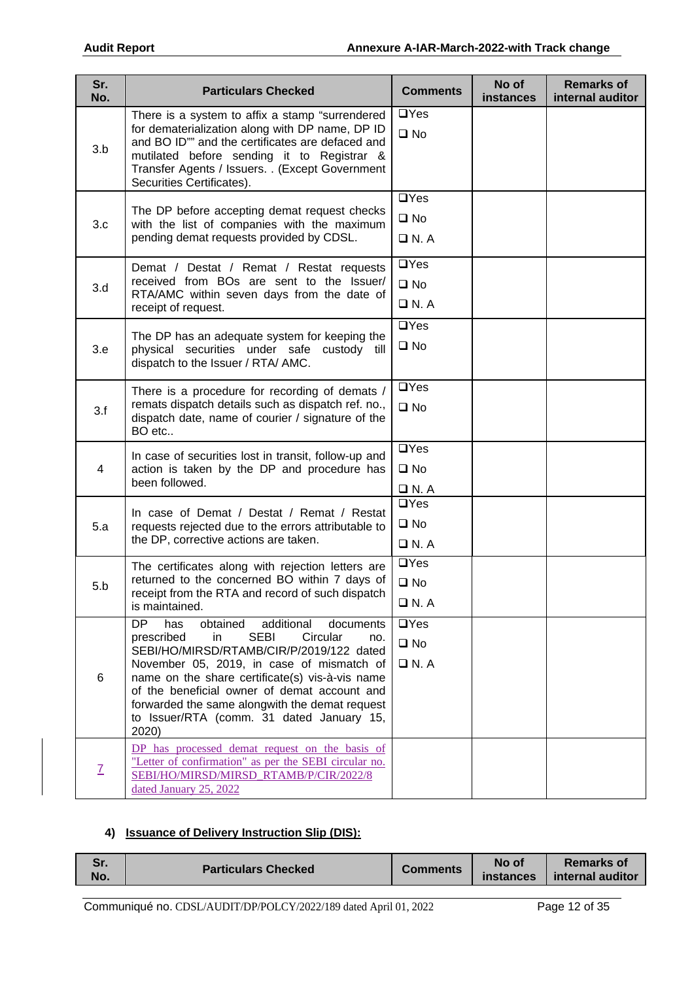| Sr.<br>No.              | <b>Particulars Checked</b>                                                                                                                                                                                                                                                                                                                                                                                        | <b>Comments</b>                                  | No of<br><b>instances</b> | <b>Remarks of</b><br>internal auditor |
|-------------------------|-------------------------------------------------------------------------------------------------------------------------------------------------------------------------------------------------------------------------------------------------------------------------------------------------------------------------------------------------------------------------------------------------------------------|--------------------------------------------------|---------------------------|---------------------------------------|
| 3.b                     | There is a system to affix a stamp "surrendered<br>for dematerialization along with DP name, DP ID<br>and BO ID"" and the certificates are defaced and<br>mutilated before sending it to Registrar &<br>Transfer Agents / Issuers. . (Except Government<br>Securities Certificates).                                                                                                                              | $\Box$ Yes<br>$\square$ No                       |                           |                                       |
| 3.c                     | The DP before accepting demat request checks<br>with the list of companies with the maximum<br>pending demat requests provided by CDSL.                                                                                                                                                                                                                                                                           | $\Box$ Yes<br>$\square$ No<br>$\Box$ N.A         |                           |                                       |
| 3.d                     | Demat / Destat / Remat / Restat requests<br>received from BOs are sent to the Issuer/<br>RTA/AMC within seven days from the date of<br>receipt of request.                                                                                                                                                                                                                                                        | $\Box$ Yes<br>$\square$ No<br>$\Box$ N. A        |                           |                                       |
| 3.e                     | The DP has an adequate system for keeping the<br>physical securities under safe custody till<br>dispatch to the Issuer / RTA/ AMC.                                                                                                                                                                                                                                                                                | $\overline{UY}$ es<br>$\square$ No               |                           |                                       |
| 3.f                     | There is a procedure for recording of demats /<br>remats dispatch details such as dispatch ref. no.,<br>dispatch date, name of courier / signature of the<br>BO etc                                                                                                                                                                                                                                               | $\Box$ Yes<br>$\square$ No                       |                           |                                       |
| $\overline{\mathbf{4}}$ | In case of securities lost in transit, follow-up and<br>action is taken by the DP and procedure has<br>been followed.                                                                                                                                                                                                                                                                                             | $\Box$ Yes<br>$\square$ No<br>$\Box$ N. A        |                           |                                       |
| 5.a                     | In case of Demat / Destat / Remat / Restat<br>requests rejected due to the errors attributable to<br>the DP, corrective actions are taken.                                                                                                                                                                                                                                                                        | $\Box$ Yes<br>$\square$ No<br>$\Box$ N. A        |                           |                                       |
| 5.b                     | The certificates along with rejection letters are<br>returned to the concerned BO within 7 days of<br>receipt from the RTA and record of such dispatch<br>is maintained.                                                                                                                                                                                                                                          | $\overline{UY}$ es<br>$\square$ No<br>$\Box$ N.A |                           |                                       |
| 6                       | <b>DP</b><br>has<br>obtained<br>additional<br>documents<br><b>SEBI</b><br>Circular<br>prescribed<br>in<br>no.<br>SEBI/HO/MIRSD/RTAMB/CIR/P/2019/122 dated<br>November 05, 2019, in case of mismatch of<br>name on the share certificate(s) vis-à-vis name<br>of the beneficial owner of demat account and<br>forwarded the same alongwith the demat request<br>to Issuer/RTA (comm. 31 dated January 15,<br>2020) | $\Box$ Yes<br>$\square$ No<br>$\Box$ N.A         |                           |                                       |
| $\overline{I}$          | DP has processed demat request on the basis of<br>"Letter of confirmation" as per the SEBI circular no.<br>SEBI/HO/MIRSD/MIRSD_RTAMB/P/CIR/2022/8<br>dated January 25, 2022                                                                                                                                                                                                                                       |                                                  |                           |                                       |

#### **4) Issuance of Delivery Instruction Slip (DIS):**

| No.<br><i>instances</i> | e.<br>vı. | <b>Particulars Checked</b> | <b>Comments</b> | No of | <b>Remarks of</b><br>internal auditor |
|-------------------------|-----------|----------------------------|-----------------|-------|---------------------------------------|
|-------------------------|-----------|----------------------------|-----------------|-------|---------------------------------------|

Communiqué no. CDSL/AUDIT/DP/POLCY/2022/189 dated April 01, 2022 Page 12 of 35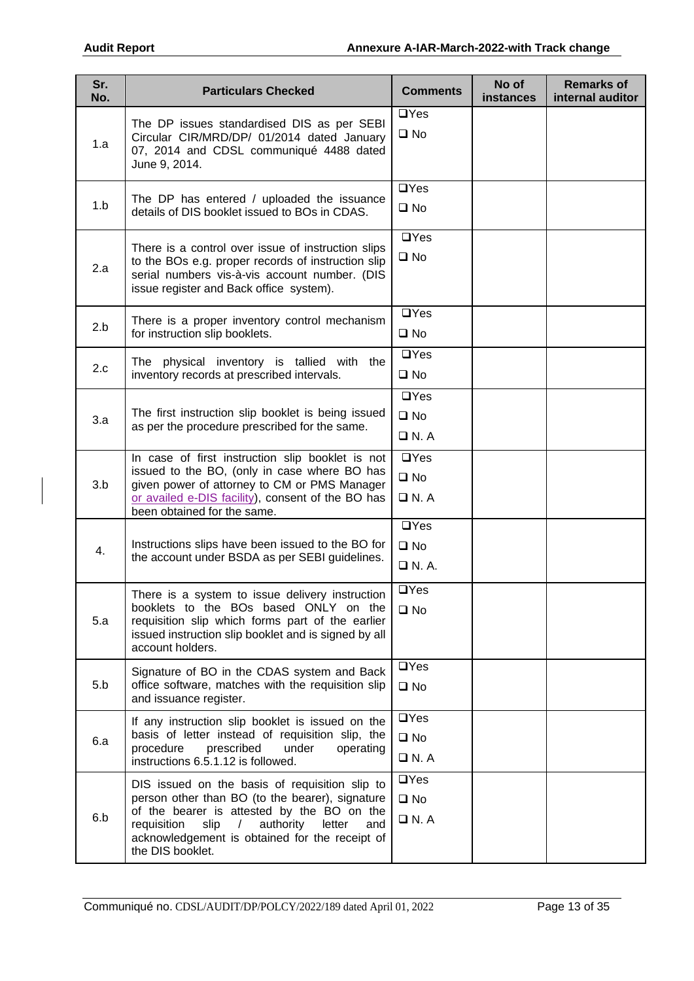| Sr.<br>No. | <b>Particulars Checked</b>                                                                                                                                                                                                                                                               | <b>Comments</b>                                   | No of<br><b>instances</b> | <b>Remarks of</b><br>internal auditor |
|------------|------------------------------------------------------------------------------------------------------------------------------------------------------------------------------------------------------------------------------------------------------------------------------------------|---------------------------------------------------|---------------------------|---------------------------------------|
| 1.a        | The DP issues standardised DIS as per SEBI<br>Circular CIR/MRD/DP/ 01/2014 dated January<br>07, 2014 and CDSL communiqué 4488 dated<br>June 9, 2014.                                                                                                                                     | $\Box$ Yes<br>$\square$ No                        |                           |                                       |
| 1.b        | The DP has entered / uploaded the issuance<br>details of DIS booklet issued to BOs in CDAS.                                                                                                                                                                                              | $\Box$ Yes<br>$\square$ No                        |                           |                                       |
| 2.a        | There is a control over issue of instruction slips<br>to the BOs e.g. proper records of instruction slip<br>serial numbers vis-à-vis account number. (DIS<br>issue register and Back office system).                                                                                     | $\Box$ Yes<br>$\square$ No                        |                           |                                       |
| 2.b        | There is a proper inventory control mechanism<br>for instruction slip booklets.                                                                                                                                                                                                          | $\Box$ Yes<br>$\square$ No                        |                           |                                       |
| 2.c        | The physical inventory is tallied with the<br>inventory records at prescribed intervals.                                                                                                                                                                                                 | $\Box$ Yes<br>$\square$ No                        |                           |                                       |
| 3.a        | The first instruction slip booklet is being issued<br>as per the procedure prescribed for the same.                                                                                                                                                                                      | $\Box$ Yes<br>$\square$ No<br>$\Box$ N.A          |                           |                                       |
| 3.b        | In case of first instruction slip booklet is not<br>issued to the BO, (only in case where BO has<br>given power of attorney to CM or PMS Manager<br>or availed e-DIS facility), consent of the BO has<br>been obtained for the same.                                                     | $\Box$ Yes<br>$\square$ No<br>$\Box$ N.A          |                           |                                       |
| 4.         | Instructions slips have been issued to the BO for<br>the account under BSDA as per SEBI guidelines.                                                                                                                                                                                      | $\overline{UY}$ es<br>$\square$ No<br>$\Box$ N.A. |                           |                                       |
| 5.a        | There is a system to issue delivery instruction<br>booklets to the BOs based ONLY on the<br>requisition slip which forms part of the earlier<br>issued instruction slip booklet and is signed by all<br>account holders.                                                                 | $\Box$ Yes<br>$\square$ No                        |                           |                                       |
| 5.b        | Signature of BO in the CDAS system and Back<br>office software, matches with the requisition slip<br>and issuance register.                                                                                                                                                              | $\Box$ Yes<br>$\square$ No                        |                           |                                       |
| 6.a        | If any instruction slip booklet is issued on the<br>basis of letter instead of requisition slip, the<br>procedure<br>prescribed<br>under<br>operating<br>instructions 6.5.1.12 is followed.                                                                                              | $\Box$ Yes<br>$\square$ No<br>$\Box$ N. A         |                           |                                       |
| 6.b        | DIS issued on the basis of requisition slip to<br>person other than BO (to the bearer), signature<br>of the bearer is attested by the BO on the<br>requisition<br>authority<br>slip<br>letter<br>and<br>$\sqrt{2}$<br>acknowledgement is obtained for the receipt of<br>the DIS booklet. | $\Box$ Yes<br>$\square$ No<br>$\Box$ N. A         |                           |                                       |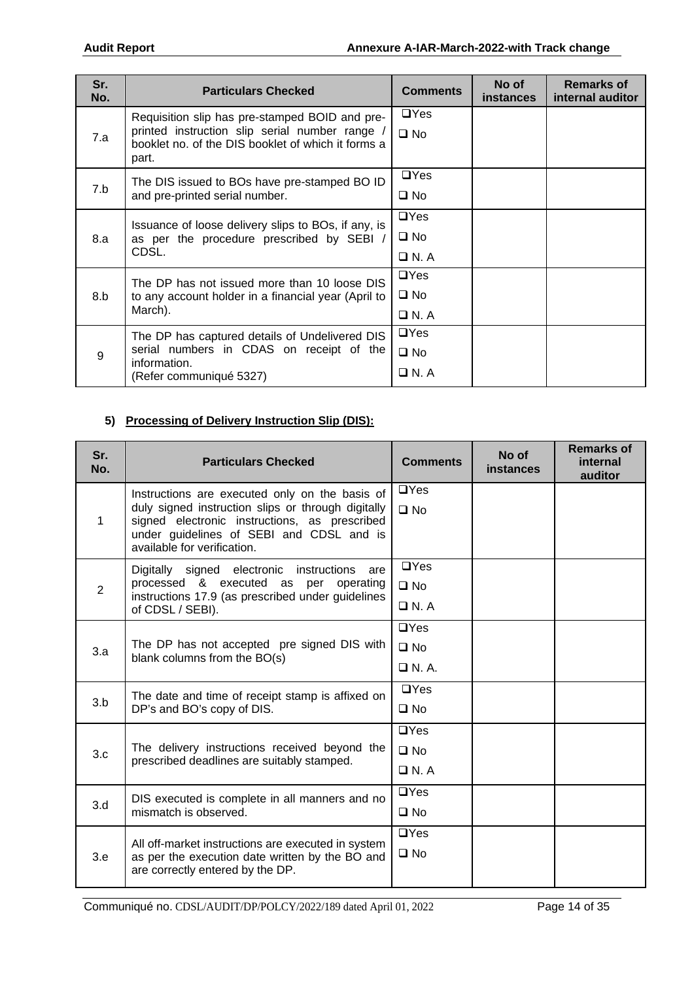| Sr.<br>No. | <b>Particulars Checked</b>                                                                                                                                      | <b>Comments</b>                           | No of<br><b>instances</b> | <b>Remarks of</b><br>internal auditor |
|------------|-----------------------------------------------------------------------------------------------------------------------------------------------------------------|-------------------------------------------|---------------------------|---------------------------------------|
| 7.a        | Requisition slip has pre-stamped BOID and pre-<br>printed instruction slip serial number range /<br>booklet no. of the DIS booklet of which it forms a<br>part. | $\Box$ Yes<br>$\square$ No                |                           |                                       |
| 7.b        | The DIS issued to BOs have pre-stamped BO ID<br>and pre-printed serial number.                                                                                  | $\Box$ Yes<br>$\square$ No                |                           |                                       |
| 8.a        | Issuance of loose delivery slips to BOs, if any, is<br>as per the procedure prescribed by SEBI /<br>CDSL.                                                       | $\Box$ Yes<br>$\square$ No<br>$\Box$ N. A |                           |                                       |
| 8.b        | The DP has not issued more than 10 loose DIS<br>to any account holder in a financial year (April to<br>March).                                                  | $\Box$ Yes<br>$\square$ No<br>$\Box$ N. A |                           |                                       |
| 9          | The DP has captured details of Undelivered DIS<br>serial numbers in CDAS on receipt of the<br>information.<br>(Refer communiqué 5327)                           | $\Box$ Yes<br>$\square$ No<br>□ N. A      |                           |                                       |

# **5) Processing of Delivery Instruction Slip (DIS):**

| Sr.<br>No.     | <b>Particulars Checked</b>                                                                          | <b>Comments</b> | No of<br>instances | <b>Remarks of</b><br>internal<br>auditor |
|----------------|-----------------------------------------------------------------------------------------------------|-----------------|--------------------|------------------------------------------|
|                | Instructions are executed only on the basis of                                                      | $\Box$ Yes      |                    |                                          |
| $\mathbf{1}$   | duly signed instruction slips or through digitally<br>signed electronic instructions, as prescribed | $\square$ No    |                    |                                          |
|                | under guidelines of SEBI and CDSL and is<br>available for verification.                             |                 |                    |                                          |
|                | Digitally signed electronic instructions<br>are                                                     | $\Box$ Yes      |                    |                                          |
| $\overline{2}$ | processed & executed as per operating<br>instructions 17.9 (as prescribed under guidelines          | $\square$ No    |                    |                                          |
|                | of CDSL / SEBI).                                                                                    | $\Box$ N.A      |                    |                                          |
|                | The DP has not accepted pre signed DIS with<br>blank columns from the BO(s)                         | $\Box$ Yes      |                    |                                          |
| 3.a            |                                                                                                     | $\square$ No    |                    |                                          |
|                |                                                                                                     | $\Box$ N.A.     |                    |                                          |
|                | The date and time of receipt stamp is affixed on                                                    | $\Box$ Yes      |                    |                                          |
| 3.b            | DP's and BO's copy of DIS.                                                                          | $\square$ No    |                    |                                          |
|                |                                                                                                     | $\Box$ Yes      |                    |                                          |
| 3.c            | The delivery instructions received beyond the<br>prescribed deadlines are suitably stamped.         | $\Box$ No       |                    |                                          |
|                |                                                                                                     | $\Box$ N.A      |                    |                                          |
|                | DIS executed is complete in all manners and no                                                      | $\Box$ Yes      |                    |                                          |
| 3.d            | mismatch is observed.                                                                               | $\square$ No    |                    |                                          |
|                | All off-market instructions are executed in system                                                  | $\Box$ Yes      |                    |                                          |
| 3.e            | as per the execution date written by the BO and<br>are correctly entered by the DP.                 | $\square$ No    |                    |                                          |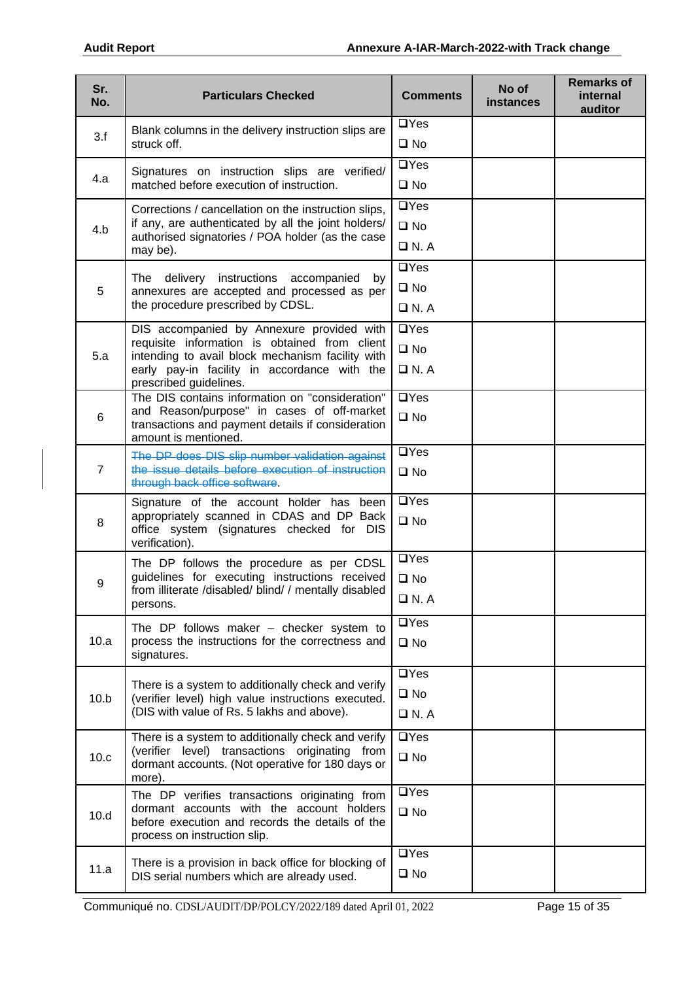| Sr.<br>No.     | <b>Particulars Checked</b>                                                                                                                                                                                               | <b>Comments</b>                           | No of<br><b>instances</b> | <b>Remarks of</b><br>internal<br>auditor |
|----------------|--------------------------------------------------------------------------------------------------------------------------------------------------------------------------------------------------------------------------|-------------------------------------------|---------------------------|------------------------------------------|
| 3.f            | Blank columns in the delivery instruction slips are<br>struck off.                                                                                                                                                       | $\Box$ Yes<br>$\square$ No                |                           |                                          |
| 4.a            | Signatures on instruction slips are verified/<br>matched before execution of instruction.                                                                                                                                | $\Box$ Yes<br>$\square$ No                |                           |                                          |
| 4.b            | Corrections / cancellation on the instruction slips,<br>if any, are authenticated by all the joint holders/<br>authorised signatories / POA holder (as the case<br>may be).                                              | $\Box$ Yes<br>$\square$ No<br>$\Box$ N.A  |                           |                                          |
| 5              | The delivery instructions accompanied by<br>annexures are accepted and processed as per<br>the procedure prescribed by CDSL.                                                                                             | $\Box$ Yes<br>$\square$ No<br>$\Box$ N.A  |                           |                                          |
| 5.a            | DIS accompanied by Annexure provided with<br>requisite information is obtained from client<br>intending to avail block mechanism facility with<br>early pay-in facility in accordance with the<br>prescribed guidelines. | $\Box$ Yes<br>$\square$ No<br>$\Box$ N.A  |                           |                                          |
| 6              | The DIS contains information on "consideration"<br>and Reason/purpose" in cases of off-market<br>transactions and payment details if consideration<br>amount is mentioned.                                               | $\Box$ Yes<br>$\square$ No                |                           |                                          |
| $\overline{7}$ | The DP does DIS slip number validation against<br>the issue details before execution of instruction<br>through back office software.                                                                                     | $\Box$ Yes<br>$\square$ No                |                           |                                          |
| 8              | Signature of the account holder has been<br>appropriately scanned in CDAS and DP Back<br>office system (signatures checked for DIS<br>verification).                                                                     | $\Box$ Yes<br>$\square$ No                |                           |                                          |
| 9              | The DP follows the procedure as per CDSL<br>guidelines for executing instructions received<br>from illiterate /disabled/ blind/ / mentally disabled<br>persons.                                                          | $\Box$ Yes<br>$\square$ No<br>$\Box$ N. A |                           |                                          |
| 10.a           | The DP follows maker $-$ checker system to<br>process the instructions for the correctness and<br>signatures.                                                                                                            | $\Box$ Yes<br>$\square$ No                |                           |                                          |
| 10.b           | There is a system to additionally check and verify<br>(verifier level) high value instructions executed.<br>(DIS with value of Rs. 5 lakhs and above).                                                                   | $\Box$ Yes<br>$\square$ No<br>$\Box$ N.A  |                           |                                          |
| 10.c           | There is a system to additionally check and verify<br>(verifier level) transactions originating<br>from<br>dormant accounts. (Not operative for 180 days or<br>more).                                                    | $\Box$ Yes<br>$\square$ No                |                           |                                          |
| 10.d           | The DP verifies transactions originating from<br>dormant accounts with the account holders<br>before execution and records the details of the<br>process on instruction slip.                                            | $\Box$ Yes<br>$\square$ No                |                           |                                          |
| 11.a           | There is a provision in back office for blocking of<br>DIS serial numbers which are already used.                                                                                                                        | $\Box$ Yes<br>$\square$ No                |                           |                                          |

Communiqué no. CDSL/AUDIT/DP/POLCY/2022/189 dated April 01, 2022 Page 15 of 35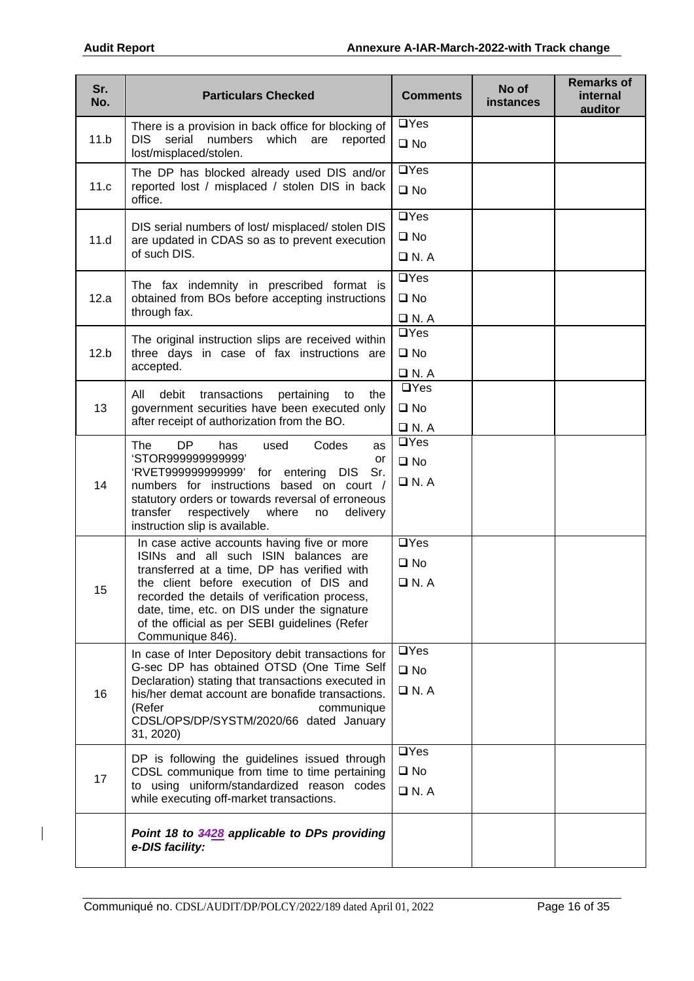| Sr.<br>No. | <b>Particulars Checked</b>                                                                                                                                                                                                                                                                                                                        | <b>Comments</b>                              | No of<br><b>instances</b> | <b>Remarks of</b><br>internal<br>auditor |
|------------|---------------------------------------------------------------------------------------------------------------------------------------------------------------------------------------------------------------------------------------------------------------------------------------------------------------------------------------------------|----------------------------------------------|---------------------------|------------------------------------------|
| 11.b       | There is a provision in back office for blocking of<br>DIS.<br>serial<br>numbers<br>which<br>are<br>reported<br>lost/misplaced/stolen.                                                                                                                                                                                                            | $\Box$ Yes<br>$\square$ No                   |                           |                                          |
| 11.c       | The DP has blocked already used DIS and/or<br>reported lost / misplaced / stolen DIS in back<br>office.                                                                                                                                                                                                                                           | $\Box$ Yes<br>$\square$ No                   |                           |                                          |
| 11.d       | DIS serial numbers of lost/ misplaced/ stolen DIS<br>are updated in CDAS so as to prevent execution<br>of such DIS.                                                                                                                                                                                                                               | $\Box$ Yes<br>$\square$ No<br>$\Box$ N.A     |                           |                                          |
| 12.a       | The fax indemnity in prescribed format is<br>obtained from BOs before accepting instructions<br>through fax.                                                                                                                                                                                                                                      | $\Box$ Yes<br>$\square$ No<br>$\Box$ N.A     |                           |                                          |
| 12.b       | The original instruction slips are received within<br>three days in case of fax instructions are<br>accepted.                                                                                                                                                                                                                                     | $\Box$ Yes<br>$\square$ No<br>$\Box$ N. A    |                           |                                          |
| 13         | debit<br>All<br>transactions<br>pertaining<br>the<br>to<br>government securities have been executed only<br>after receipt of authorization from the BO.                                                                                                                                                                                           | $\Box$ Yes<br>$\square$ No<br>$\Box$ N. A    |                           |                                          |
| 14         | <b>DP</b><br>The<br>Codes<br>has<br>used<br>as<br>'STOR999999999999'<br>or<br>'RVET999999999999'<br>for entering DIS<br>Sr.<br>numbers for instructions based on court /<br>statutory orders or towards reversal of erroneous<br>transfer<br>respectively<br>where<br>no<br>delivery<br>instruction slip is available.                            | $\Box$ Yes<br>$\square$ No<br>$\Box$ N. A    |                           |                                          |
| 15         | In case active accounts having five or more<br>ISINs and all such ISIN balances are<br>transferred at a time, DP has verified with<br>the client before execution of DIS and<br>recorded the details of verification process,<br>date, time, etc. on DIS under the signature<br>of the official as per SEBI guidelines (Refer<br>Communique 846). | $\Box$ Yes<br>$\square$ No<br>$\square$ N. A |                           |                                          |
| 16         | In case of Inter Depository debit transactions for<br>G-sec DP has obtained OTSD (One Time Self<br>Declaration) stating that transactions executed in<br>his/her demat account are bonafide transactions.<br>(Refer<br>communique<br>CDSL/OPS/DP/SYSTM/2020/66 dated January<br>31, 2020)                                                         | $\Box$ Yes<br>$\square$ No<br>$\Box$ N.A     |                           |                                          |
| 17         | DP is following the guidelines issued through<br>CDSL communique from time to time pertaining<br>to using uniform/standardized reason codes<br>while executing off-market transactions.                                                                                                                                                           | $\Box$ Yes<br>$\square$ No<br>$\Box$ N.A     |                           |                                          |
|            | Point 18 to 3428 applicable to DPs providing<br>e-DIS facility:                                                                                                                                                                                                                                                                                   |                                              |                           |                                          |

 $\overline{\phantom{a}}$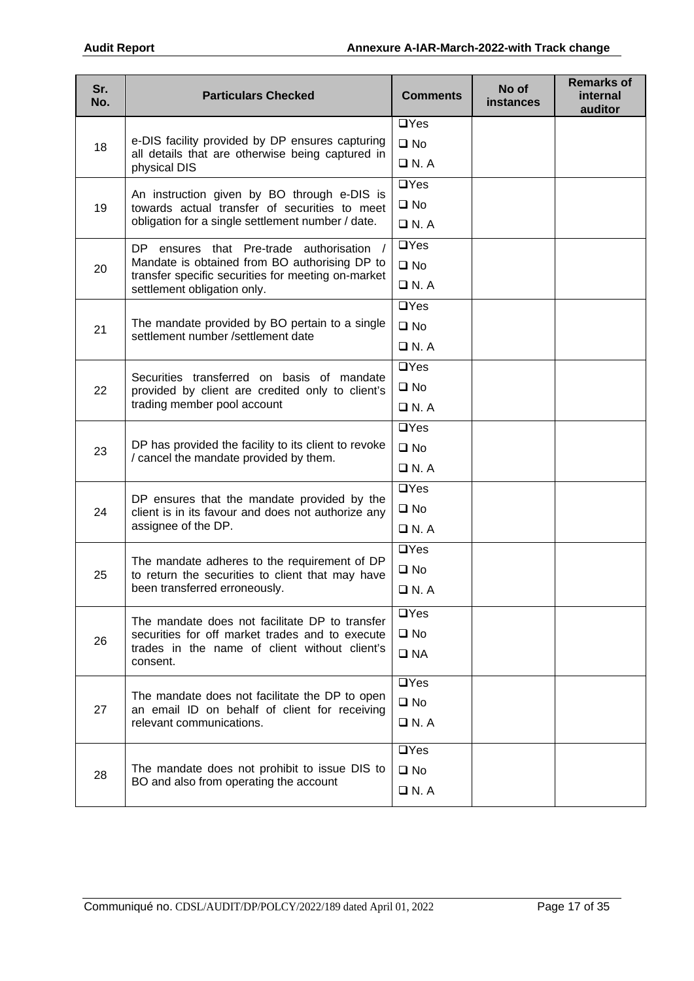| $\Box$ Yes<br>e-DIS facility provided by DP ensures capturing<br>$\square$ No<br>18<br>all details that are otherwise being captured in<br>$\Box$ N. A<br>physical DIS<br>$\Box$ Yes<br>An instruction given by BO through e-DIS is<br>$\square$ No<br>19<br>towards actual transfer of securities to meet<br>obligation for a single settlement number / date.<br>$\Box$ N. A<br>$\Box$ Yes<br>ensures that Pre-trade authorisation /<br>DP -<br>Mandate is obtained from BO authorising DP to<br>$\square$ No<br>20<br>transfer specific securities for meeting on-market<br>$\Box$ N. A<br>settlement obligation only.<br>$\Box$ Yes<br>The mandate provided by BO pertain to a single<br>$\square$ No<br>21<br>settlement number /settlement date<br>$\Box$ N. A<br>$\Box$ Yes<br>Securities transferred on basis of mandate<br>$\square$ No<br>22<br>provided by client are credited only to client's<br>trading member pool account<br>$\Box$ N.A<br>$\overline{UY}$ es<br>DP has provided the facility to its client to revoke<br>$\square$ No<br>23<br>/ cancel the mandate provided by them.<br>$\Box$ N.A<br>$\Box$ Yes<br>DP ensures that the mandate provided by the<br>$\square$ No<br>24<br>client is in its favour and does not authorize any<br>assignee of the DP.<br>$\Box$ N. A<br>$\Box$ Yes<br>The mandate adheres to the requirement of DP<br>$\square$ No<br>25<br>to return the securities to client that may have<br>been transferred erroneously.<br>$\Box$ N. A<br>$\Box$ Yes<br>The mandate does not facilitate DP to transfer<br>$\square$ No<br>securities for off market trades and to execute<br>26<br>trades in the name of client without client's<br>$\square$ NA<br>consent.<br>$\overline{UY}$ es<br>The mandate does not facilitate the DP to open<br>$\square$ No<br>27<br>an email ID on behalf of client for receiving<br>relevant communications.<br>$\Box$ N. A<br>$\Box$ Yes<br>The mandate does not prohibit to issue DIS to<br>$\square$ No<br>28<br>BO and also from operating the account<br>$\Box$ N. A | Sr.<br>No. | <b>Particulars Checked</b> | <b>Comments</b> | No of<br><b>instances</b> | <b>Remarks of</b><br>internal<br>auditor |
|----------------------------------------------------------------------------------------------------------------------------------------------------------------------------------------------------------------------------------------------------------------------------------------------------------------------------------------------------------------------------------------------------------------------------------------------------------------------------------------------------------------------------------------------------------------------------------------------------------------------------------------------------------------------------------------------------------------------------------------------------------------------------------------------------------------------------------------------------------------------------------------------------------------------------------------------------------------------------------------------------------------------------------------------------------------------------------------------------------------------------------------------------------------------------------------------------------------------------------------------------------------------------------------------------------------------------------------------------------------------------------------------------------------------------------------------------------------------------------------------------------------------------------------------------------------------------------------------------------------------------------------------------------------------------------------------------------------------------------------------------------------------------------------------------------------------------------------------------------------------------------------------------------------------------------------------------------------------------------------------------------------------------------------------------------|------------|----------------------------|-----------------|---------------------------|------------------------------------------|
|                                                                                                                                                                                                                                                                                                                                                                                                                                                                                                                                                                                                                                                                                                                                                                                                                                                                                                                                                                                                                                                                                                                                                                                                                                                                                                                                                                                                                                                                                                                                                                                                                                                                                                                                                                                                                                                                                                                                                                                                                                                          |            |                            |                 |                           |                                          |
|                                                                                                                                                                                                                                                                                                                                                                                                                                                                                                                                                                                                                                                                                                                                                                                                                                                                                                                                                                                                                                                                                                                                                                                                                                                                                                                                                                                                                                                                                                                                                                                                                                                                                                                                                                                                                                                                                                                                                                                                                                                          |            |                            |                 |                           |                                          |
|                                                                                                                                                                                                                                                                                                                                                                                                                                                                                                                                                                                                                                                                                                                                                                                                                                                                                                                                                                                                                                                                                                                                                                                                                                                                                                                                                                                                                                                                                                                                                                                                                                                                                                                                                                                                                                                                                                                                                                                                                                                          |            |                            |                 |                           |                                          |
|                                                                                                                                                                                                                                                                                                                                                                                                                                                                                                                                                                                                                                                                                                                                                                                                                                                                                                                                                                                                                                                                                                                                                                                                                                                                                                                                                                                                                                                                                                                                                                                                                                                                                                                                                                                                                                                                                                                                                                                                                                                          |            |                            |                 |                           |                                          |
|                                                                                                                                                                                                                                                                                                                                                                                                                                                                                                                                                                                                                                                                                                                                                                                                                                                                                                                                                                                                                                                                                                                                                                                                                                                                                                                                                                                                                                                                                                                                                                                                                                                                                                                                                                                                                                                                                                                                                                                                                                                          |            |                            |                 |                           |                                          |
|                                                                                                                                                                                                                                                                                                                                                                                                                                                                                                                                                                                                                                                                                                                                                                                                                                                                                                                                                                                                                                                                                                                                                                                                                                                                                                                                                                                                                                                                                                                                                                                                                                                                                                                                                                                                                                                                                                                                                                                                                                                          |            |                            |                 |                           |                                          |
|                                                                                                                                                                                                                                                                                                                                                                                                                                                                                                                                                                                                                                                                                                                                                                                                                                                                                                                                                                                                                                                                                                                                                                                                                                                                                                                                                                                                                                                                                                                                                                                                                                                                                                                                                                                                                                                                                                                                                                                                                                                          |            |                            |                 |                           |                                          |
|                                                                                                                                                                                                                                                                                                                                                                                                                                                                                                                                                                                                                                                                                                                                                                                                                                                                                                                                                                                                                                                                                                                                                                                                                                                                                                                                                                                                                                                                                                                                                                                                                                                                                                                                                                                                                                                                                                                                                                                                                                                          |            |                            |                 |                           |                                          |
|                                                                                                                                                                                                                                                                                                                                                                                                                                                                                                                                                                                                                                                                                                                                                                                                                                                                                                                                                                                                                                                                                                                                                                                                                                                                                                                                                                                                                                                                                                                                                                                                                                                                                                                                                                                                                                                                                                                                                                                                                                                          |            |                            |                 |                           |                                          |
|                                                                                                                                                                                                                                                                                                                                                                                                                                                                                                                                                                                                                                                                                                                                                                                                                                                                                                                                                                                                                                                                                                                                                                                                                                                                                                                                                                                                                                                                                                                                                                                                                                                                                                                                                                                                                                                                                                                                                                                                                                                          |            |                            |                 |                           |                                          |
|                                                                                                                                                                                                                                                                                                                                                                                                                                                                                                                                                                                                                                                                                                                                                                                                                                                                                                                                                                                                                                                                                                                                                                                                                                                                                                                                                                                                                                                                                                                                                                                                                                                                                                                                                                                                                                                                                                                                                                                                                                                          |            |                            |                 |                           |                                          |
|                                                                                                                                                                                                                                                                                                                                                                                                                                                                                                                                                                                                                                                                                                                                                                                                                                                                                                                                                                                                                                                                                                                                                                                                                                                                                                                                                                                                                                                                                                                                                                                                                                                                                                                                                                                                                                                                                                                                                                                                                                                          |            |                            |                 |                           |                                          |
|                                                                                                                                                                                                                                                                                                                                                                                                                                                                                                                                                                                                                                                                                                                                                                                                                                                                                                                                                                                                                                                                                                                                                                                                                                                                                                                                                                                                                                                                                                                                                                                                                                                                                                                                                                                                                                                                                                                                                                                                                                                          |            |                            |                 |                           |                                          |
|                                                                                                                                                                                                                                                                                                                                                                                                                                                                                                                                                                                                                                                                                                                                                                                                                                                                                                                                                                                                                                                                                                                                                                                                                                                                                                                                                                                                                                                                                                                                                                                                                                                                                                                                                                                                                                                                                                                                                                                                                                                          |            |                            |                 |                           |                                          |
|                                                                                                                                                                                                                                                                                                                                                                                                                                                                                                                                                                                                                                                                                                                                                                                                                                                                                                                                                                                                                                                                                                                                                                                                                                                                                                                                                                                                                                                                                                                                                                                                                                                                                                                                                                                                                                                                                                                                                                                                                                                          |            |                            |                 |                           |                                          |
|                                                                                                                                                                                                                                                                                                                                                                                                                                                                                                                                                                                                                                                                                                                                                                                                                                                                                                                                                                                                                                                                                                                                                                                                                                                                                                                                                                                                                                                                                                                                                                                                                                                                                                                                                                                                                                                                                                                                                                                                                                                          |            |                            |                 |                           |                                          |
|                                                                                                                                                                                                                                                                                                                                                                                                                                                                                                                                                                                                                                                                                                                                                                                                                                                                                                                                                                                                                                                                                                                                                                                                                                                                                                                                                                                                                                                                                                                                                                                                                                                                                                                                                                                                                                                                                                                                                                                                                                                          |            |                            |                 |                           |                                          |
|                                                                                                                                                                                                                                                                                                                                                                                                                                                                                                                                                                                                                                                                                                                                                                                                                                                                                                                                                                                                                                                                                                                                                                                                                                                                                                                                                                                                                                                                                                                                                                                                                                                                                                                                                                                                                                                                                                                                                                                                                                                          |            |                            |                 |                           |                                          |
|                                                                                                                                                                                                                                                                                                                                                                                                                                                                                                                                                                                                                                                                                                                                                                                                                                                                                                                                                                                                                                                                                                                                                                                                                                                                                                                                                                                                                                                                                                                                                                                                                                                                                                                                                                                                                                                                                                                                                                                                                                                          |            |                            |                 |                           |                                          |
|                                                                                                                                                                                                                                                                                                                                                                                                                                                                                                                                                                                                                                                                                                                                                                                                                                                                                                                                                                                                                                                                                                                                                                                                                                                                                                                                                                                                                                                                                                                                                                                                                                                                                                                                                                                                                                                                                                                                                                                                                                                          |            |                            |                 |                           |                                          |
|                                                                                                                                                                                                                                                                                                                                                                                                                                                                                                                                                                                                                                                                                                                                                                                                                                                                                                                                                                                                                                                                                                                                                                                                                                                                                                                                                                                                                                                                                                                                                                                                                                                                                                                                                                                                                                                                                                                                                                                                                                                          |            |                            |                 |                           |                                          |
|                                                                                                                                                                                                                                                                                                                                                                                                                                                                                                                                                                                                                                                                                                                                                                                                                                                                                                                                                                                                                                                                                                                                                                                                                                                                                                                                                                                                                                                                                                                                                                                                                                                                                                                                                                                                                                                                                                                                                                                                                                                          |            |                            |                 |                           |                                          |
|                                                                                                                                                                                                                                                                                                                                                                                                                                                                                                                                                                                                                                                                                                                                                                                                                                                                                                                                                                                                                                                                                                                                                                                                                                                                                                                                                                                                                                                                                                                                                                                                                                                                                                                                                                                                                                                                                                                                                                                                                                                          |            |                            |                 |                           |                                          |
|                                                                                                                                                                                                                                                                                                                                                                                                                                                                                                                                                                                                                                                                                                                                                                                                                                                                                                                                                                                                                                                                                                                                                                                                                                                                                                                                                                                                                                                                                                                                                                                                                                                                                                                                                                                                                                                                                                                                                                                                                                                          |            |                            |                 |                           |                                          |
|                                                                                                                                                                                                                                                                                                                                                                                                                                                                                                                                                                                                                                                                                                                                                                                                                                                                                                                                                                                                                                                                                                                                                                                                                                                                                                                                                                                                                                                                                                                                                                                                                                                                                                                                                                                                                                                                                                                                                                                                                                                          |            |                            |                 |                           |                                          |
|                                                                                                                                                                                                                                                                                                                                                                                                                                                                                                                                                                                                                                                                                                                                                                                                                                                                                                                                                                                                                                                                                                                                                                                                                                                                                                                                                                                                                                                                                                                                                                                                                                                                                                                                                                                                                                                                                                                                                                                                                                                          |            |                            |                 |                           |                                          |
|                                                                                                                                                                                                                                                                                                                                                                                                                                                                                                                                                                                                                                                                                                                                                                                                                                                                                                                                                                                                                                                                                                                                                                                                                                                                                                                                                                                                                                                                                                                                                                                                                                                                                                                                                                                                                                                                                                                                                                                                                                                          |            |                            |                 |                           |                                          |
|                                                                                                                                                                                                                                                                                                                                                                                                                                                                                                                                                                                                                                                                                                                                                                                                                                                                                                                                                                                                                                                                                                                                                                                                                                                                                                                                                                                                                                                                                                                                                                                                                                                                                                                                                                                                                                                                                                                                                                                                                                                          |            |                            |                 |                           |                                          |
|                                                                                                                                                                                                                                                                                                                                                                                                                                                                                                                                                                                                                                                                                                                                                                                                                                                                                                                                                                                                                                                                                                                                                                                                                                                                                                                                                                                                                                                                                                                                                                                                                                                                                                                                                                                                                                                                                                                                                                                                                                                          |            |                            |                 |                           |                                          |
|                                                                                                                                                                                                                                                                                                                                                                                                                                                                                                                                                                                                                                                                                                                                                                                                                                                                                                                                                                                                                                                                                                                                                                                                                                                                                                                                                                                                                                                                                                                                                                                                                                                                                                                                                                                                                                                                                                                                                                                                                                                          |            |                            |                 |                           |                                          |
|                                                                                                                                                                                                                                                                                                                                                                                                                                                                                                                                                                                                                                                                                                                                                                                                                                                                                                                                                                                                                                                                                                                                                                                                                                                                                                                                                                                                                                                                                                                                                                                                                                                                                                                                                                                                                                                                                                                                                                                                                                                          |            |                            |                 |                           |                                          |
|                                                                                                                                                                                                                                                                                                                                                                                                                                                                                                                                                                                                                                                                                                                                                                                                                                                                                                                                                                                                                                                                                                                                                                                                                                                                                                                                                                                                                                                                                                                                                                                                                                                                                                                                                                                                                                                                                                                                                                                                                                                          |            |                            |                 |                           |                                          |
|                                                                                                                                                                                                                                                                                                                                                                                                                                                                                                                                                                                                                                                                                                                                                                                                                                                                                                                                                                                                                                                                                                                                                                                                                                                                                                                                                                                                                                                                                                                                                                                                                                                                                                                                                                                                                                                                                                                                                                                                                                                          |            |                            |                 |                           |                                          |
|                                                                                                                                                                                                                                                                                                                                                                                                                                                                                                                                                                                                                                                                                                                                                                                                                                                                                                                                                                                                                                                                                                                                                                                                                                                                                                                                                                                                                                                                                                                                                                                                                                                                                                                                                                                                                                                                                                                                                                                                                                                          |            |                            |                 |                           |                                          |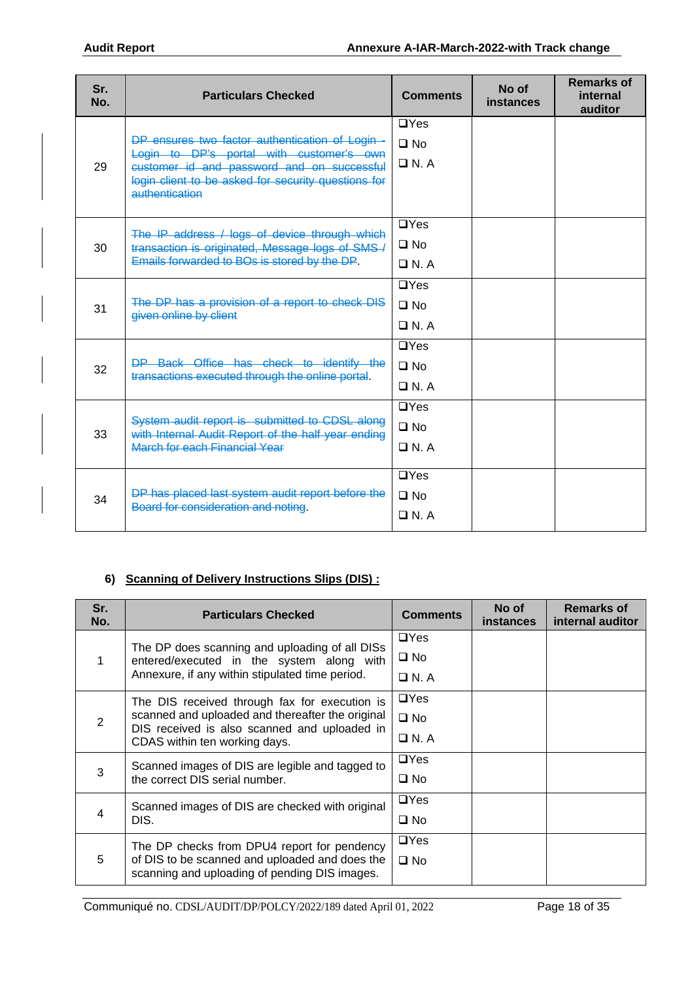| Sr.<br>No. | <b>Particulars Checked</b>                                                                                                                       | <b>Comments</b> | No of<br>instances | <b>Remarks of</b><br>internal<br>auditor |
|------------|--------------------------------------------------------------------------------------------------------------------------------------------------|-----------------|--------------------|------------------------------------------|
|            |                                                                                                                                                  | $\Box$ Yes      |                    |                                          |
|            | DP ensures two factor authentication of Login -                                                                                                  | $\Box$ No       |                    |                                          |
| 29         | Login to DP's portal with customer's own<br>customer id and password and on successful                                                           | $\Box$ N.A      |                    |                                          |
|            | login client to be asked for security questions for<br>authentication                                                                            |                 |                    |                                          |
|            |                                                                                                                                                  | $\Box$ Yes      |                    |                                          |
| 30         | The IP address / logs of device through which<br>transaction is originated, Message logs of SMS-/<br>Emails forwarded to BOs is stored by the DP | $\square$ No    |                    |                                          |
|            |                                                                                                                                                  | $\Box N. A$     |                    |                                          |
|            | The DP has a provision of a report to check DIS<br>given online by client                                                                        | $\Box$ Yes      |                    |                                          |
| 31         |                                                                                                                                                  | $\Box$ No       |                    |                                          |
|            |                                                                                                                                                  | $\Box N. A$     |                    |                                          |
|            | DP Back Office has check to identify the<br>transactions executed through the online portal                                                      | $\Box$ Yes      |                    |                                          |
| 32         |                                                                                                                                                  | $\Box$ No       |                    |                                          |
|            |                                                                                                                                                  | $\Box N. A$     |                    |                                          |
|            |                                                                                                                                                  | $\Box$ Yes      |                    |                                          |
| 33         | System audit report is submitted to CDSL along<br>with Internal Audit Report of the half year ending                                             | $\square$ No    |                    |                                          |
|            | March for each Financial Year                                                                                                                    | $\Box N. A$     |                    |                                          |
|            |                                                                                                                                                  | $\Box$ Yes      |                    |                                          |
|            | DP has placed last system audit report before the                                                                                                | $\Box$ No       |                    |                                          |
| 34         | Board for consideration and noting                                                                                                               | $\Box$ N. A     |                    |                                          |
|            |                                                                                                                                                  |                 |                    |                                          |

# **6) Scanning of Delivery Instructions Slips (DIS) :**

| Sr.<br>No. | <b>Particulars Checked</b>                                                                                                        | <b>Comments</b> | No of<br><b>instances</b> | <b>Remarks of</b><br>internal auditor |
|------------|-----------------------------------------------------------------------------------------------------------------------------------|-----------------|---------------------------|---------------------------------------|
|            | The DP does scanning and uploading of all DISs                                                                                    | $\Box$ Yes      |                           |                                       |
| 1          | entered/executed in the system along with                                                                                         | $\square$ No    |                           |                                       |
|            | Annexure, if any within stipulated time period.                                                                                   | $\Box$ N.A      |                           |                                       |
|            | The DIS received through fax for execution is                                                                                     | $\Box$ Yes      |                           |                                       |
| 2          | scanned and uploaded and thereafter the original<br>DIS received is also scanned and uploaded in<br>CDAS within ten working days. | $\square$ No    |                           |                                       |
|            |                                                                                                                                   | $\Box$ N. A     |                           |                                       |
|            | Scanned images of DIS are legible and tagged to                                                                                   | $\Box$ Yes      |                           |                                       |
| 3          | the correct DIS serial number.                                                                                                    | $\square$ No    |                           |                                       |
|            | Scanned images of DIS are checked with original                                                                                   | $\Box$ Yes      |                           |                                       |
| 4          | DIS.                                                                                                                              | $\square$ No    |                           |                                       |
|            | The DP checks from DPU4 report for pendency                                                                                       | $\Box$ Yes      |                           |                                       |
| 5          | of DIS to be scanned and uploaded and does the<br>scanning and uploading of pending DIS images.                                   | $\square$ No    |                           |                                       |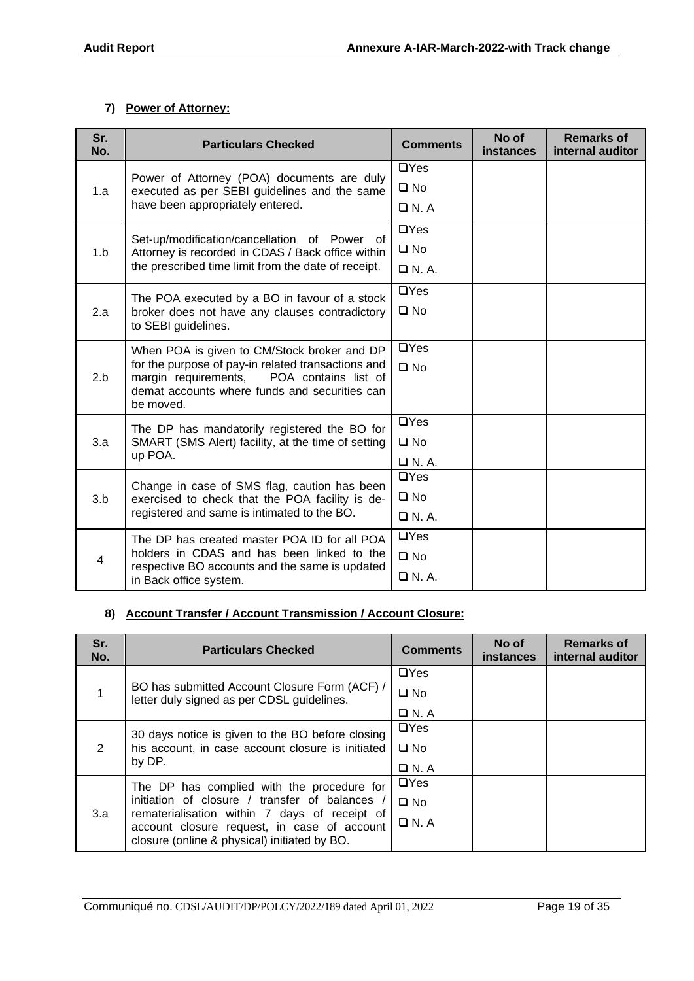#### **7) Power of Attorney:**

| Sr.<br>No.     | <b>Particulars Checked</b>                                                                                                                          | <b>Comments</b>           | No of<br>instances | <b>Remarks of</b><br>internal auditor |
|----------------|-----------------------------------------------------------------------------------------------------------------------------------------------------|---------------------------|--------------------|---------------------------------------|
|                | Power of Attorney (POA) documents are duly                                                                                                          | $\Box$ Yes                |                    |                                       |
| 1.a            | executed as per SEBI guidelines and the same                                                                                                        | $\square$ No              |                    |                                       |
|                | have been appropriately entered.                                                                                                                    | $\Box$ N.A                |                    |                                       |
|                | Set-up/modification/cancellation of Power of                                                                                                        | $\Box$ Yes                |                    |                                       |
| 1.b            | Attorney is recorded in CDAS / Back office within                                                                                                   | $\square$ No              |                    |                                       |
|                | the prescribed time limit from the date of receipt.                                                                                                 | $\Box$ N. A.              |                    |                                       |
|                | The POA executed by a BO in favour of a stock                                                                                                       | $\Box$ Yes                |                    |                                       |
| 2.a            | broker does not have any clauses contradictory                                                                                                      | $\square$ No              |                    |                                       |
|                | to SEBI guidelines.                                                                                                                                 |                           |                    |                                       |
|                | When POA is given to CM/Stock broker and DP                                                                                                         | $\Box$ Yes                |                    |                                       |
| 2.b            | for the purpose of pay-in related transactions and<br>margin requirements,<br>POA contains list of<br>demat accounts where funds and securities can | $\square$ No              |                    |                                       |
|                |                                                                                                                                                     |                           |                    |                                       |
|                | be moved.                                                                                                                                           | $\Box$ Yes                |                    |                                       |
|                | The DP has mandatorily registered the BO for                                                                                                        | $\square$ No              |                    |                                       |
| 3.a            | SMART (SMS Alert) facility, at the time of setting<br>up POA.                                                                                       |                           |                    |                                       |
|                |                                                                                                                                                     | $\Box$ N.A.<br>$\Box$ Yes |                    |                                       |
| 3.b            | Change in case of SMS flag, caution has been                                                                                                        | $\square$ No              |                    |                                       |
|                | exercised to check that the POA facility is de-<br>registered and same is intimated to the BO.                                                      | $\Box$ N.A.               |                    |                                       |
|                |                                                                                                                                                     | $\Box$ Yes                |                    |                                       |
|                | The DP has created master POA ID for all POA<br>holders in CDAS and has been linked to the                                                          | $\square$ No              |                    |                                       |
| $\overline{4}$ | respective BO accounts and the same is updated                                                                                                      | $\Box$ N.A.               |                    |                                       |
|                | in Back office system.                                                                                                                              |                           |                    |                                       |

### **8) Account Transfer / Account Transmission / Account Closure:**

| Sr.<br>No.    | <b>Particulars Checked</b>                                                                                                                                                                                                                   | <b>Comments</b>                           | No of<br><b>instances</b> | <b>Remarks of</b><br>internal auditor |
|---------------|----------------------------------------------------------------------------------------------------------------------------------------------------------------------------------------------------------------------------------------------|-------------------------------------------|---------------------------|---------------------------------------|
|               | BO has submitted Account Closure Form (ACF) /<br>letter duly signed as per CDSL guidelines.                                                                                                                                                  | $\Box$ Yes<br>$\square$ No<br>$\Box$ N. A |                           |                                       |
| $\mathcal{P}$ | 30 days notice is given to the BO before closing<br>his account, in case account closure is initiated<br>by DP.                                                                                                                              | $\Box$ Yes<br>$\square$ No<br>$\Box$ N.A  |                           |                                       |
| 3.a           | The DP has complied with the procedure for<br>initiation of closure / transfer of balances /<br>rematerialisation within 7 days of receipt of<br>account closure request, in case of account<br>closure (online & physical) initiated by BO. | $\Box$ Yes<br>$\square$ No<br>$\Box$ N. A |                           |                                       |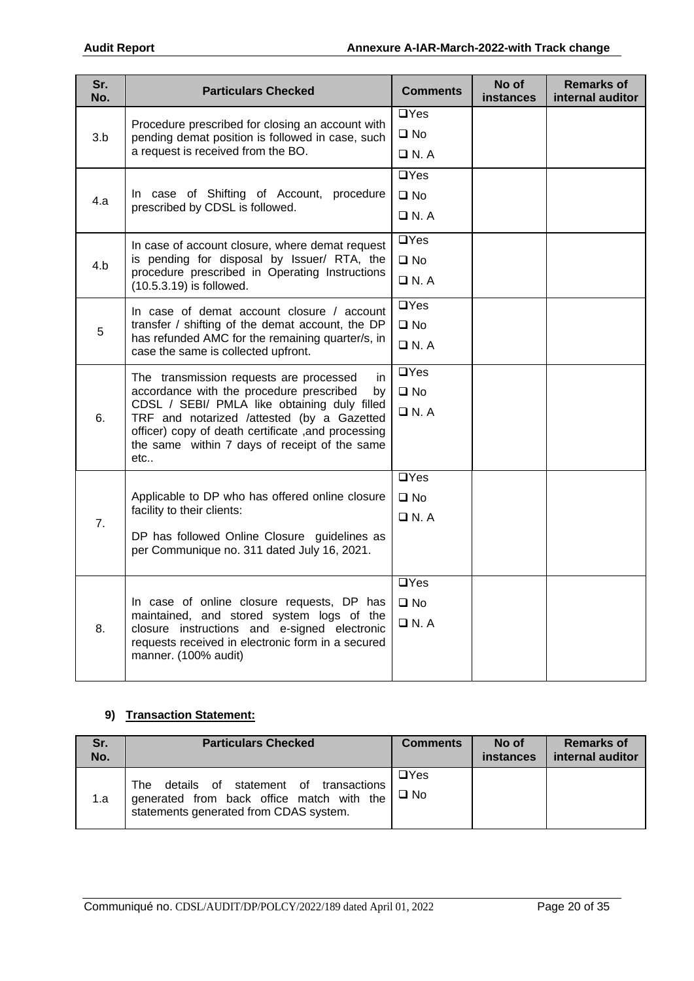| Sr.<br>No. | <b>Particulars Checked</b>                                                                                                                  | <b>Comments</b>    | No of<br>instances | <b>Remarks of</b><br>internal auditor |
|------------|---------------------------------------------------------------------------------------------------------------------------------------------|--------------------|--------------------|---------------------------------------|
|            | Procedure prescribed for closing an account with                                                                                            | $\Box$ Yes         |                    |                                       |
| 3.b        | pending demat position is followed in case, such                                                                                            | $\square$ No       |                    |                                       |
|            | a request is received from the BO.                                                                                                          | $\Box$ N.A         |                    |                                       |
|            |                                                                                                                                             | $\overline{UY}$ es |                    |                                       |
| 4.a        | In case of Shifting of Account, procedure                                                                                                   | $\square$ No       |                    |                                       |
|            | prescribed by CDSL is followed.                                                                                                             | $\Box$ N. A        |                    |                                       |
|            | In case of account closure, where demat request                                                                                             | $\overline{a}$ Yes |                    |                                       |
| 4.b        | is pending for disposal by Issuer/ RTA, the                                                                                                 | $\square$ No       |                    |                                       |
|            | procedure prescribed in Operating Instructions<br>(10.5.3.19) is followed.                                                                  | $\Box$ N.A         |                    |                                       |
|            | In case of demat account closure / account                                                                                                  | $\overline{UY}$ es |                    |                                       |
| 5          | transfer / shifting of the demat account, the DP<br>has refunded AMC for the remaining quarter/s, in<br>case the same is collected upfront. | $\square$ No       |                    |                                       |
|            |                                                                                                                                             | $\Box$ N.A         |                    |                                       |
|            | The transmission requests are processed<br>in.<br>accordance with the procedure prescribed<br>by                                            | $\Box$ Yes         |                    |                                       |
|            |                                                                                                                                             | $\square$ No       |                    |                                       |
| 6.         | CDSL / SEBI/ PMLA like obtaining duly filled<br>TRF and notarized /attested (by a Gazetted                                                  | $\Box$ N.A         |                    |                                       |
|            | officer) copy of death certificate , and processing<br>the same within 7 days of receipt of the same                                        |                    |                    |                                       |
|            | etc                                                                                                                                         |                    |                    |                                       |
|            |                                                                                                                                             | $\overline{UY}$ es |                    |                                       |
|            | Applicable to DP who has offered online closure                                                                                             | $\square$ No       |                    |                                       |
| 7.         | facility to their clients:                                                                                                                  | $\Box$ N.A         |                    |                                       |
|            | DP has followed Online Closure guidelines as                                                                                                |                    |                    |                                       |
|            | per Communique no. 311 dated July 16, 2021.                                                                                                 |                    |                    |                                       |
|            |                                                                                                                                             | $\Box$ Yes         |                    |                                       |
|            | In case of online closure requests, DP has                                                                                                  | $\square$ No       |                    |                                       |
| 8.         | maintained, and stored system logs of the<br>closure instructions and e-signed electronic                                                   | $\Box$ N.A         |                    |                                       |
|            | requests received in electronic form in a secured                                                                                           |                    |                    |                                       |
|            | manner. (100% audit)                                                                                                                        |                    |                    |                                       |
|            |                                                                                                                                             |                    |                    |                                       |

### **9) Transaction Statement:**

| Sr.<br>No. | <b>Particulars Checked</b>                                                                                                         | <b>Comments</b>            | No of<br><b>instances</b> | <b>Remarks of</b><br>internal auditor |
|------------|------------------------------------------------------------------------------------------------------------------------------------|----------------------------|---------------------------|---------------------------------------|
| 1.a        | details of statement of transactions<br>The<br>generated from back office match with the<br>statements generated from CDAS system. | $\Box$ Yes<br>$\square$ No |                           |                                       |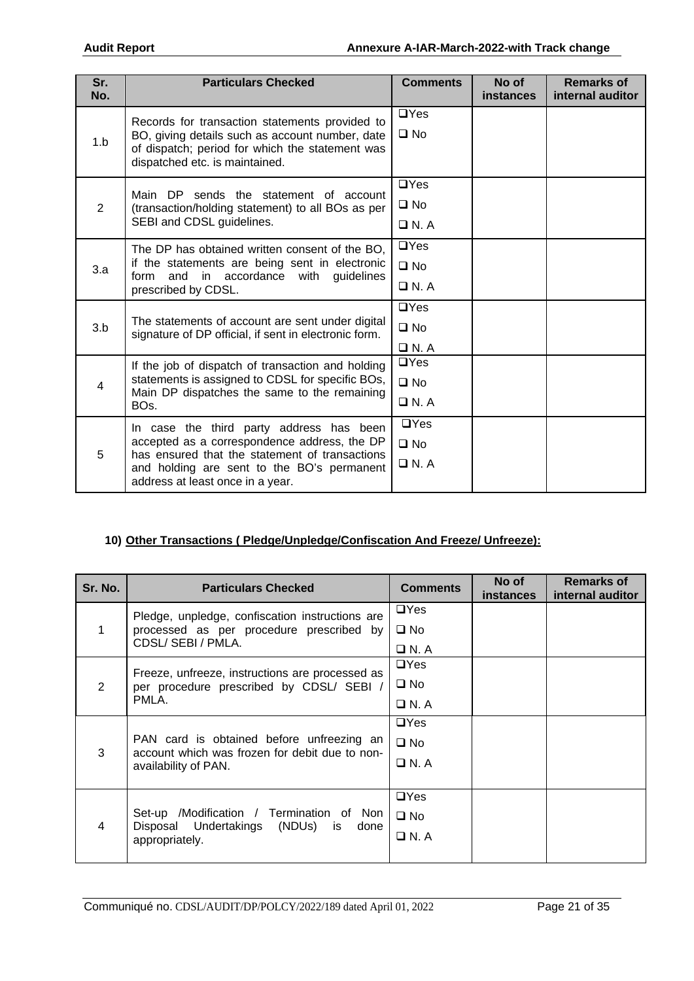| Sr.<br>No. | <b>Particulars Checked</b>                                                                                                                                                                                                   | <b>Comments</b>                              | No of<br>instances | <b>Remarks of</b><br>internal auditor |
|------------|------------------------------------------------------------------------------------------------------------------------------------------------------------------------------------------------------------------------------|----------------------------------------------|--------------------|---------------------------------------|
| 1.b        | Records for transaction statements provided to<br>BO, giving details such as account number, date<br>of dispatch; period for which the statement was<br>dispatched etc. is maintained.                                       | $\Box$ Yes<br>$\square$ No                   |                    |                                       |
| 2          | Main DP sends the statement of account<br>(transaction/holding statement) to all BOs as per<br>SEBI and CDSL guidelines.                                                                                                     | $\Box$ Yes<br>$\square$ No<br>$\n  D N. A\n$ |                    |                                       |
| 3.a        | The DP has obtained written consent of the BO,<br>if the statements are being sent in electronic<br>in accordance with<br>and<br>guidelines<br>form<br>prescribed by CDSL.                                                   | $\Box$ Yes<br>$\square$ No<br>$\Box$ N.A     |                    |                                       |
| 3.b        | The statements of account are sent under digital<br>signature of DP official, if sent in electronic form.                                                                                                                    | $\Box$ Yes<br>$\square$ No<br>$\Box$ N.A     |                    |                                       |
| 4          | If the job of dispatch of transaction and holding<br>statements is assigned to CDSL for specific BOs,<br>Main DP dispatches the same to the remaining<br>BO <sub>s</sub> .                                                   | $\Box$ Yes<br>$\square$ No<br>$\Box$ N.A     |                    |                                       |
| 5          | In case the third party address has been<br>accepted as a correspondence address, the DP<br>has ensured that the statement of transactions<br>and holding are sent to the BO's permanent<br>address at least once in a year. | $\Box$ Yes<br>$\square$ No<br>$\Box$ N.A     |                    |                                       |

# **10) Other Transactions ( Pledge/Unpledge/Confiscation And Freeze/ Unfreeze):**

| Sr. No.        | <b>Particulars Checked</b>                                                                  | <b>Comments</b> | No of<br><b>instances</b> | <b>Remarks of</b><br>internal auditor |
|----------------|---------------------------------------------------------------------------------------------|-----------------|---------------------------|---------------------------------------|
|                | Pledge, unpledge, confiscation instructions are                                             | $\Box$ Yes      |                           |                                       |
| $\mathbf{1}$   | processed as per procedure prescribed by                                                    | $\square$ No    |                           |                                       |
|                | CDSL/SEBI/PMLA.                                                                             | $\Box$ N. A     |                           |                                       |
|                | Freeze, unfreeze, instructions are processed as                                             | $\Box$ Yes      |                           |                                       |
| 2              | per procedure prescribed by CDSL/ SEBI /                                                    | $\square$ No    |                           |                                       |
|                | PMLA.                                                                                       | $\Box$ N. A     |                           |                                       |
|                |                                                                                             | $\Box$ Yes      |                           |                                       |
| 3              | PAN card is obtained before unfreezing an<br>account which was frozen for debit due to non- | $\square$ No    |                           |                                       |
|                | availability of PAN.                                                                        | $\Box$ N.A      |                           |                                       |
|                |                                                                                             |                 |                           |                                       |
|                |                                                                                             | $\Box$ Yes      |                           |                                       |
| $\overline{4}$ | Set-up /Modification / Termination of Non<br>Disposal Undertakings (NDUs) is<br>done        | $\square$ No    |                           |                                       |
|                | appropriately.                                                                              | $\Box$ N.A      |                           |                                       |
|                |                                                                                             |                 |                           |                                       |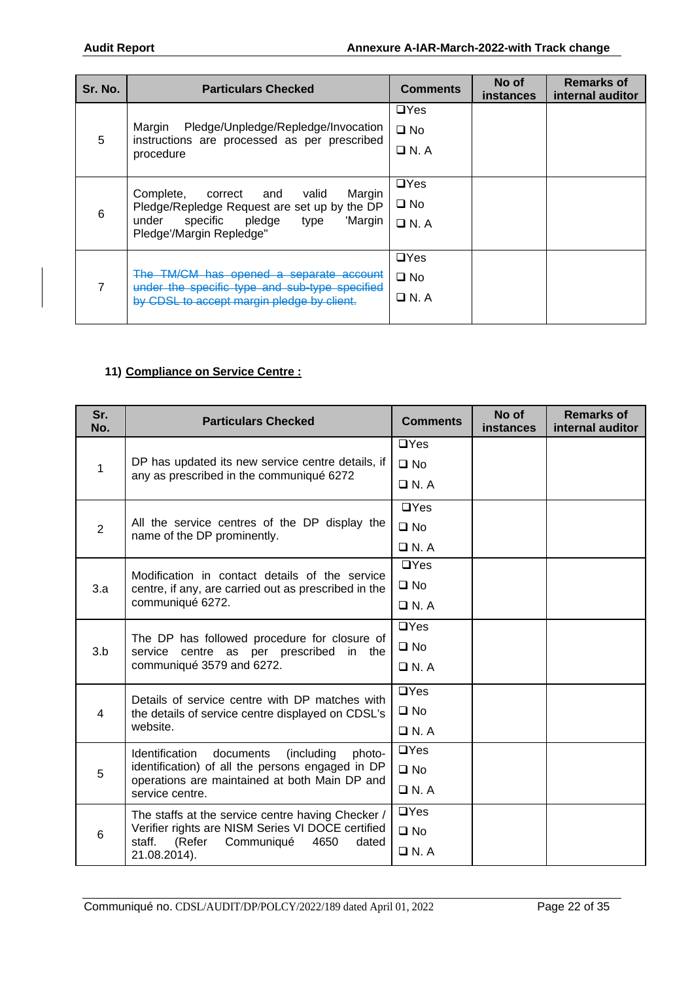| Sr. No. | <b>Particulars Checked</b>                                                                                                                                             | <b>Comments</b>                      | No of<br>instances | <b>Remarks of</b><br>internal auditor |
|---------|------------------------------------------------------------------------------------------------------------------------------------------------------------------------|--------------------------------------|--------------------|---------------------------------------|
| 5       | Pledge/Unpledge/Repledge/Invocation<br>Margin<br>instructions are processed as per prescribed<br>procedure                                                             | $\Box$ Yes<br>□ No<br>$\Box$ N. A    |                    |                                       |
| 6       | Complete,<br>Margin<br>correct<br>and<br>valid<br>Pledge/Repledge Request are set up by the DP<br>under specific pledge<br>'Margin<br>type<br>Pledge'/Margin Repledge" | $\Box$ Yes<br>□ No<br>$\square$ N. A |                    |                                       |
|         | The TM/CM has opened a separate account<br>under the specific type and sub-type specified<br>by CDSL to accept margin pledge by client.                                | $\Box$ Yes<br>□ No<br>□ N. A         |                    |                                       |

### **11) Compliance on Service Centre :**

| Sr.<br>No.     | <b>Particulars Checked</b>                                                                                           | <b>Comments</b> | No of<br>instances | <b>Remarks of</b><br>internal auditor |
|----------------|----------------------------------------------------------------------------------------------------------------------|-----------------|--------------------|---------------------------------------|
|                |                                                                                                                      | $\Box$ Yes      |                    |                                       |
| 1              | DP has updated its new service centre details, if                                                                    | $\square$ No    |                    |                                       |
|                | any as prescribed in the communiqué 6272                                                                             | $\Box$ N.A      |                    |                                       |
|                |                                                                                                                      | $\Box$ Yes      |                    |                                       |
| $\overline{2}$ | All the service centres of the DP display the<br>name of the DP prominently.                                         | $\square$ No    |                    |                                       |
|                |                                                                                                                      | $\Box$ N.A      |                    |                                       |
|                | Modification in contact details of the service                                                                       | $\Box$ Yes      |                    |                                       |
| 3.a            | centre, if any, are carried out as prescribed in the<br>communiqué 6272.                                             | $\square$ No    |                    |                                       |
|                |                                                                                                                      | $\Box$ N. A     |                    |                                       |
|                | The DP has followed procedure for closure of<br>service centre as per prescribed in the<br>communiqué 3579 and 6272. | $\Box$ Yes      |                    |                                       |
| 3.b            |                                                                                                                      | $\square$ No    |                    |                                       |
|                |                                                                                                                      | $\Box$ N.A      |                    |                                       |
|                | Details of service centre with DP matches with                                                                       | $\Box$ Yes      |                    |                                       |
| $\overline{4}$ | the details of service centre displayed on CDSL's                                                                    | $\Box$ No       |                    |                                       |
|                | website.                                                                                                             | $\Box$ N. A     |                    |                                       |
|                | Identification<br>documents<br>(including<br>photo-                                                                  | $\Box$ Yes      |                    |                                       |
| 5              | identification) of all the persons engaged in DP<br>operations are maintained at both Main DP and                    | $\square$ No    |                    |                                       |
|                | service centre.                                                                                                      | $\Box$ N.A      |                    |                                       |
|                | The staffs at the service centre having Checker /                                                                    | $\Box$ Yes      |                    |                                       |
| 6              | Verifier rights are NISM Series VI DOCE certified<br>staff.<br>(Refer<br>Communiqué<br>4650<br>dated                 | $\square$ No    |                    |                                       |
|                | 21.08.2014).                                                                                                         | $\Box$ N.A      |                    |                                       |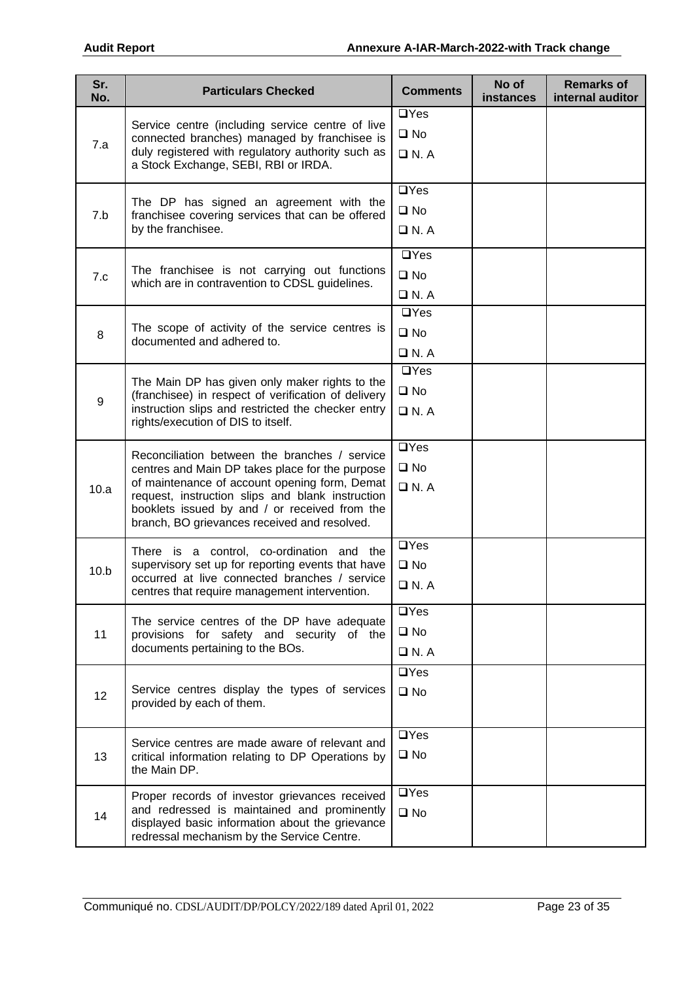| Sr.<br>No. | <b>Particulars Checked</b>                                                                                                                                                                                                                                                                             | <b>Comments</b>                           | No of<br>instances | <b>Remarks of</b><br>internal auditor |
|------------|--------------------------------------------------------------------------------------------------------------------------------------------------------------------------------------------------------------------------------------------------------------------------------------------------------|-------------------------------------------|--------------------|---------------------------------------|
| 7.a        | Service centre (including service centre of live<br>connected branches) managed by franchisee is<br>duly registered with regulatory authority such as<br>a Stock Exchange, SEBI, RBI or IRDA.                                                                                                          | $\Box$ Yes<br>$\square$ No<br>$\Box$ N.A  |                    |                                       |
| 7.b        | The DP has signed an agreement with the<br>franchisee covering services that can be offered<br>by the franchisee.                                                                                                                                                                                      | $\Box$ Yes<br>$\square$ No<br>$\Box$ N. A |                    |                                       |
| 7.c        | The franchisee is not carrying out functions<br>which are in contravention to CDSL guidelines.                                                                                                                                                                                                         | $\Box$ Yes<br>$\square$ No<br>$\Box$ N. A |                    |                                       |
| 8          | The scope of activity of the service centres is<br>documented and adhered to.                                                                                                                                                                                                                          | $\Box$ Yes<br>$\square$ No<br>$\Box$ N.A  |                    |                                       |
| $9\,$      | The Main DP has given only maker rights to the<br>(franchisee) in respect of verification of delivery<br>instruction slips and restricted the checker entry<br>rights/execution of DIS to itself.                                                                                                      | $\Box$ Yes<br>$\square$ No<br>$\Box$ N. A |                    |                                       |
| 10.a       | Reconciliation between the branches / service<br>centres and Main DP takes place for the purpose<br>of maintenance of account opening form, Demat<br>request, instruction slips and blank instruction<br>booklets issued by and / or received from the<br>branch, BO grievances received and resolved. | $\Box$ Yes<br>$\square$ No<br>$\Box$ N.A  |                    |                                       |
| 10.b       | There is a control, co-ordination and the<br>supervisory set up for reporting events that have<br>occurred at live connected branches / service<br>centres that require management intervention.                                                                                                       | $\Box$ Yes<br>$\square$ No<br>$\Box$ N. A |                    |                                       |
| 11         | The service centres of the DP have adequate<br>provisions for safety and security of the<br>documents pertaining to the BOs.                                                                                                                                                                           | $\Box$ Yes<br>$\square$ No<br>$\Box$ N.A  |                    |                                       |
| 12         | Service centres display the types of services<br>provided by each of them.                                                                                                                                                                                                                             | $\Box$ Yes<br>$\square$ No                |                    |                                       |
| 13         | Service centres are made aware of relevant and<br>critical information relating to DP Operations by<br>the Main DP.                                                                                                                                                                                    | $\Box$ Yes<br>$\square$ No                |                    |                                       |
| 14         | Proper records of investor grievances received<br>and redressed is maintained and prominently<br>displayed basic information about the grievance<br>redressal mechanism by the Service Centre.                                                                                                         | $\Box$ Yes<br>$\square$ No                |                    |                                       |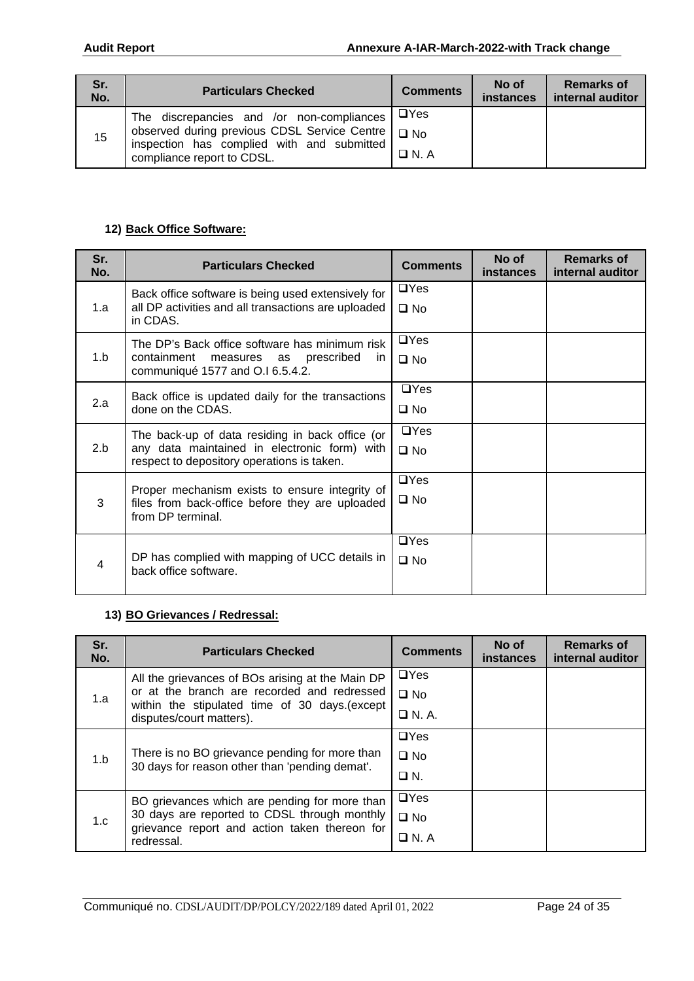| Sr.<br>No. | <b>Particulars Checked</b>                                                                        | <b>Comments</b> | No of<br><b>instances</b> | <b>Remarks of</b><br>internal auditor |
|------------|---------------------------------------------------------------------------------------------------|-----------------|---------------------------|---------------------------------------|
|            | The discrepancies and /or non-compliances                                                         | I □Yes          |                           |                                       |
| 15         | observed during previous CDSL Service Centre   O No<br>inspection has complied with and submitted |                 |                           |                                       |
|            | compliance report to CDSL.                                                                        | $\Box$ N. A     |                           |                                       |

### **12) Back Office Software:**

| Sr.<br>No. | <b>Particulars Checked</b>                                                                                | <b>Comments</b>            | No of<br><b>instances</b> | <b>Remarks of</b><br>internal auditor |
|------------|-----------------------------------------------------------------------------------------------------------|----------------------------|---------------------------|---------------------------------------|
| 1.a        | Back office software is being used extensively for<br>all DP activities and all transactions are uploaded | $\Box$ Yes<br>$\square$ No |                           |                                       |
|            | in CDAS.                                                                                                  |                            |                           |                                       |
|            | The DP's Back office software has minimum risk                                                            | $\Box$ Yes                 |                           |                                       |
| 1.b        | containment<br>measures as prescribed<br>in.<br>communiqué 1577 and O.I 6.5.4.2.                          | $\square$ No               |                           |                                       |
|            | Back office is updated daily for the transactions                                                         | $\Box$ Yes                 |                           |                                       |
| 2.a        | done on the CDAS.                                                                                         | $\square$ No               |                           |                                       |
|            | The back-up of data residing in back office (or                                                           | $\Box$ Yes                 |                           |                                       |
| 2.b        | any data maintained in electronic form) with<br>respect to depository operations is taken.                | $\square$ No               |                           |                                       |
|            | Proper mechanism exists to ensure integrity of                                                            | $\Box$ Yes                 |                           |                                       |
| 3          | files from back-office before they are uploaded<br>from DP terminal.                                      | $\square$ No               |                           |                                       |
|            |                                                                                                           | $\Box$ Yes                 |                           |                                       |
| 4          | DP has complied with mapping of UCC details in<br>back office software.                                   | $\square$ No               |                           |                                       |

## **13) BO Grievances / Redressal:**

| Sr.<br>No. | <b>Particulars Checked</b>                                                                                                                                                    | <b>Comments</b>                           | No of<br><b>instances</b> | <b>Remarks of</b><br>internal auditor |
|------------|-------------------------------------------------------------------------------------------------------------------------------------------------------------------------------|-------------------------------------------|---------------------------|---------------------------------------|
| 1.a        | All the grievances of BOs arising at the Main DP<br>or at the branch are recorded and redressed<br>within the stipulated time of 30 days. (except<br>disputes/court matters). | $\Box$ Yes<br>$\square$ No<br>$\Box$ N.A. |                           |                                       |
| 1.b        | There is no BO grievance pending for more than<br>30 days for reason other than 'pending demat'.                                                                              | $\Box$ Yes<br>$\square$ No<br>$\Box N$ .  |                           |                                       |
| 1.c        | BO grievances which are pending for more than<br>30 days are reported to CDSL through monthly<br>grievance report and action taken thereon for<br>redressal.                  | $\Box$ Yes<br>$\square$ No<br>$\Box$ N. A |                           |                                       |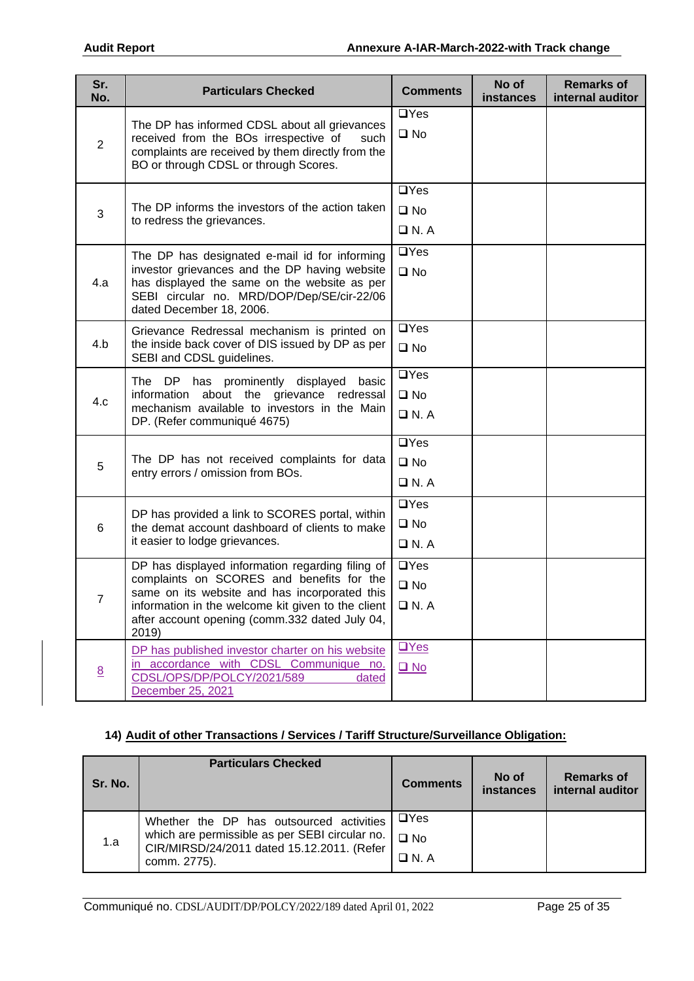| Sr.<br>No.     | <b>Particulars Checked</b>                                                                                                                                                                                                                                      | <b>Comments</b>                                  | No of<br>instances | <b>Remarks of</b><br>internal auditor |
|----------------|-----------------------------------------------------------------------------------------------------------------------------------------------------------------------------------------------------------------------------------------------------------------|--------------------------------------------------|--------------------|---------------------------------------|
| $\overline{2}$ | The DP has informed CDSL about all grievances<br>received from the BOs irrespective of<br>such<br>complaints are received by them directly from the<br>BO or through CDSL or through Scores.                                                                    | $\Box$ Yes<br>$\square$ No                       |                    |                                       |
| 3              | The DP informs the investors of the action taken<br>to redress the grievances.                                                                                                                                                                                  | $\Box$ Yes<br>$\square$ No<br>$\Box$ N.A         |                    |                                       |
| 4.a            | The DP has designated e-mail id for informing<br>investor grievances and the DP having website<br>has displayed the same on the website as per<br>SEBI circular no. MRD/DOP/Dep/SE/cir-22/06<br>dated December 18, 2006.                                        | $\Box$ Yes<br>$\square$ No                       |                    |                                       |
| 4.b            | Grievance Redressal mechanism is printed on<br>the inside back cover of DIS issued by DP as per<br>SEBI and CDSL guidelines.                                                                                                                                    | $\Box$ Yes<br>$\square$ No                       |                    |                                       |
| 4.c            | The DP has prominently displayed basic<br>information about the grievance redressal<br>mechanism available to investors in the Main<br>DP. (Refer communiqué 4675)                                                                                              | $\overline{UY}$ es<br>$\square$ No<br>$\Box$ N.A |                    |                                       |
| 5              | The DP has not received complaints for data<br>entry errors / omission from BOs.                                                                                                                                                                                | $\Box$ Yes<br>$\square$ No<br>$\Box$ N.A         |                    |                                       |
| 6              | DP has provided a link to SCORES portal, within<br>the demat account dashboard of clients to make<br>it easier to lodge grievances.                                                                                                                             | $\Box$ Yes<br>$\square$ No<br>$\Box$ N. A        |                    |                                       |
| ſ              | DP has displayed information regarding filing of<br>complaints on SCORES and benefits for the<br>same on its website and has incorporated this<br>information in the welcome kit given to the client<br>after account opening (comm.332 dated July 04,<br>2019) | $\Box$ Yes<br>$\square$ No<br>$\Box$ N. A        |                    |                                       |
| 8              | DP has published investor charter on his website<br>accordance with CDSL Communique no.<br>$\mathsf{in}$<br>CDSL/OPS/DP/POLCY/2021/589<br>dated<br>December 25, 2021                                                                                            | $\Box$ Yes<br>$\square$ No                       |                    |                                       |

# **14) Audit of other Transactions / Services / Tariff Structure/Surveillance Obligation:**

| Sr. No. | <b>Particulars Checked</b>                                                                                                                               | <b>Comments</b>                        | No of<br>instances | <b>Remarks of</b><br>internal auditor |
|---------|----------------------------------------------------------------------------------------------------------------------------------------------------------|----------------------------------------|--------------------|---------------------------------------|
| 1.a     | Whether the DP has outsourced activities<br>which are permissible as per SEBI circular no.<br>CIR/MIRSD/24/2011 dated 15.12.2011. (Refer<br>comm. 2775). | $\Box$ Yes<br>$\Box$ No<br>$\Box$ N. A |                    |                                       |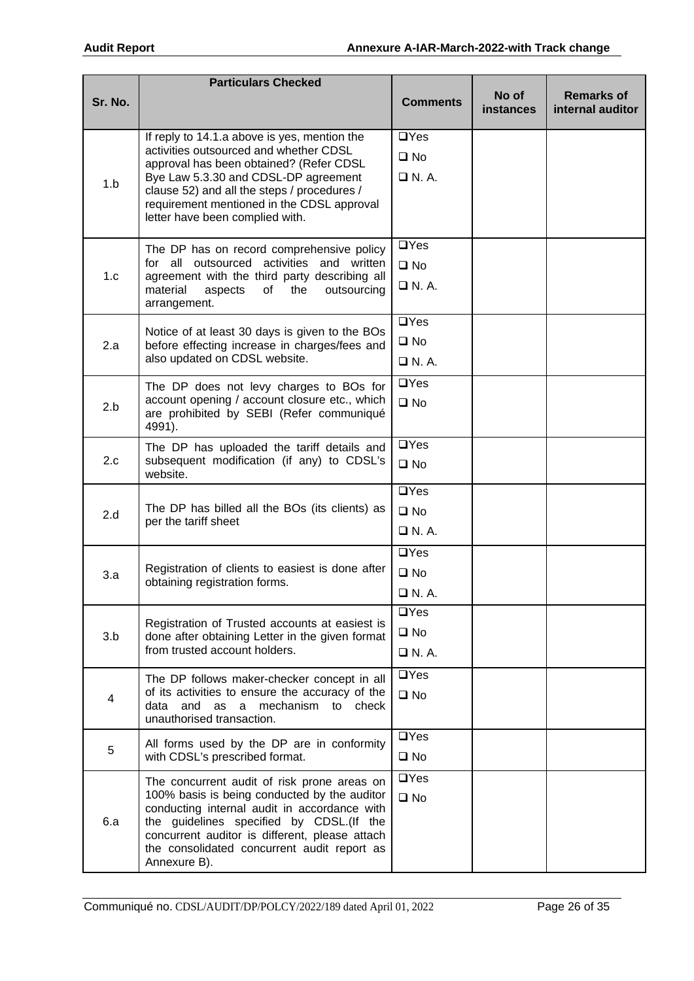|         | <b>Particulars Checked</b>                                                                     |                            |                    |                                       |
|---------|------------------------------------------------------------------------------------------------|----------------------------|--------------------|---------------------------------------|
| Sr. No. |                                                                                                | <b>Comments</b>            | No of<br>instances | <b>Remarks of</b><br>internal auditor |
|         | If reply to 14.1.a above is yes, mention the                                                   | $\Box$ Yes                 |                    |                                       |
|         | activities outsourced and whether CDSL<br>approval has been obtained? (Refer CDSL              | $\square$ No               |                    |                                       |
| 1.b     | Bye Law 5.3.30 and CDSL-DP agreement                                                           | $\Box$ N.A.                |                    |                                       |
|         | clause 52) and all the steps / procedures /<br>requirement mentioned in the CDSL approval      |                            |                    |                                       |
|         | letter have been complied with.                                                                |                            |                    |                                       |
|         | The DP has on record comprehensive policy                                                      | $\Box$ Yes                 |                    |                                       |
| 1.c     | for all outsourced activities and written<br>agreement with the third party describing all     | $\square$ No               |                    |                                       |
|         | material<br>aspects<br>the<br>of<br>outsourcing<br>arrangement.                                | $\Box$ N. A.               |                    |                                       |
|         | Notice of at least 30 days is given to the BOs                                                 | $\Box$ Yes                 |                    |                                       |
| 2.a     | before effecting increase in charges/fees and                                                  | $\square$ No               |                    |                                       |
|         | also updated on CDSL website.                                                                  | $\Box$ N.A.                |                    |                                       |
|         | The DP does not levy charges to BOs for                                                        | $\Box$ Yes                 |                    |                                       |
| 2.b     | account opening / account closure etc., which<br>are prohibited by SEBI (Refer communiqué      | $\square$ No               |                    |                                       |
|         | 4991).                                                                                         |                            |                    |                                       |
|         | The DP has uploaded the tariff details and                                                     | $\Box$ Yes                 |                    |                                       |
| 2.c     | subsequent modification (if any) to CDSL's<br>website.                                         | $\square$ No               |                    |                                       |
|         | The DP has billed all the BOs (its clients) as<br>per the tariff sheet                         | $\Box$ Yes                 |                    |                                       |
| 2.d     |                                                                                                | $\square$ No               |                    |                                       |
|         |                                                                                                | $\Box$ N.A.                |                    |                                       |
|         | Registration of clients to easiest is done after                                               | $\Box$ Yes                 |                    |                                       |
| 3.a     | obtaining registration forms.                                                                  | $\square$ No               |                    |                                       |
|         |                                                                                                | $\Box$ N. A                |                    |                                       |
|         | Registration of Trusted accounts at easiest is                                                 | $\Box$ Yes<br>$\square$ No |                    |                                       |
| 3.b     | done after obtaining Letter in the given format<br>from trusted account holders.               | $\Box$ N. A.               |                    |                                       |
|         |                                                                                                | $\Box$ Yes                 |                    |                                       |
|         | The DP follows maker-checker concept in all<br>of its activities to ensure the accuracy of the | $\square$ No               |                    |                                       |
| 4       | and as a mechanism to check<br>data<br>unauthorised transaction.                               |                            |                    |                                       |
|         | All forms used by the DP are in conformity                                                     | $\Box$ Yes                 |                    |                                       |
| 5       | with CDSL's prescribed format.                                                                 | $\square$ No               |                    |                                       |
|         | The concurrent audit of risk prone areas on                                                    | $\Box$ Yes                 |                    |                                       |
|         | 100% basis is being conducted by the auditor<br>conducting internal audit in accordance with   | $\square$ No               |                    |                                       |
| 6.a     | the guidelines specified by CDSL.(If the<br>concurrent auditor is different, please attach     |                            |                    |                                       |
|         | the consolidated concurrent audit report as                                                    |                            |                    |                                       |
|         | Annexure B).                                                                                   |                            |                    |                                       |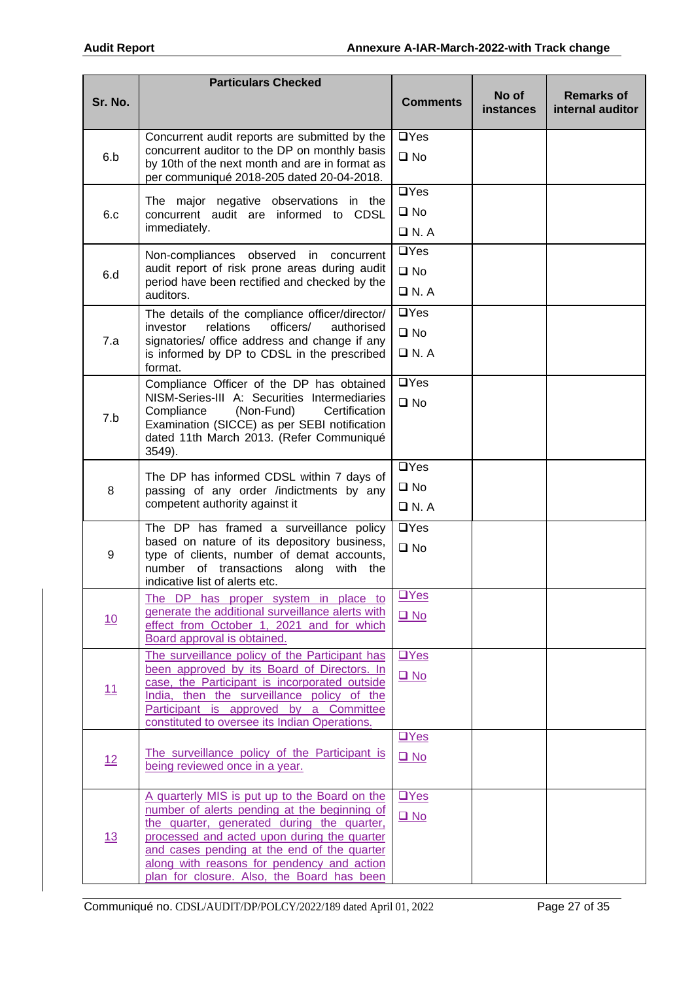|           | <b>Particulars Checked</b>                                                                                                                   |                           |                           |                                       |
|-----------|----------------------------------------------------------------------------------------------------------------------------------------------|---------------------------|---------------------------|---------------------------------------|
| Sr. No.   |                                                                                                                                              | <b>Comments</b>           | No of<br><b>instances</b> | <b>Remarks of</b><br>internal auditor |
|           | Concurrent audit reports are submitted by the                                                                                                | $\Box$ Yes                |                           |                                       |
| 6.b       | concurrent auditor to the DP on monthly basis<br>by 10th of the next month and are in format as<br>per communiqué 2018-205 dated 20-04-2018. | $\square$ No              |                           |                                       |
|           | The major negative observations in the                                                                                                       | $\Box$ Yes                |                           |                                       |
| 6.c       | concurrent audit are informed to CDSL                                                                                                        | $\square$ No              |                           |                                       |
|           | immediately.                                                                                                                                 | $\Box$ N.A                |                           |                                       |
|           | Non-compliances observed in concurrent                                                                                                       | $\Box$ Yes                |                           |                                       |
| 6.d       | audit report of risk prone areas during audit<br>period have been rectified and checked by the                                               | $\square$ No              |                           |                                       |
|           | auditors.                                                                                                                                    | $\Box$ N. A               |                           |                                       |
|           | The details of the compliance officer/director/                                                                                              | $\Box$ Yes                |                           |                                       |
| 7.a       | relations<br>officers/<br>investor<br>authorised<br>signatories/ office address and change if any                                            | $\square$ No              |                           |                                       |
|           | is informed by DP to CDSL in the prescribed<br>format.                                                                                       | $\Box$ N. A               |                           |                                       |
|           | Compliance Officer of the DP has obtained                                                                                                    | $\Box$ Yes                |                           |                                       |
|           | NISM-Series-III A: Securities Intermediaries<br>Compliance<br>(Non-Fund)<br>Certification                                                    | $\square$ No              |                           |                                       |
| 7.b       | Examination (SICCE) as per SEBI notification                                                                                                 |                           |                           |                                       |
|           | dated 11th March 2013. (Refer Communiqué<br>3549).                                                                                           |                           |                           |                                       |
|           |                                                                                                                                              | $\Box$ Yes                |                           |                                       |
| 8         | The DP has informed CDSL within 7 days of<br>passing of any order /indictments by any                                                        | $\square$ No              |                           |                                       |
|           | competent authority against it                                                                                                               | $\Box$ N. A               |                           |                                       |
|           | The DP has framed a surveillance policy                                                                                                      | $\Box$ Yes                |                           |                                       |
| 9         | based on nature of its depository business,<br>type of clients, number of demat accounts,                                                    | $\square$ No              |                           |                                       |
|           | number of transactions along<br>with the                                                                                                     |                           |                           |                                       |
|           | indicative list of alerts etc.                                                                                                               | $\underline{\square Yes}$ |                           |                                       |
|           | The DP has proper system in place to<br>generate the additional surveillance alerts with                                                     |                           |                           |                                       |
| <u>10</u> | effect from October 1, 2021 and for which                                                                                                    | $\Box$ No                 |                           |                                       |
|           | Board approval is obtained.                                                                                                                  |                           |                           |                                       |
|           | The surveillance policy of the Participant has<br>been approved by its Board of Directors. In                                                | $\Box$ Yes                |                           |                                       |
| 11        | case, the Participant is incorporated outside                                                                                                | $\Box$ No                 |                           |                                       |
|           | India, then the surveillance policy of the<br>Participant is approved by a Committee                                                         |                           |                           |                                       |
|           | constituted to oversee its Indian Operations.                                                                                                |                           |                           |                                       |
|           | The surveillance policy of the Participant is                                                                                                | $TVes$                    |                           |                                       |
| 12        | being reviewed once in a year.                                                                                                               | $\square$ No              |                           |                                       |
|           |                                                                                                                                              |                           |                           |                                       |
|           | A quarterly MIS is put up to the Board on the<br>number of alerts pending at the beginning of                                                | $\Box$ Yes                |                           |                                       |
|           | the quarter, generated during the quarter,                                                                                                   | $\Box$ No                 |                           |                                       |
| 13        | processed and acted upon during the quarter<br>and cases pending at the end of the quarter                                                   |                           |                           |                                       |
|           | along with reasons for pendency and action                                                                                                   |                           |                           |                                       |
|           | plan for closure. Also, the Board has been                                                                                                   |                           |                           |                                       |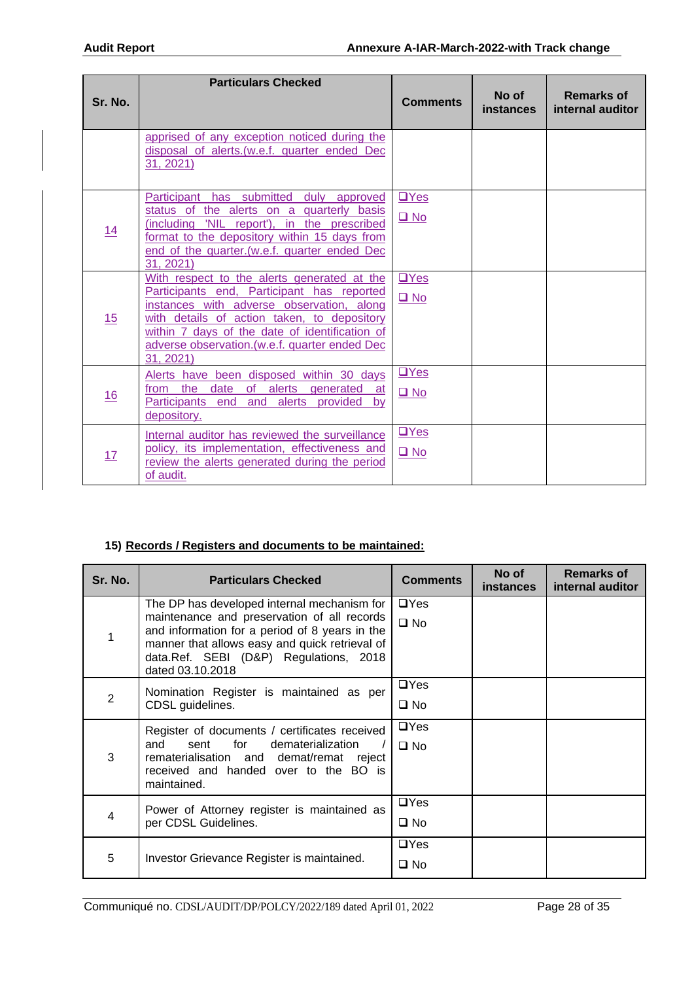| Sr. No.   | <b>Particulars Checked</b>                                                                                                                                                                                                                                                                             | <b>Comments</b>                  | No of<br><b>instances</b> | <b>Remarks of</b><br>internal auditor |
|-----------|--------------------------------------------------------------------------------------------------------------------------------------------------------------------------------------------------------------------------------------------------------------------------------------------------------|----------------------------------|---------------------------|---------------------------------------|
|           | apprised of any exception noticed during the<br>disposal of alerts. (w.e.f. quarter ended Dec<br><u>31, 2021)</u>                                                                                                                                                                                      |                                  |                           |                                       |
| <u>14</u> | Participant has submitted<br>duly approved<br>status of the alerts on a quarterly basis<br>(including 'NIL report'), in the prescribed<br>format to the depository within 15 days from<br>end of the quarter. (w.e.f. quarter ended Dec<br>31, 2021)                                                   | $TVes$<br>$\Box$ No              |                           |                                       |
| 15        | With respect to the alerts generated at the<br>Participants end, Participant has reported<br>instances with adverse observation, along<br>with details of action taken, to depository<br>within 7 days of the date of identification of<br>adverse observation. (w.e.f. quarter ended Dec<br>31, 2021) | $TVes$<br>$\Box$ No              |                           |                                       |
| <u>16</u> | Alerts have been disposed within 30 days<br>of alerts generated<br>from the<br>date<br>at<br>Participants end and alerts provided<br>bv<br>depository.                                                                                                                                                 | $\mathbf{L}$ Yes<br>$\square$ No |                           |                                       |
| 17        | Internal auditor has reviewed the surveillance<br>policy, its implementation, effectiveness and<br>review the alerts generated during the period<br>of audit.                                                                                                                                          | $\square$ Yes<br>$\Box$ No       |                           |                                       |

# **15) Records / Registers and documents to be maintained:**

| Sr. No. | <b>Particulars Checked</b>                                                                                                                                                                                                                                   | <b>Comments</b>            | No of<br><b>instances</b> | <b>Remarks of</b><br>internal auditor |
|---------|--------------------------------------------------------------------------------------------------------------------------------------------------------------------------------------------------------------------------------------------------------------|----------------------------|---------------------------|---------------------------------------|
|         | The DP has developed internal mechanism for<br>maintenance and preservation of all records<br>and information for a period of 8 years in the<br>manner that allows easy and quick retrieval of<br>data.Ref. SEBI (D&P) Regulations, 2018<br>dated 03.10.2018 | $\Box$ Yes<br>$\square$ No |                           |                                       |
| 2       | Nomination Register is maintained as per<br>CDSL guidelines.                                                                                                                                                                                                 | $\Box$ Yes<br>$\square$ No |                           |                                       |
| 3       | Register of documents / certificates received<br>dematerialization<br>for<br>and<br>sent<br>rematerialisation and demat/remat reject<br>received and handed over to the BO is<br>maintained.                                                                 | $\Box$ Yes<br>$\Box$ No    |                           |                                       |
| 4       | Power of Attorney register is maintained as<br>per CDSL Guidelines.                                                                                                                                                                                          | $\Box$ Yes<br>$\square$ No |                           |                                       |
| 5       | Investor Grievance Register is maintained.                                                                                                                                                                                                                   | $\Box$ Yes<br>$\square$ No |                           |                                       |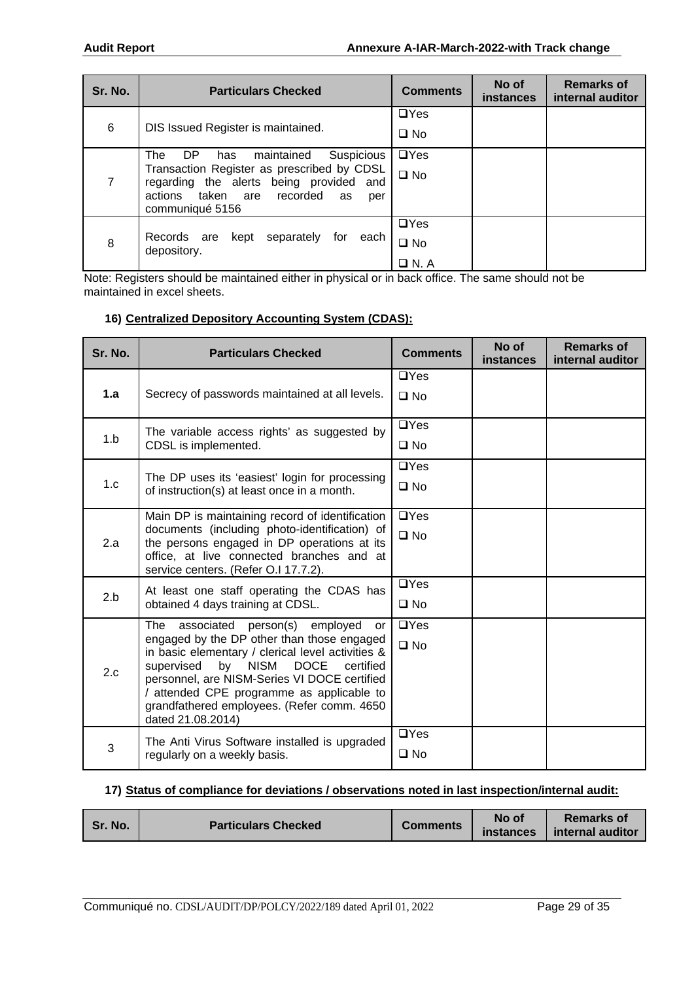| Sr. No.        | <b>Particulars Checked</b>                                                            | <b>Comments</b> | No of<br><b>instances</b> | <b>Remarks of</b><br>internal auditor |
|----------------|---------------------------------------------------------------------------------------|-----------------|---------------------------|---------------------------------------|
|                |                                                                                       | $\Box$ Yes      |                           |                                       |
| 6              | DIS Issued Register is maintained.                                                    | $\square$ No    |                           |                                       |
|                | Suspicious<br>The<br>DP.<br>maintained<br>has                                         | $\Box$ Yes      |                           |                                       |
| $\overline{7}$ | Transaction Register as prescribed by CDSL<br>regarding the alerts being provided and | $\square$ No    |                           |                                       |
|                | actions taken are recorded<br>as<br>per                                               |                 |                           |                                       |
|                | communiqué 5156                                                                       |                 |                           |                                       |
|                |                                                                                       | $\Box$ Yes      |                           |                                       |
| 8              | separately<br>Records are<br>kept<br>for<br>each<br>depository.                       | $\square$ No    |                           |                                       |
|                |                                                                                       | $\Box$ N. A     |                           |                                       |

Note: Registers should be maintained either in physical or in back office. The same should not be maintained in excel sheets.

#### **16) Centralized Depository Accounting System (CDAS):**

| Sr. No. | <b>Particulars Checked</b>                                                                       | <b>Comments</b> | No of<br>instances | <b>Remarks of</b><br>internal auditor |
|---------|--------------------------------------------------------------------------------------------------|-----------------|--------------------|---------------------------------------|
|         |                                                                                                  | $\Box$ Yes      |                    |                                       |
| 1.a     | Secrecy of passwords maintained at all levels.                                                   | $\square$ No    |                    |                                       |
|         | The variable access rights' as suggested by                                                      | $\Box$ Yes      |                    |                                       |
| 1.b     | CDSL is implemented.                                                                             | $\square$ No    |                    |                                       |
|         | The DP uses its 'easiest' login for processing                                                   | $\Box$ Yes      |                    |                                       |
| 1.c     | of instruction(s) at least once in a month.                                                      | $\square$ No    |                    |                                       |
|         | Main DP is maintaining record of identification<br>documents (including photo-identification) of | $\Box$ Yes      |                    |                                       |
| 2.a     | the persons engaged in DP operations at its<br>office, at live connected branches and at         | $\square$ No    |                    |                                       |
|         | service centers. (Refer O.I 17.7.2).                                                             |                 |                    |                                       |
| 2.b     | At least one staff operating the CDAS has                                                        | $\Box$ Yes      |                    |                                       |
|         | obtained 4 days training at CDSL.                                                                | $\square$ No    |                    |                                       |
|         | The<br>associated<br>person(s)<br>employed<br>or<br>engaged by the DP other than those engaged   | $\Box$ Yes      |                    |                                       |
|         | in basic elementary / clerical level activities &<br>by NISM DOCE<br>supervised<br>certified     | $\square$ No    |                    |                                       |
| 2.c     | personnel, are NISM-Series VI DOCE certified<br>/ attended CPE programme as applicable to        |                 |                    |                                       |
|         | grandfathered employees. (Refer comm. 4650<br>dated 21.08.2014)                                  |                 |                    |                                       |
|         | The Anti Virus Software installed is upgraded                                                    | $\Box$ Yes      |                    |                                       |
| 3       | regularly on a weekly basis.                                                                     | $\square$ No    |                    |                                       |

#### **17) Status of compliance for deviations / observations noted in last inspection/internal audit:**

| Sr. No.                    | <b>Comments</b> | No of     | <b>Remarks of</b> |
|----------------------------|-----------------|-----------|-------------------|
| <b>Particulars Checked</b> |                 | instances | internal auditor  |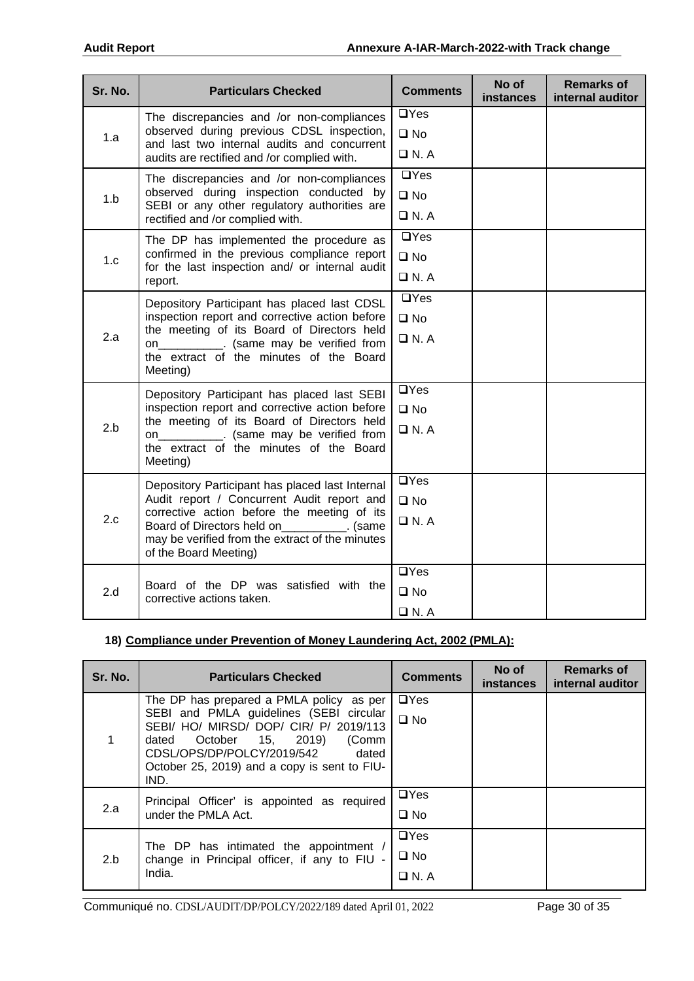| Sr. No. | <b>Particulars Checked</b>                                                                    | <b>Comments</b> | No of<br>instances | <b>Remarks of</b><br>internal auditor |
|---------|-----------------------------------------------------------------------------------------------|-----------------|--------------------|---------------------------------------|
|         | The discrepancies and /or non-compliances                                                     | $\Box$ Yes      |                    |                                       |
| 1.a     | observed during previous CDSL inspection,<br>and last two internal audits and concurrent      | $\square$ No    |                    |                                       |
|         | audits are rectified and /or complied with.                                                   | $\Box$ N.A      |                    |                                       |
|         | The discrepancies and /or non-compliances                                                     | $\Box$ Yes      |                    |                                       |
| 1.b     | observed during inspection conducted by<br>SEBI or any other regulatory authorities are       | $\square$ No    |                    |                                       |
|         | rectified and /or complied with.                                                              | $\Box$ N.A      |                    |                                       |
|         | The DP has implemented the procedure as                                                       | $\Box$ Yes      |                    |                                       |
| 1.c     | confirmed in the previous compliance report<br>for the last inspection and/ or internal audit | $\square$ No    |                    |                                       |
|         | report.                                                                                       | $\Box$ N.A      |                    |                                       |
|         | Depository Participant has placed last CDSL<br>inspection report and corrective action before | $\Box$ Yes      |                    |                                       |
|         |                                                                                               | $\square$ No    |                    |                                       |
| 2.a     | the meeting of its Board of Directors held<br>on____________. (same may be verified from      | $\Box$ N. A     |                    |                                       |
|         | the extract of the minutes of the Board<br>Meeting)                                           |                 |                    |                                       |
|         | Depository Participant has placed last SEBI                                                   | $\Box$ Yes      |                    |                                       |
|         | inspection report and corrective action before<br>the meeting of its Board of Directors held  | $\square$ No    |                    |                                       |
| 2.b     | on____________. (same may be verified from                                                    | $\Box$ N. A     |                    |                                       |
|         | the extract of the minutes of the Board<br>Meeting)                                           |                 |                    |                                       |
|         |                                                                                               | $\Box$ Yes      |                    |                                       |
|         | Depository Participant has placed last Internal<br>Audit report / Concurrent Audit report and | $\square$ No    |                    |                                       |
| 2.c     | corrective action before the meeting of its                                                   | $\Box$ N.A      |                    |                                       |
|         | Board of Directors held on [100]. (same<br>may be verified from the extract of the minutes    |                 |                    |                                       |
|         | of the Board Meeting)                                                                         |                 |                    |                                       |
|         |                                                                                               | $\Box$ Yes      |                    |                                       |
| 2.d     | Board of the DP was satisfied with the<br>corrective actions taken.                           | $\square$ No    |                    |                                       |
|         |                                                                                               | $\Box$ N. A     |                    |                                       |

# **18) Compliance under Prevention of Money Laundering Act, 2002 (PMLA):**

| Sr. No. | <b>Particulars Checked</b>                                                                                                                                                                                                                                          | <b>Comments</b>                          | No of<br><b>instances</b> | <b>Remarks of</b><br>internal auditor |
|---------|---------------------------------------------------------------------------------------------------------------------------------------------------------------------------------------------------------------------------------------------------------------------|------------------------------------------|---------------------------|---------------------------------------|
| 1       | The DP has prepared a PMLA policy as per<br>SEBI and PMLA guidelines (SEBI circular<br>SEBI/ HO/ MIRSD/ DOP/ CIR/ P/ 2019/113<br>October 15, 2019)<br>(Comm<br>dated<br>CDSL/OPS/DP/POLCY/2019/542<br>dated<br>October 25, 2019) and a copy is sent to FIU-<br>IND. | $\Box$ Yes<br>$\square$ No               |                           |                                       |
| 2.a     | Principal Officer' is appointed as required<br>under the PMLA Act.                                                                                                                                                                                                  | $\Box$ Yes<br>$\square$ No               |                           |                                       |
| 2.b     | The DP has intimated the appointment /<br>change in Principal officer, if any to FIU -<br>India.                                                                                                                                                                    | $\Box$ Yes<br>$\square$ No<br>$\Box$ N.A |                           |                                       |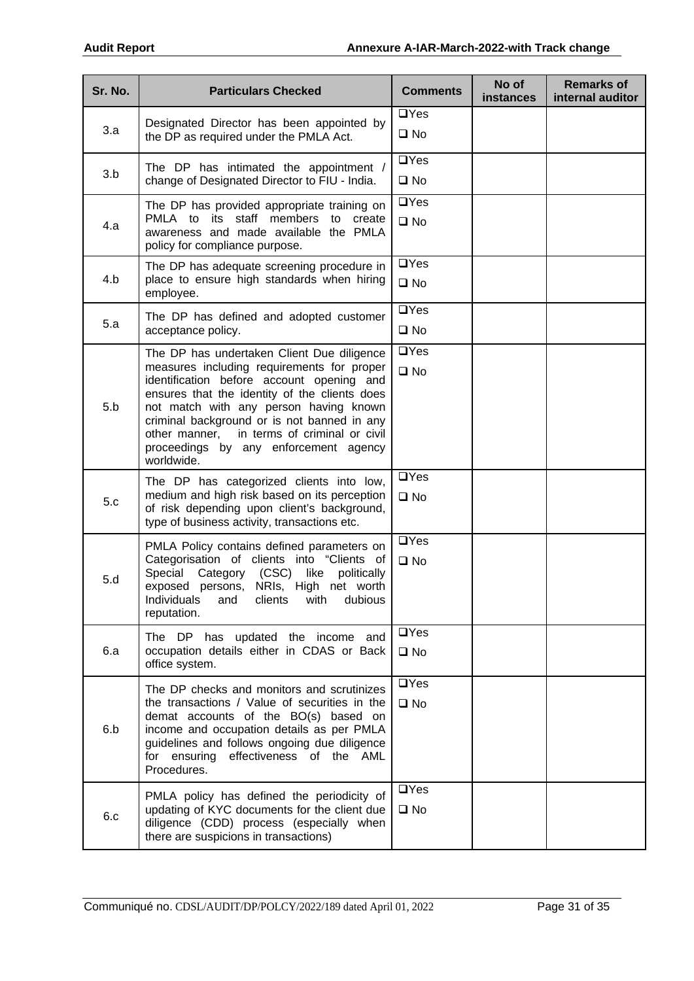| Sr. No. | <b>Particulars Checked</b>                                                                                                                                                                                                                                                                                                                                                               | <b>Comments</b>                    | No of<br><b>instances</b> | <b>Remarks of</b><br>internal auditor |
|---------|------------------------------------------------------------------------------------------------------------------------------------------------------------------------------------------------------------------------------------------------------------------------------------------------------------------------------------------------------------------------------------------|------------------------------------|---------------------------|---------------------------------------|
| 3.a     | Designated Director has been appointed by<br>the DP as required under the PMLA Act.                                                                                                                                                                                                                                                                                                      | $\Box$ Yes<br>$\square$ No         |                           |                                       |
| 3.b     | The DP has intimated the appointment /<br>change of Designated Director to FIU - India.                                                                                                                                                                                                                                                                                                  | $\Box$ Yes<br>$\square$ No         |                           |                                       |
| 4.a     | The DP has provided appropriate training on<br>PMLA to its staff members to create<br>awareness and made available the PMLA<br>policy for compliance purpose.                                                                                                                                                                                                                            | $\Box$ Yes<br>$\square$ No         |                           |                                       |
| 4.b     | The DP has adequate screening procedure in<br>place to ensure high standards when hiring<br>employee.                                                                                                                                                                                                                                                                                    | $\Box$ Yes<br>$\square$ No         |                           |                                       |
| 5.a     | The DP has defined and adopted customer<br>acceptance policy.                                                                                                                                                                                                                                                                                                                            | $\overline{UY}$ es<br>$\square$ No |                           |                                       |
| 5.b     | The DP has undertaken Client Due diligence<br>measures including requirements for proper<br>identification before account opening and<br>ensures that the identity of the clients does<br>not match with any person having known<br>criminal background or is not banned in any<br>in terms of criminal or civil<br>other manner,<br>proceedings by any enforcement agency<br>worldwide. | $\Box$ Yes<br>$\square$ No         |                           |                                       |
| 5.c     | The DP has categorized clients into low,<br>medium and high risk based on its perception<br>of risk depending upon client's background,<br>type of business activity, transactions etc.                                                                                                                                                                                                  | $\Box$ Yes<br>$\square$ No         |                           |                                       |
| 5.d     | PMLA Policy contains defined parameters on<br>Categorisation of clients into "Clients of<br>Special Category (CSC) like<br>politically<br>exposed persons, NRIs, High net worth<br>Individuals<br>and<br>clients<br>with<br>dubious<br>reputation.                                                                                                                                       | $\Box$ Yes<br>$\square$ No         |                           |                                       |
| 6.a     | The DP has updated the income and<br>occupation details either in CDAS or Back<br>office system.                                                                                                                                                                                                                                                                                         | $\Box$ Yes<br>$\square$ No         |                           |                                       |
| 6.b     | The DP checks and monitors and scrutinizes<br>the transactions / Value of securities in the<br>demat accounts of the BO(s) based on<br>income and occupation details as per PMLA<br>guidelines and follows ongoing due diligence<br>for ensuring effectiveness of the AML<br>Procedures.                                                                                                 | $\Box$ Yes<br>$\square$ No         |                           |                                       |
| 6.c     | PMLA policy has defined the periodicity of<br>updating of KYC documents for the client due<br>diligence (CDD) process (especially when<br>there are suspicions in transactions)                                                                                                                                                                                                          | $\Box$ Yes<br>$\square$ No         |                           |                                       |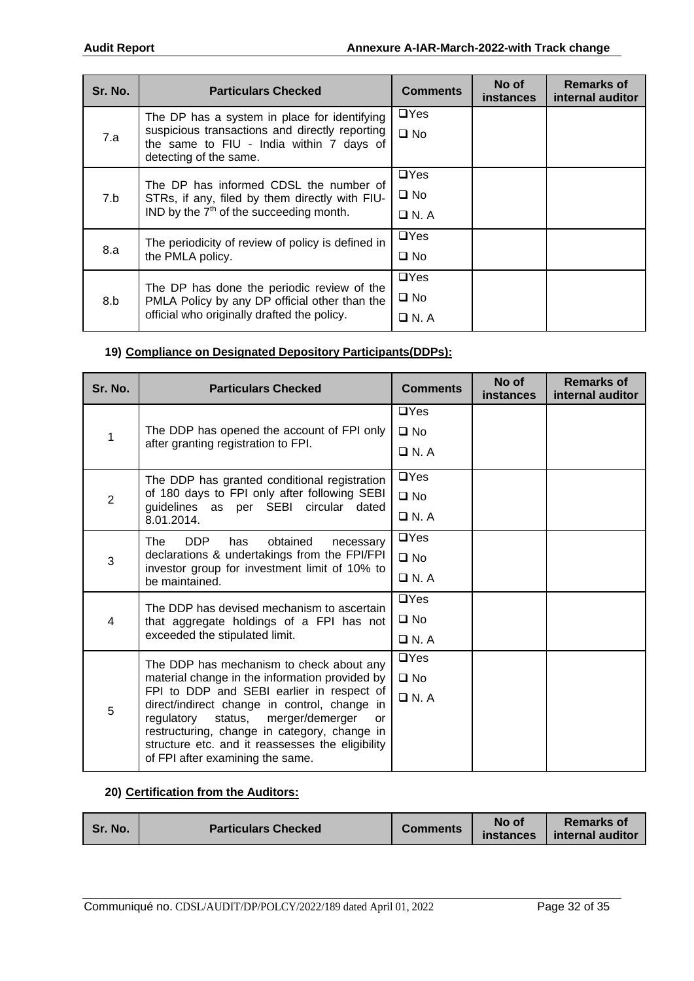| Sr. No. | <b>Particulars Checked</b>                                                                                                                                           | <b>Comments</b>                           | No of<br><b>instances</b> | <b>Remarks of</b><br>internal auditor |
|---------|----------------------------------------------------------------------------------------------------------------------------------------------------------------------|-------------------------------------------|---------------------------|---------------------------------------|
| 7.a     | The DP has a system in place for identifying<br>suspicious transactions and directly reporting<br>the same to FIU - India within 7 days of<br>detecting of the same. | $\Box$ Yes<br>$\square$ No                |                           |                                       |
| 7.b     | The DP has informed CDSL the number of<br>STRs, if any, filed by them directly with FIU-<br>IND by the $7th$ of the succeeding month.                                | $\Box$ Yes<br>$\square$ No<br>$\Box$ N. A |                           |                                       |
| 8.a     | The periodicity of review of policy is defined in<br>the PMLA policy.                                                                                                | $\Box$ Yes<br>$\square$ No                |                           |                                       |
| 8.b     | The DP has done the periodic review of the<br>PMLA Policy by any DP official other than the<br>official who originally drafted the policy.                           | $\Box$ Yes<br>$\square$ No<br>$\Box$ N. A |                           |                                       |

# **19) Compliance on Designated Depository Participants(DDPs):**

| Sr. No.        | <b>Particulars Checked</b>                                                                       | <b>Comments</b> | No of<br><b>instances</b> | <b>Remarks of</b><br>internal auditor |
|----------------|--------------------------------------------------------------------------------------------------|-----------------|---------------------------|---------------------------------------|
|                |                                                                                                  | $\Box$ Yes      |                           |                                       |
| 1              | The DDP has opened the account of FPI only                                                       | $\square$ No    |                           |                                       |
|                | after granting registration to FPI.                                                              | $\Box$ N. A     |                           |                                       |
|                | The DDP has granted conditional registration                                                     | $\Box$ Yes      |                           |                                       |
| $\overline{2}$ | of 180 days to FPI only after following SEBI<br>guidelines as per SEBI circular dated            | $\square$ No    |                           |                                       |
|                | 8.01.2014.                                                                                       | $\Box$ N.A      |                           |                                       |
| 3              | The<br>DDP<br>obtained<br>has<br>necessary                                                       | $\Box$ Yes      |                           |                                       |
|                | declarations & undertakings from the FPI/FPI                                                     | $\square$ No    |                           |                                       |
|                | investor group for investment limit of 10% to<br>be maintained.                                  | $\Box$ N.A      |                           |                                       |
|                | The DDP has devised mechanism to ascertain                                                       | $\Box$ Yes      |                           |                                       |
| 4              | that aggregate holdings of a FPI has not                                                         | $\square$ No    |                           |                                       |
|                | exceeded the stipulated limit.                                                                   | $\Box$ N. A     |                           |                                       |
| 5              | The DDP has mechanism to check about any                                                         | $\Box$ Yes      |                           |                                       |
|                | material change in the information provided by                                                   | $\square$ No    |                           |                                       |
|                | FPI to DDP and SEBI earlier in respect of<br>direct/indirect change in control, change in        | $\Box$ N.A      |                           |                                       |
|                | status, merger/demerger<br>regulatory<br>or                                                      |                 |                           |                                       |
|                | restructuring, change in category, change in<br>structure etc. and it reassesses the eligibility |                 |                           |                                       |
|                | of FPI after examining the same.                                                                 |                 |                           |                                       |

#### **20) Certification from the Auditors:**

| Sr. No.                    | <b>Comments</b> | No of     | <b>Remarks of</b> |
|----------------------------|-----------------|-----------|-------------------|
| <b>Particulars Checked</b> |                 | instances | internal auditor  |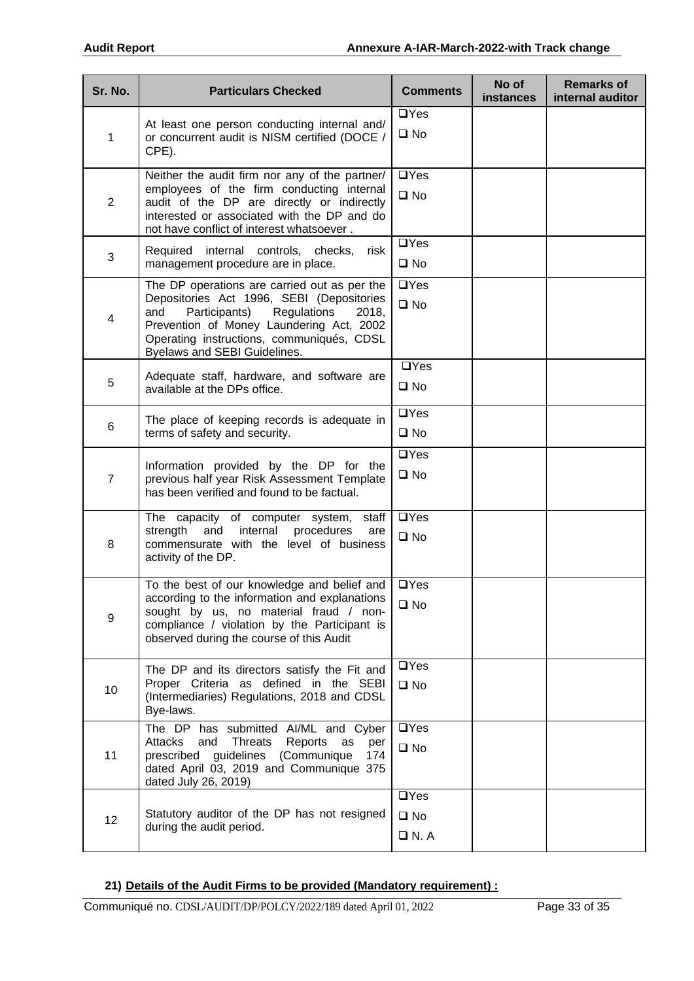| Sr. No.                                                                                                                                                                                                                                                                 | <b>Particulars Checked</b>                                                                                                                                                                                                            | <b>Comments</b>                          | No of<br>instances | <b>Remarks of</b><br>internal auditor |
|-------------------------------------------------------------------------------------------------------------------------------------------------------------------------------------------------------------------------------------------------------------------------|---------------------------------------------------------------------------------------------------------------------------------------------------------------------------------------------------------------------------------------|------------------------------------------|--------------------|---------------------------------------|
| 1                                                                                                                                                                                                                                                                       | At least one person conducting internal and/<br>or concurrent audit is NISM certified (DOCE /<br>CPE).                                                                                                                                | $\Box$ Yes<br>$\square$ No               |                    |                                       |
| $\overline{2}$                                                                                                                                                                                                                                                          | Neither the audit firm nor any of the partner/<br>employees of the firm conducting internal<br>audit of the DP are directly or indirectly<br>interested or associated with the DP and do<br>not have conflict of interest whatsoever. |                                          |                    |                                       |
| 3                                                                                                                                                                                                                                                                       | Required internal controls, checks,<br>risk<br>management procedure are in place.                                                                                                                                                     | $\Box$ Yes<br>$\square$ No               |                    |                                       |
| The DP operations are carried out as per the<br>Depositories Act 1996, SEBI (Depositories<br>Participants)<br>Regulations<br>and<br>2018,<br>4<br>Prevention of Money Laundering Act, 2002<br>Operating instructions, communiqués, CDSL<br>Byelaws and SEBI Guidelines. |                                                                                                                                                                                                                                       | $\Box$ Yes<br>$\square$ No               |                    |                                       |
| 5                                                                                                                                                                                                                                                                       | Adequate staff, hardware, and software are<br>available at the DPs office.                                                                                                                                                            | $\Box$ Yes<br>$\square$ No               |                    |                                       |
| 6                                                                                                                                                                                                                                                                       | The place of keeping records is adequate in<br>terms of safety and security.                                                                                                                                                          | $\Box$ Yes<br>$\square$ No               |                    |                                       |
| $\overline{7}$                                                                                                                                                                                                                                                          | Information provided by the DP for the<br>previous half year Risk Assessment Template<br>has been verified and found to be factual.                                                                                                   | $\Box$ Yes<br>$\square$ No               |                    |                                       |
| 8                                                                                                                                                                                                                                                                       | The capacity of computer system, staff<br>strength<br>and<br>internal<br>procedures<br>are<br>commensurate with the level of business<br>activity of the DP.                                                                          | $\Box$ Yes<br>$\square$ No               |                    |                                       |
| 9                                                                                                                                                                                                                                                                       | To the best of our knowledge and belief and<br>according to the information and explanations<br>sought by us, no material fraud / non-<br>compliance / violation by the Participant is<br>observed during the course of this Audit    | $\Box$ Yes<br>$\square$ No               |                    |                                       |
| 10                                                                                                                                                                                                                                                                      | The DP and its directors satisfy the Fit and<br>Proper Criteria as defined in the SEBI<br>(Intermediaries) Regulations, 2018 and CDSL<br>Bye-laws.                                                                                    |                                          |                    |                                       |
| 11                                                                                                                                                                                                                                                                      | The DP has submitted AI/ML and Cyber<br>Attacks<br>and<br>Threats<br>Reports<br>as<br>per<br>prescribed guidelines (Communique<br>174<br>dated April 03, 2019 and Communique 375<br>dated July 26, 2019)                              | $\Box$ Yes<br>$\square$ No<br>$\Box$ Yes |                    |                                       |
| 12                                                                                                                                                                                                                                                                      | Statutory auditor of the DP has not resigned<br>during the audit period.                                                                                                                                                              |                                          |                    |                                       |

#### **21) Details of the Audit Firms to be provided (Mandatory requirement) :**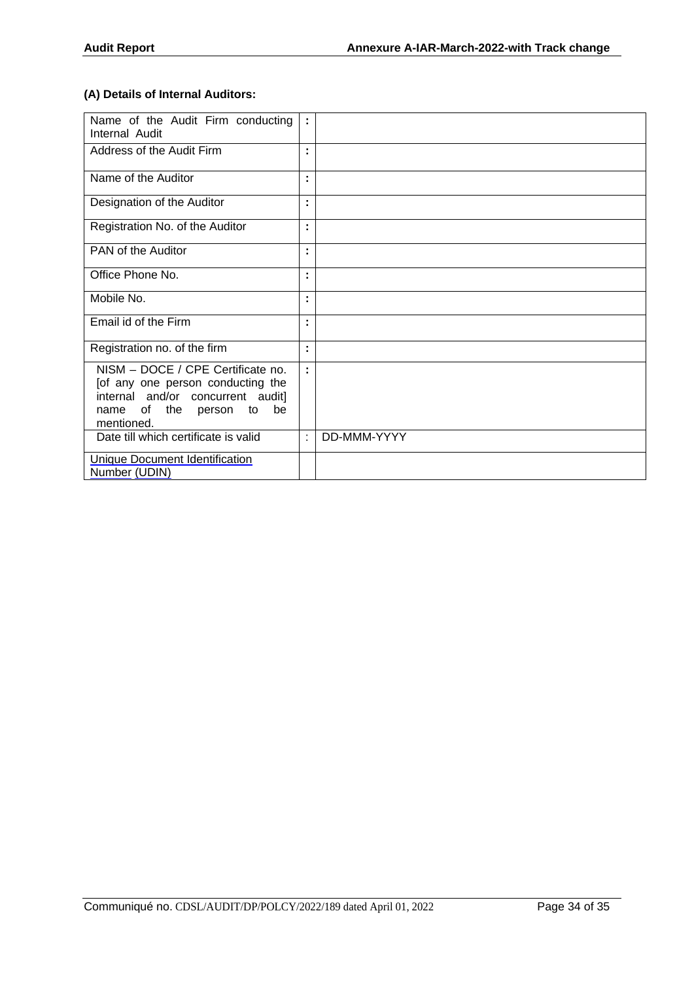### **(A) Details of Internal Auditors:**

| Name of the Audit Firm conducting<br>Internal Audit                                                                                                            | ÷ |             |
|----------------------------------------------------------------------------------------------------------------------------------------------------------------|---|-------------|
| Address of the Audit Firm                                                                                                                                      | ٠ |             |
| Name of the Auditor                                                                                                                                            | ٠ |             |
| Designation of the Auditor                                                                                                                                     | ٠ |             |
| Registration No. of the Auditor                                                                                                                                | ٠ |             |
| PAN of the Auditor                                                                                                                                             |   |             |
| Office Phone No.                                                                                                                                               |   |             |
| Mobile No.                                                                                                                                                     | ٠ |             |
| Email id of the Firm                                                                                                                                           | ٠ |             |
| Registration no. of the firm                                                                                                                                   | ٠ |             |
| NISM - DOCE / CPE Certificate no.<br>[of any one person conducting the<br>internal and/or concurrent audit]<br>be<br>of the person<br>name<br>to<br>mentioned. | ٠ |             |
| Date till which certificate is valid                                                                                                                           | ٠ | DD-MMM-YYYY |
| <b>Unique Document Identification</b><br>Number (UDIN)                                                                                                         |   |             |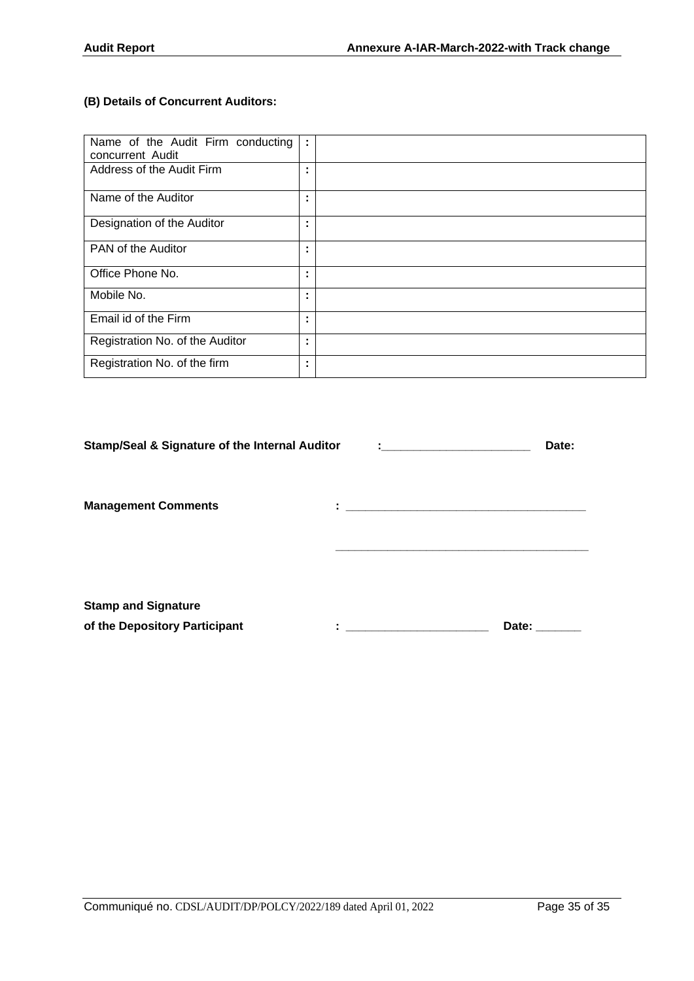### **(B) Details of Concurrent Auditors:**

| Name of the Audit Firm conducting<br>concurrent Audit | ÷                   |  |
|-------------------------------------------------------|---------------------|--|
| Address of the Audit Firm                             | ٠                   |  |
| Name of the Auditor                                   | ٠                   |  |
| Designation of the Auditor                            | ٠<br>٠              |  |
| PAN of the Auditor                                    | ٠<br>$\blacksquare$ |  |
| Office Phone No.                                      | ٠<br>٠              |  |
| Mobile No.                                            | ٠<br>٠              |  |
| Email id of the Firm                                  | ٠                   |  |
| Registration No. of the Auditor                       | ٠                   |  |
| Registration No. of the firm                          | ٠                   |  |

| <b>Stamp/Seal &amp; Signature of the Internal Auditor</b>   |         | <b>Experience of the Community Construction</b> | Date: |
|-------------------------------------------------------------|---------|-------------------------------------------------|-------|
| <b>Management Comments</b>                                  | ٠<br>ä, |                                                 |       |
| <b>Stamp and Signature</b><br>of the Depository Participant | ٠       |                                                 | Date: |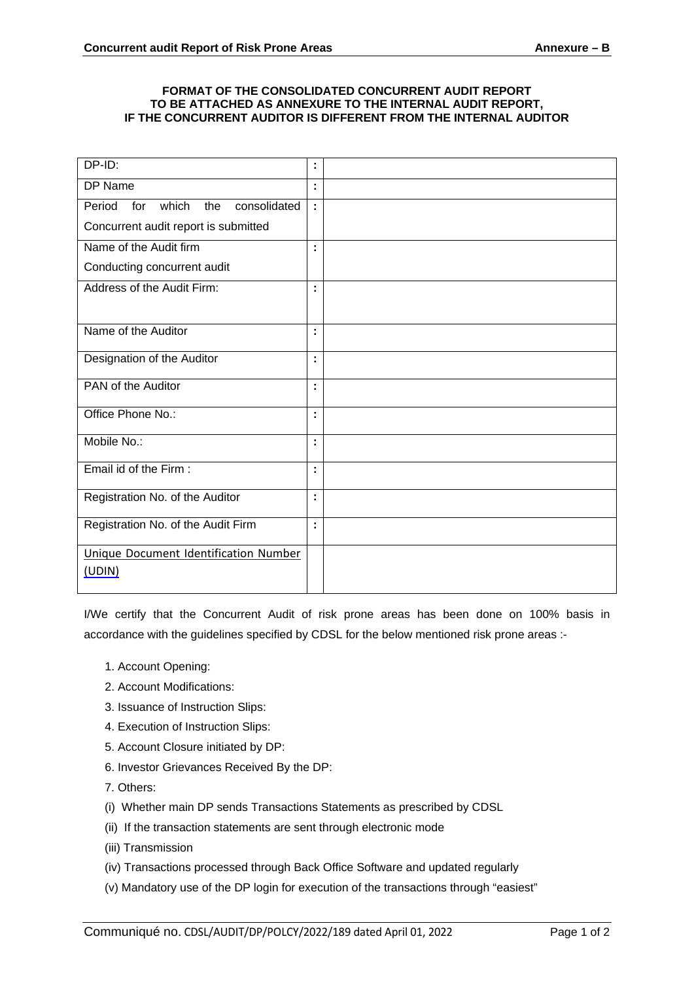#### **FORMAT OF THE CONSOLIDATED CONCURRENT AUDIT REPORT TO BE ATTACHED AS ANNEXURE TO THE INTERNAL AUDIT REPORT, IF THE CONCURRENT AUDITOR IS DIFFERENT FROM THE INTERNAL AUDITOR**

| DP-ID:                                        | ÷ |  |
|-----------------------------------------------|---|--|
| DP Name                                       | ÷ |  |
| which<br>consolidated<br>Period<br>for<br>the | ÷ |  |
| Concurrent audit report is submitted          |   |  |
| Name of the Audit firm                        | ٠ |  |
| Conducting concurrent audit                   |   |  |
| Address of the Audit Firm:                    | ٠ |  |
|                                               |   |  |
| Name of the Auditor                           | ٠ |  |
| Designation of the Auditor                    | ٠ |  |
|                                               |   |  |
| PAN of the Auditor                            | ٠ |  |
| Office Phone No.:                             |   |  |
| Mobile No.:                                   | ٠ |  |
|                                               |   |  |
| Email id of the Firm:                         | ÷ |  |
| Registration No. of the Auditor               |   |  |
|                                               |   |  |
| Registration No. of the Audit Firm            | ÷ |  |
| Unique Document Identification Number         |   |  |
| (UDIN)                                        |   |  |
|                                               |   |  |

I/We certify that the Concurrent Audit of risk prone areas has been done on 100% basis in accordance with the guidelines specified by CDSL for the below mentioned risk prone areas :-

- 1. Account Opening:
- 2. Account Modifications:
- 3. Issuance of Instruction Slips:
- 4. Execution of Instruction Slips:
- 5. Account Closure initiated by DP:
- 6. Investor Grievances Received By the DP:
- 7. Others:
- (i) Whether main DP sends Transactions Statements as prescribed by CDSL
- (ii) If the transaction statements are sent through electronic mode
- (iii) Transmission
- (iv) Transactions processed through Back Office Software and updated regularly
- (v) Mandatory use of the DP login for execution of the transactions through "easiest"